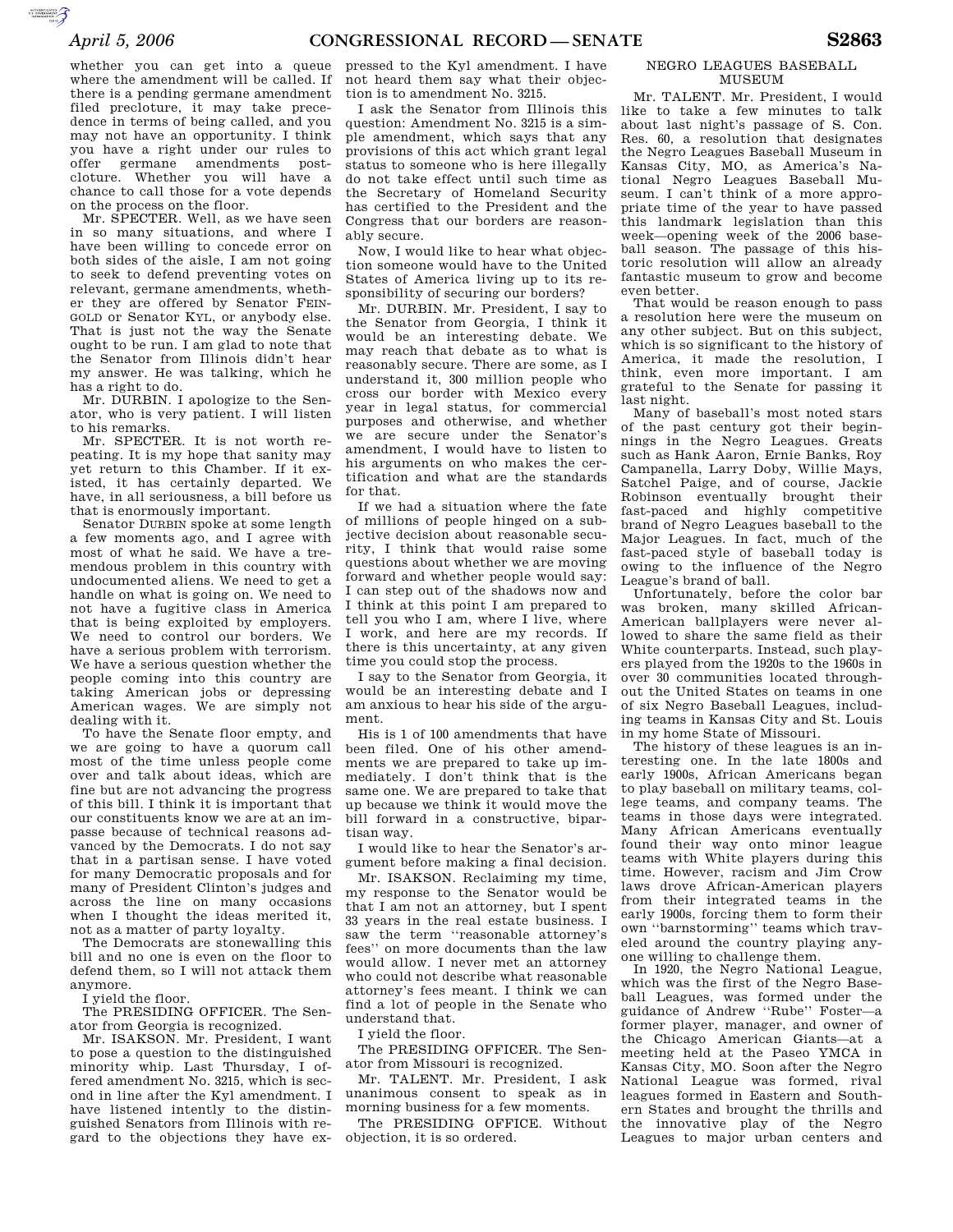**SUPERING AND SECURE AND** 

whether you can get into a queue where the amendment will be called. If there is a pending germane amendment filed precloture, it may take precedence in terms of being called, and you may not have an opportunity. I think you have a right under our rules to offer germane amendments postcloture. Whether you will have a chance to call those for a vote depends on the process on the floor.

Mr. SPECTER. Well, as we have seen in so many situations, and where I have been willing to concede error on both sides of the aisle, I am not going to seek to defend preventing votes on relevant, germane amendments, whether they are offered by Senator FEIN-GOLD or Senator KYL, or anybody else. That is just not the way the Senate ought to be run. I am glad to note that the Senator from Illinois didn't hear my answer. He was talking, which he has a right to do.

Mr. DURBIN. I apologize to the Senator, who is very patient. I will listen to his remarks.

Mr. SPECTER. It is not worth repeating. It is my hope that sanity may yet return to this Chamber. If it existed, it has certainly departed. We have, in all seriousness, a bill before us that is enormously important.

Senator DURBIN spoke at some length a few moments ago, and I agree with most of what he said. We have a tremendous problem in this country with undocumented aliens. We need to get a handle on what is going on. We need to not have a fugitive class in America that is being exploited by employers. We need to control our borders. We have a serious problem with terrorism. We have a serious question whether the people coming into this country are taking American jobs or depressing American wages. We are simply not dealing with it.

To have the Senate floor empty, and we are going to have a quorum call most of the time unless people come over and talk about ideas, which are fine but are not advancing the progress of this bill. I think it is important that our constituents know we are at an impasse because of technical reasons advanced by the Democrats. I do not say that in a partisan sense. I have voted for many Democratic proposals and for many of President Clinton's judges and across the line on many occasions when I thought the ideas merited it, not as a matter of party loyalty.

The Democrats are stonewalling this bill and no one is even on the floor to defend them, so I will not attack them anymore.

I yield the floor.

The PRESIDING OFFICER. The Senator from Georgia is recognized.

Mr. ISAKSON. Mr. President, I want to pose a question to the distinguished minority whip. Last Thursday, I offered amendment No. 3215, which is second in line after the Kyl amendment. I have listened intently to the distinguished Senators from Illinois with regard to the objections they have ex-

pressed to the Kyl amendment. I have not heard them say what their objection is to amendment No. 3215.

I ask the Senator from Illinois this question: Amendment No. 3215 is a simple amendment, which says that any provisions of this act which grant legal status to someone who is here illegally do not take effect until such time as the Secretary of Homeland Security has certified to the President and the Congress that our borders are reasonably secure.

Now, I would like to hear what objection someone would have to the United States of America living up to its responsibility of securing our borders?

Mr. DURBIN. Mr. President, I say to the Senator from Georgia, I think it would be an interesting debate. We may reach that debate as to what is reasonably secure. There are some, as I understand it, 300 million people who cross our border with Mexico every year in legal status, for commercial purposes and otherwise, and whether we are secure under the Senator's amendment, I would have to listen to his arguments on who makes the certification and what are the standards for that.

If we had a situation where the fate of millions of people hinged on a subjective decision about reasonable security, I think that would raise some questions about whether we are moving forward and whether people would say: I can step out of the shadows now and I think at this point I am prepared to tell you who I am, where I live, where I work, and here are my records. If there is this uncertainty, at any given time you could stop the process.

I say to the Senator from Georgia, it would be an interesting debate and I am anxious to hear his side of the argument.

His is 1 of 100 amendments that have been filed. One of his other amendments we are prepared to take up immediately. I don't think that is the same one. We are prepared to take that up because we think it would move the bill forward in a constructive, bipartisan way.

I would like to hear the Senator's argument before making a final decision.

Mr. ISAKSON. Reclaiming my time, my response to the Senator would be that I am not an attorney, but I spent 33 years in the real estate business. I saw the term ''reasonable attorney's fees'' on more documents than the law would allow. I never met an attorney who could not describe what reasonable attorney's fees meant. I think we can find a lot of people in the Senate who understand that.

I yield the floor.

The PRESIDING OFFICER. The Senator from Missouri is recognized.

Mr. TALENT. Mr. President, I ask unanimous consent to speak as in morning business for a few moments.

The PRESIDING OFFICE. Without objection, it is so ordered.

### NEGRO LEAGUES BASEBALL MUSEUM

Mr. TALENT. Mr. President, I would like to take a few minutes to talk about last night's passage of S. Con. Res. 60, a resolution that designates the Negro Leagues Baseball Museum in Kansas City, MO, as America's National Negro Leagues Baseball Museum. I can't think of a more appropriate time of the year to have passed this landmark legislation than this week—opening week of the 2006 baseball season. The passage of this historic resolution will allow an already fantastic museum to grow and become even better.

That would be reason enough to pass a resolution here were the museum on any other subject. But on this subject, which is so significant to the history of America, it made the resolution, I think, even more important. I am grateful to the Senate for passing it last night.

Many of baseball's most noted stars of the past century got their beginnings in the Negro Leagues. Greats such as Hank Aaron, Ernie Banks, Roy Campanella, Larry Doby, Willie Mays, Satchel Paige, and of course, Jackie Robinson eventually brought their fast-paced and highly competitive brand of Negro Leagues baseball to the Major Leagues. In fact, much of the fast-paced style of baseball today is owing to the influence of the Negro League's brand of ball.

Unfortunately, before the color bar was broken, many skilled African-American ballplayers were never allowed to share the same field as their White counterparts. Instead, such players played from the 1920s to the 1960s in over 30 communities located throughout the United States on teams in one of six Negro Baseball Leagues, including teams in Kansas City and St. Louis in my home State of Missouri.

The history of these leagues is an interesting one. In the late 1800s and early 1900s, African Americans began to play baseball on military teams, college teams, and company teams. The teams in those days were integrated. Many African Americans eventually found their way onto minor league teams with White players during this time. However, racism and Jim Crow laws drove African-American players from their integrated teams in the early 1900s, forcing them to form their own ''barnstorming'' teams which traveled around the country playing anyone willing to challenge them.

In 1920, the Negro National League, which was the first of the Negro Baseball Leagues, was formed under the guidance of Andrew ''Rube'' Foster—a former player, manager, and owner of the Chicago American Giants—at a meeting held at the Paseo YMCA in Kansas City, MO. Soon after the Negro National League was formed, rival leagues formed in Eastern and Southern States and brought the thrills and the innovative play of the Negro Leagues to major urban centers and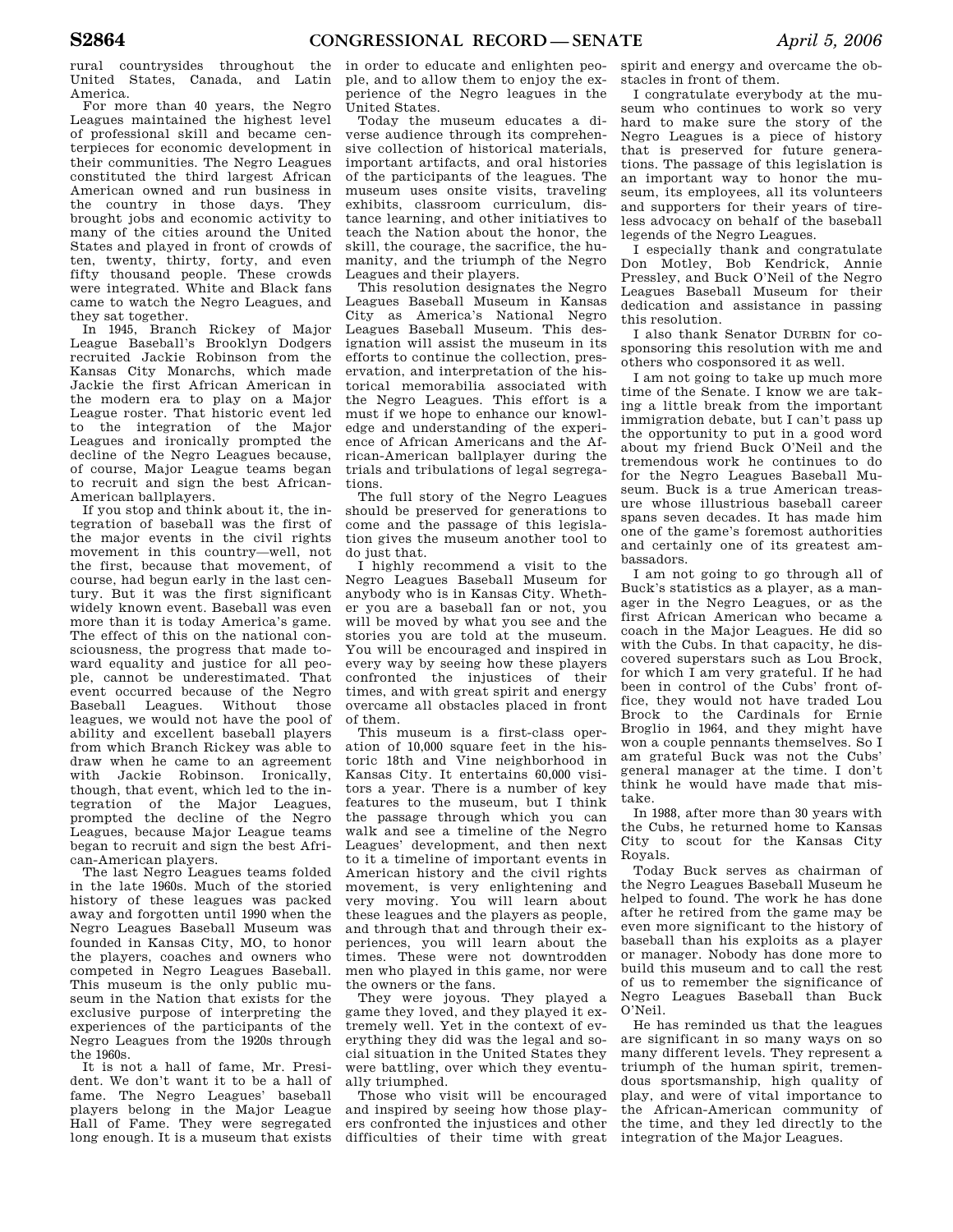rural countrysides throughout the United States, Canada, and Latin America.

For more than 40 years, the Negro Leagues maintained the highest level of professional skill and became centerpieces for economic development in their communities. The Negro Leagues constituted the third largest African American owned and run business in the country in those days. They brought jobs and economic activity to many of the cities around the United States and played in front of crowds of ten, twenty, thirty, forty, and even fifty thousand people. These crowds were integrated. White and Black fans came to watch the Negro Leagues, and they sat together.

In 1945, Branch Rickey of Major League Baseball's Brooklyn Dodgers recruited Jackie Robinson from the Kansas City Monarchs, which made Jackie the first African American in the modern era to play on a Major League roster. That historic event led to the integration of the Major Leagues and ironically prompted the decline of the Negro Leagues because, of course, Major League teams began to recruit and sign the best African-American ballplayers.

If you stop and think about it, the integration of baseball was the first of the major events in the civil rights movement in this country—well, not the first, because that movement, of course, had begun early in the last century. But it was the first significant widely known event. Baseball was even more than it is today America's game. The effect of this on the national consciousness, the progress that made toward equality and justice for all people, cannot be underestimated. That event occurred because of the Negro Baseball Leagues. Without those leagues, we would not have the pool of ability and excellent baseball players from which Branch Rickey was able to draw when he came to an agreement with Jackie Robinson. Ironically, though, that event, which led to the integration of the Major Leagues, prompted the decline of the Negro Leagues, because Major League teams began to recruit and sign the best African-American players.

The last Negro Leagues teams folded in the late 1960s. Much of the storied history of these leagues was packed away and forgotten until 1990 when the Negro Leagues Baseball Museum was founded in Kansas City, MO, to honor the players, coaches and owners who competed in Negro Leagues Baseball. This museum is the only public museum in the Nation that exists for the exclusive purpose of interpreting the experiences of the participants of the Negro Leagues from the 1920s through the 1960s.

It is not a hall of fame, Mr. President. We don't want it to be a hall of fame. The Negro Leagues' baseball players belong in the Major League Hall of Fame. They were segregated long enough. It is a museum that exists

in order to educate and enlighten people, and to allow them to enjoy the experience of the Negro leagues in the United States.

Today the museum educates a diverse audience through its comprehensive collection of historical materials, important artifacts, and oral histories of the participants of the leagues. The museum uses onsite visits, traveling exhibits, classroom curriculum, distance learning, and other initiatives to teach the Nation about the honor, the skill, the courage, the sacrifice, the humanity, and the triumph of the Negro Leagues and their players.

This resolution designates the Negro Leagues Baseball Museum in Kansas City as America's National Negro Leagues Baseball Museum. This designation will assist the museum in its efforts to continue the collection, preservation, and interpretation of the historical memorabilia associated with the Negro Leagues. This effort is a must if we hope to enhance our knowledge and understanding of the experience of African Americans and the African-American ballplayer during the trials and tribulations of legal segregations.

The full story of the Negro Leagues should be preserved for generations to come and the passage of this legislation gives the museum another tool to do just that.

I highly recommend a visit to the Negro Leagues Baseball Museum for anybody who is in Kansas City. Whether you are a baseball fan or not, you will be moved by what you see and the stories you are told at the museum. You will be encouraged and inspired in every way by seeing how these players confronted the injustices of their times, and with great spirit and energy overcame all obstacles placed in front of them.

This museum is a first-class operation of 10,000 square feet in the historic 18th and Vine neighborhood in Kansas City. It entertains 60,000 visitors a year. There is a number of key features to the museum, but I think the passage through which you can walk and see a timeline of the Negro Leagues' development, and then next to it a timeline of important events in American history and the civil rights movement, is very enlightening and very moving. You will learn about these leagues and the players as people, and through that and through their experiences, you will learn about the times. These were not downtrodden men who played in this game, nor were the owners or the fans.

They were joyous. They played a game they loved, and they played it extremely well. Yet in the context of everything they did was the legal and social situation in the United States they were battling, over which they eventually triumphed.

Those who visit will be encouraged and inspired by seeing how those players confronted the injustices and other difficulties of their time with great

spirit and energy and overcame the obstacles in front of them.

I congratulate everybody at the museum who continues to work so very hard to make sure the story of the Negro Leagues is a piece of history that is preserved for future generations. The passage of this legislation is an important way to honor the museum, its employees, all its volunteers and supporters for their years of tireless advocacy on behalf of the baseball legends of the Negro Leagues.

I especially thank and congratulate Don Motley, Bob Kendrick, Annie Pressley, and Buck O'Neil of the Negro Leagues Baseball Museum for their dedication and assistance in passing this resolution.

I also thank Senator DURBIN for cosponsoring this resolution with me and others who cosponsored it as well.

I am not going to take up much more time of the Senate. I know we are taking a little break from the important immigration debate, but I can't pass up the opportunity to put in a good word about my friend Buck O'Neil and the tremendous work he continues to do for the Negro Leagues Baseball Museum. Buck is a true American treasure whose illustrious baseball career spans seven decades. It has made him one of the game's foremost authorities and certainly one of its greatest ambassadors.

I am not going to go through all of Buck's statistics as a player, as a manager in the Negro Leagues, or as the first African American who became a coach in the Major Leagues. He did so with the Cubs. In that capacity, he discovered superstars such as Lou Brock, for which I am very grateful. If he had been in control of the Cubs' front office, they would not have traded Lou Brock to the Cardinals for Ernie Broglio in 1964, and they might have won a couple pennants themselves. So I am grateful Buck was not the Cubs' general manager at the time. I don't think he would have made that mistake.

In 1988, after more than 30 years with the Cubs, he returned home to Kansas City to scout for the Kansas City Royals.

Today Buck serves as chairman of the Negro Leagues Baseball Museum he helped to found. The work he has done after he retired from the game may be even more significant to the history of baseball than his exploits as a player or manager. Nobody has done more to build this museum and to call the rest of us to remember the significance of Negro Leagues Baseball than Buck O'Neil.

He has reminded us that the leagues are significant in so many ways on so many different levels. They represent a triumph of the human spirit, tremendous sportsmanship, high quality of play, and were of vital importance to the African-American community of the time, and they led directly to the integration of the Major Leagues.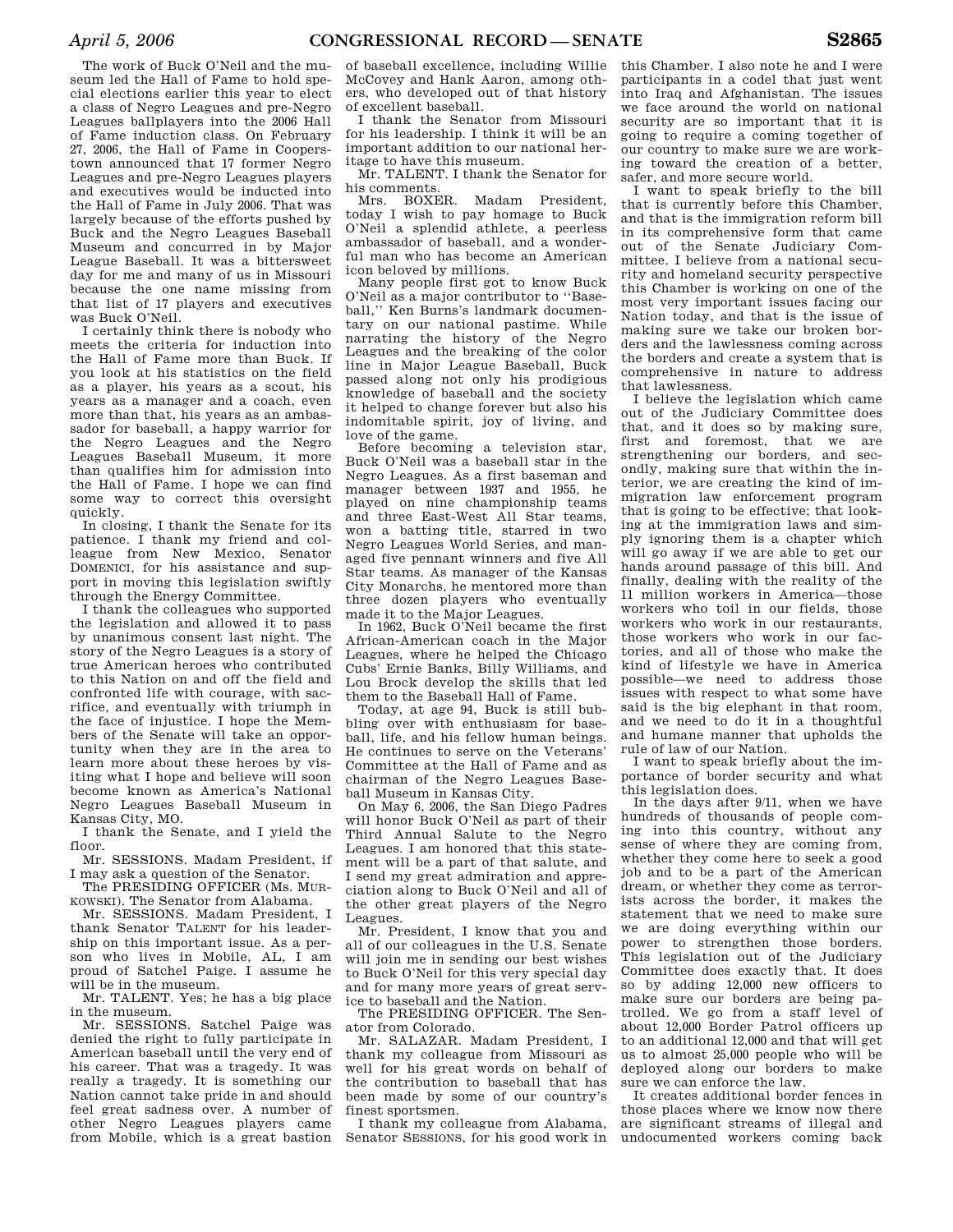The work of Buck O'Neil and the museum led the Hall of Fame to hold special elections earlier this year to elect a class of Negro Leagues and pre-Negro Leagues ballplayers into the 2006 Hall of Fame induction class. On February 27, 2006, the Hall of Fame in Cooperstown announced that 17 former Negro Leagues and pre-Negro Leagues players and executives would be inducted into the Hall of Fame in July 2006. That was largely because of the efforts pushed by Buck and the Negro Leagues Baseball Museum and concurred in by Major League Baseball. It was a bittersweet day for me and many of us in Missouri because the one name missing from that list of 17 players and executives was Buck O'Neil.

I certainly think there is nobody who meets the criteria for induction into the Hall of Fame more than Buck. If you look at his statistics on the field as a player, his years as a scout, his years as a manager and a coach, even more than that, his years as an ambassador for baseball, a happy warrior for the Negro Leagues and the Negro Leagues Baseball Museum, it more than qualifies him for admission into the Hall of Fame. I hope we can find some way to correct this oversight quickly.

In closing, I thank the Senate for its patience. I thank my friend and colleague from New Mexico, Senator DOMENICI, for his assistance and support in moving this legislation swiftly through the Energy Committee.

I thank the colleagues who supported the legislation and allowed it to pass by unanimous consent last night. The story of the Negro Leagues is a story of true American heroes who contributed to this Nation on and off the field and confronted life with courage, with sacrifice, and eventually with triumph in the face of injustice. I hope the Members of the Senate will take an opportunity when they are in the area to learn more about these heroes by visiting what I hope and believe will soon become known as America's National Negro Leagues Baseball Museum in Kansas City, MO.

I thank the Senate, and I yield the floor.

Mr. SESSIONS. Madam President, if I may ask a question of the Senator.

The PRESIDING OFFICER (Ms. MUR-KOWSKI). The Senator from Alabama.

Mr. SESSIONS. Madam President, I thank Senator TALENT for his leadership on this important issue. As a person who lives in Mobile, AL, I am proud of Satchel Paige. I assume he will be in the museum.

Mr. TALENT. Yes; he has a big place in the museum.

Mr. SESSIONS. Satchel Paige was denied the right to fully participate in American baseball until the very end of his career. That was a tragedy. It was really a tragedy. It is something our Nation cannot take pride in and should feel great sadness over. A number of other Negro Leagues players came from Mobile, which is a great bastion

of baseball excellence, including Willie McCovey and Hank Aaron, among others, who developed out of that history of excellent baseball.

I thank the Senator from Missouri for his leadership. I think it will be an important addition to our national heritage to have this museum.

Mr. TALENT. I thank the Senator for his comments.

Mrs. BOXER. Madam President, today I wish to pay homage to Buck O'Neil a splendid athlete, a peerless ambassador of baseball, and a wonderful man who has become an American icon beloved by millions.

Many people first got to know Buck O'Neil as a major contributor to ''Baseball,'' Ken Burns's landmark documentary on our national pastime. While narrating the history of the Negro Leagues and the breaking of the color line in Major League Baseball, Buck passed along not only his prodigious knowledge of baseball and the society it helped to change forever but also his indomitable spirit, joy of living, and love of the game.

Before becoming a television star, Buck O'Neil was a baseball star in the Negro Leagues. As a first baseman and manager between 1937 and 1955, he played on nine championship teams and three East-West All Star teams, won a batting title, starred in two Negro Leagues World Series, and managed five pennant winners and five All Star teams. As manager of the Kansas City Monarchs, he mentored more than three dozen players who eventually made it to the Major Leagues.

In 1962, Buck O'Neil became the first African-American coach in the Major Leagues, where he helped the Chicago Cubs' Ernie Banks, Billy Williams, and Lou Brock develop the skills that led them to the Baseball Hall of Fame.

Today, at age 94, Buck is still bubbling over with enthusiasm for baseball, life, and his fellow human beings. He continues to serve on the Veterans' Committee at the Hall of Fame and as chairman of the Negro Leagues Baseball Museum in Kansas City.

On May 6, 2006, the San Diego Padres will honor Buck O'Neil as part of their Third Annual Salute to the Negro Leagues. I am honored that this statement will be a part of that salute, and I send my great admiration and appreciation along to Buck O'Neil and all of the other great players of the Negro Leagues.

Mr. President, I know that you and all of our colleagues in the U.S. Senate will join me in sending our best wishes to Buck O'Neil for this very special day and for many more years of great service to baseball and the Nation.

The PRESIDING OFFICER. The Senator from Colorado.

Mr. SALAZAR. Madam President, I thank my colleague from Missouri as well for his great words on behalf of the contribution to baseball that has been made by some of our country's finest sportsmen.

I thank my colleague from Alabama, Senator SESSIONS, for his good work in

this Chamber. I also note he and I were participants in a codel that just went into Iraq and Afghanistan. The issues we face around the world on national security are so important that it is going to require a coming together of our country to make sure we are working toward the creation of a better, safer, and more secure world.

I want to speak briefly to the bill that is currently before this Chamber, and that is the immigration reform bill in its comprehensive form that came out of the Senate Judiciary Committee. I believe from a national security and homeland security perspective this Chamber is working on one of the most very important issues facing our Nation today, and that is the issue of making sure we take our broken borders and the lawlessness coming across the borders and create a system that is comprehensive in nature to address that lawlessness.

I believe the legislation which came out of the Judiciary Committee does that, and it does so by making sure, first and foremost, that we are strengthening our borders, and secondly, making sure that within the interior, we are creating the kind of immigration law enforcement program that is going to be effective; that looking at the immigration laws and simply ignoring them is a chapter which will go away if we are able to get our hands around passage of this bill. And finally, dealing with the reality of the 11 million workers in America—those workers who toil in our fields, those workers who work in our restaurants, those workers who work in our factories, and all of those who make the kind of lifestyle we have in America possible—we need to address those issues with respect to what some have said is the big elephant in that room, and we need to do it in a thoughtful and humane manner that upholds the rule of law of our Nation.

I want to speak briefly about the importance of border security and what this legislation does.

In the days after 9/11, when we have hundreds of thousands of people coming into this country, without any sense of where they are coming from, whether they come here to seek a good job and to be a part of the American dream, or whether they come as terrorists across the border, it makes the statement that we need to make sure we are doing everything within our power to strengthen those borders. This legislation out of the Judiciary Committee does exactly that. It does so by adding 12,000 new officers to make sure our borders are being patrolled. We go from a staff level of about 12,000 Border Patrol officers up to an additional 12,000 and that will get us to almost 25,000 people who will be deployed along our borders to make sure we can enforce the law.

It creates additional border fences in those places where we know now there are significant streams of illegal and undocumented workers coming back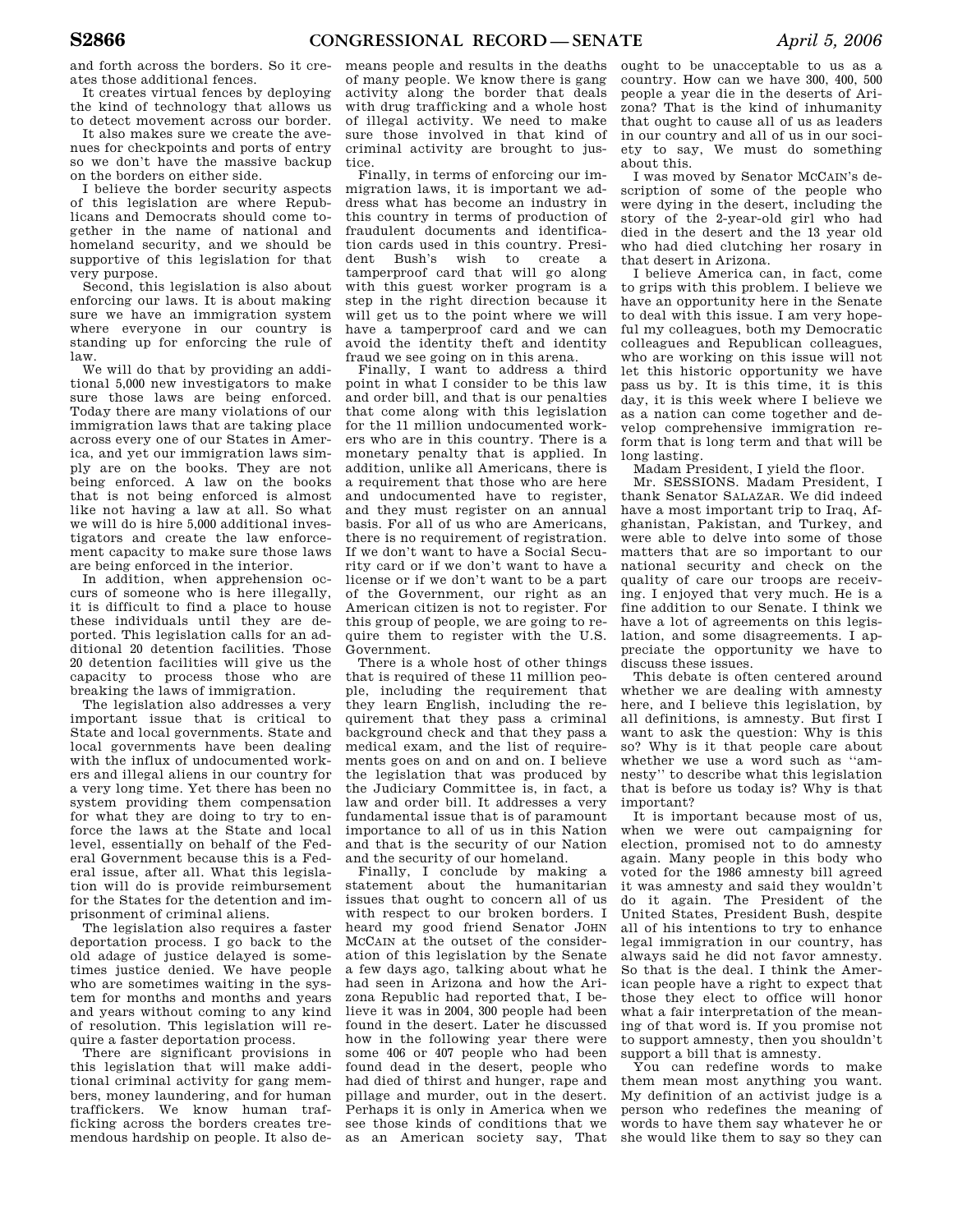and forth across the borders. So it creates those additional fences.

It creates virtual fences by deploying the kind of technology that allows us to detect movement across our border.

It also makes sure we create the avenues for checkpoints and ports of entry so we don't have the massive backup on the borders on either side.

I believe the border security aspects of this legislation are where Republicans and Democrats should come together in the name of national and homeland security, and we should be supportive of this legislation for that very purpose.

Second, this legislation is also about enforcing our laws. It is about making sure we have an immigration system where everyone in our country is standing up for enforcing the rule of law.

We will do that by providing an additional 5,000 new investigators to make sure those laws are being enforced. Today there are many violations of our immigration laws that are taking place across every one of our States in America, and yet our immigration laws simply are on the books. They are not being enforced. A law on the books that is not being enforced is almost like not having a law at all. So what we will do is hire 5,000 additional investigators and create the law enforcement capacity to make sure those laws are being enforced in the interior.

In addition, when apprehension occurs of someone who is here illegally, it is difficult to find a place to house these individuals until they are deported. This legislation calls for an additional 20 detention facilities. Those 20 detention facilities will give us the capacity to process those who are breaking the laws of immigration.

The legislation also addresses a very important issue that is critical to State and local governments. State and local governments have been dealing with the influx of undocumented workers and illegal aliens in our country for a very long time. Yet there has been no system providing them compensation for what they are doing to try to enforce the laws at the State and local level, essentially on behalf of the Federal Government because this is a Federal issue, after all. What this legislation will do is provide reimbursement for the States for the detention and imprisonment of criminal aliens.

The legislation also requires a faster deportation process. I go back to the old adage of justice delayed is sometimes justice denied. We have people who are sometimes waiting in the system for months and months and years and years without coming to any kind of resolution. This legislation will require a faster deportation process.

There are significant provisions in this legislation that will make additional criminal activity for gang members, money laundering, and for human traffickers. We know human trafficking across the borders creates tremendous hardship on people. It also demeans people and results in the deaths of many people. We know there is gang activity along the border that deals with drug trafficking and a whole host of illegal activity. We need to make sure those involved in that kind of criminal activity are brought to justice.

Finally, in terms of enforcing our immigration laws, it is important we address what has become an industry in this country in terms of production of fraudulent documents and identification cards used in this country. President Bush's wish to create a tamperproof card that will go along with this guest worker program is a step in the right direction because it will get us to the point where we will have a tamperproof card and we can avoid the identity theft and identity fraud we see going on in this arena.

Finally, I want to address a third point in what I consider to be this law and order bill, and that is our penalties that come along with this legislation for the 11 million undocumented workers who are in this country. There is a monetary penalty that is applied. In addition, unlike all Americans, there is a requirement that those who are here and undocumented have to register, and they must register on an annual basis. For all of us who are Americans, there is no requirement of registration. If we don't want to have a Social Security card or if we don't want to have a license or if we don't want to be a part of the Government, our right as an American citizen is not to register. For this group of people, we are going to require them to register with the U.S. Government.

There is a whole host of other things that is required of these 11 million people, including the requirement that they learn English, including the requirement that they pass a criminal background check and that they pass a medical exam, and the list of requirements goes on and on and on. I believe the legislation that was produced by the Judiciary Committee is, in fact, a law and order bill. It addresses a very fundamental issue that is of paramount importance to all of us in this Nation and that is the security of our Nation and the security of our homeland.

Finally, I conclude by making a statement about the humanitarian issues that ought to concern all of us with respect to our broken borders. I heard my good friend Senator JOHN MCCAIN at the outset of the consideration of this legislation by the Senate a few days ago, talking about what he had seen in Arizona and how the Arizona Republic had reported that, I believe it was in 2004, 300 people had been found in the desert. Later he discussed how in the following year there were some 406 or 407 people who had been found dead in the desert, people who had died of thirst and hunger, rape and pillage and murder, out in the desert. Perhaps it is only in America when we see those kinds of conditions that we as an American society say, That

ought to be unacceptable to us as a country. How can we have 300, 400, 500 people a year die in the deserts of Arizona? That is the kind of inhumanity that ought to cause all of us as leaders in our country and all of us in our society to say, We must do something about this.

I was moved by Senator MCCAIN's description of some of the people who were dying in the desert, including the story of the 2-year-old girl who had died in the desert and the 13 year old who had died clutching her rosary in that desert in Arizona.

I believe America can, in fact, come to grips with this problem. I believe we have an opportunity here in the Senate to deal with this issue. I am very hopeful my colleagues, both my Democratic colleagues and Republican colleagues, who are working on this issue will not let this historic opportunity we have pass us by. It is this time, it is this day, it is this week where I believe we as a nation can come together and develop comprehensive immigration reform that is long term and that will be long lasting.

Madam President, I yield the floor.

Mr. SESSIONS. Madam President, I thank Senator SALAZAR. We did indeed have a most important trip to Iraq, Afghanistan, Pakistan, and Turkey, and were able to delve into some of those matters that are so important to our national security and check on the quality of care our troops are receiving. I enjoyed that very much. He is a fine addition to our Senate. I think we have a lot of agreements on this legislation, and some disagreements. I appreciate the opportunity we have to discuss these issues.

This debate is often centered around whether we are dealing with amnesty here, and I believe this legislation, by all definitions, is amnesty. But first I want to ask the question: Why is this so? Why is it that people care about whether we use a word such as ''amnesty'' to describe what this legislation that is before us today is? Why is that important?

It is important because most of us, when we were out campaigning for election, promised not to do amnesty again. Many people in this body who voted for the 1986 amnesty bill agreed it was amnesty and said they wouldn't do it again. The President of the United States, President Bush, despite all of his intentions to try to enhance legal immigration in our country, has always said he did not favor amnesty. So that is the deal. I think the American people have a right to expect that those they elect to office will honor what a fair interpretation of the meaning of that word is. If you promise not to support amnesty, then you shouldn't support a bill that is amnesty.

You can redefine words to make them mean most anything you want. My definition of an activist judge is a person who redefines the meaning of words to have them say whatever he or she would like them to say so they can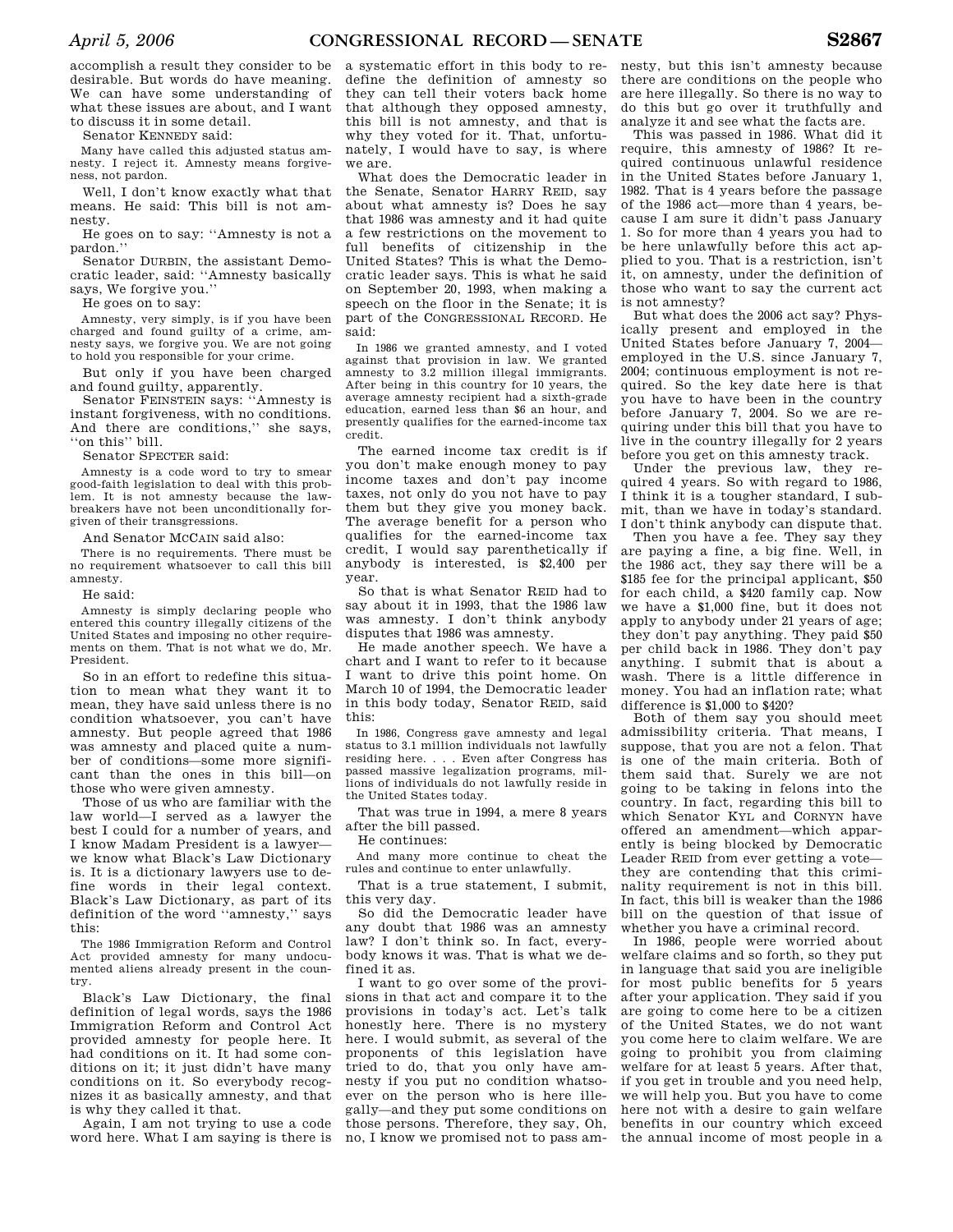accomplish a result they consider to be desirable. But words do have meaning. We can have some understanding of what these issues are about, and I want to discuss it in some detail.

Senator KENNEDY said:

Many have called this adjusted status amnesty. I reject it. Amnesty means forgiveness, not pardon.

Well, I don't know exactly what that means. He said: This bill is not amnesty.

He goes on to say: ''Amnesty is not a pardon.''

Senator DURBIN, the assistant Democratic leader, said: ''Amnesty basically says, We forgive you.''

He goes on to say:

Amnesty, very simply, is if you have been charged and found guilty of a crime, amnesty says, we forgive you. We are not going to hold you responsible for your crime.

But only if you have been charged and found guilty, apparently.

Senator FEINSTEIN says: ''Amnesty is instant forgiveness, with no conditions. And there are conditions,'' she says, "on this" bill.

Senator SPECTER said:

Amnesty is a code word to try to smear good-faith legislation to deal with this problem. It is not amnesty because the lawbreakers have not been unconditionally forgiven of their transgressions.

And Senator MCCAIN said also:

There is no requirements. There must be no requirement whatsoever to call this bill amnesty.

He said:

Amnesty is simply declaring people who entered this country illegally citizens of the United States and imposing no other requirements on them. That is not what we do, Mr. President.

So in an effort to redefine this situation to mean what they want it to mean, they have said unless there is no condition whatsoever, you can't have amnesty. But people agreed that 1986 was amnesty and placed quite a number of conditions—some more significant than the ones in this bill—on those who were given amnesty.

Those of us who are familiar with the law world—I served as a lawyer the best I could for a number of years, and I know Madam President is a lawyer we know what Black's Law Dictionary is. It is a dictionary lawyers use to define words in their legal context. Black's Law Dictionary, as part of its definition of the word ''amnesty,'' says this:

The 1986 Immigration Reform and Control Act provided amnesty for many undocumented aliens already present in the country.

Black's Law Dictionary, the final definition of legal words, says the 1986 Immigration Reform and Control Act provided amnesty for people here. It had conditions on it. It had some conditions on it; it just didn't have many conditions on it. So everybody recognizes it as basically amnesty, and that is why they called it that.

Again, I am not trying to use a code word here. What I am saying is there is a systematic effort in this body to redefine the definition of amnesty so they can tell their voters back home that although they opposed amnesty, this bill is not amnesty, and that is why they voted for it. That, unfortunately, I would have to say, is where we are.

What does the Democratic leader in the Senate, Senator HARRY REID, say about what amnesty is? Does he say that 1986 was amnesty and it had quite a few restrictions on the movement to full benefits of citizenship in the United States? This is what the Democratic leader says. This is what he said on September 20, 1993, when making a speech on the floor in the Senate; it is part of the CONGRESSIONAL RECORD. He said:

In 1986 we granted amnesty, and I voted against that provision in law. We granted amnesty to 3.2 million illegal immigrants. After being in this country for 10 years, the average amnesty recipient had a sixth-grade education, earned less than \$6 an hour, and presently qualifies for the earned-income tax credit.

The earned income tax credit is if you don't make enough money to pay income taxes and don't pay income taxes, not only do you not have to pay them but they give you money back. The average benefit for a person who qualifies for the earned-income tax credit, I would say parenthetically if anybody is interested, is \$2,400 per year.

So that is what Senator REID had to say about it in 1993, that the 1986 law was amnesty. I don't think anybody disputes that 1986 was amnesty.

He made another speech. We have a chart and I want to refer to it because I want to drive this point home. On March 10 of 1994, the Democratic leader in this body today, Senator REID, said this:

In 1986, Congress gave amnesty and legal status to 3.1 million individuals not lawfully residing here. . . . Even after Congress has passed massive legalization programs, millions of individuals do not lawfully reside in the United States today.

That was true in 1994, a mere 8 years after the bill passed.

He continues:

And many more continue to cheat the rules and continue to enter unlawfully.

That is a true statement, I submit, this very day.

So did the Democratic leader have any doubt that 1986 was an amnesty law? I don't think so. In fact, everybody knows it was. That is what we defined it as.

I want to go over some of the provisions in that act and compare it to the provisions in today's act. Let's talk honestly here. There is no mystery here. I would submit, as several of the proponents of this legislation have tried to do, that you only have amnesty if you put no condition whatsoever on the person who is here illegally—and they put some conditions on those persons. Therefore, they say, Oh, no, I know we promised not to pass am-

nesty, but this isn't amnesty because there are conditions on the people who are here illegally. So there is no way to do this but go over it truthfully and analyze it and see what the facts are.

This was passed in 1986. What did it require, this amnesty of 1986? It required continuous unlawful residence in the United States before January 1, 1982. That is 4 years before the passage of the 1986 act—more than 4 years, because I am sure it didn't pass January 1. So for more than 4 years you had to be here unlawfully before this act applied to you. That is a restriction, isn't it, on amnesty, under the definition of those who want to say the current act is not amnesty?

But what does the 2006 act say? Physically present and employed in the United States before January 7, 2004 employed in the U.S. since January 7, 2004; continuous employment is not required. So the key date here is that you have to have been in the country before January 7, 2004. So we are requiring under this bill that you have to live in the country illegally for 2 years before you get on this amnesty track.

Under the previous law, they required 4 years. So with regard to 1986, I think it is a tougher standard, I submit, than we have in today's standard. I don't think anybody can dispute that.

Then you have a fee. They say they are paying a fine, a big fine. Well, in the 1986 act, they say there will be a \$185 fee for the principal applicant, \$50 for each child, a \$420 family cap. Now we have a \$1,000 fine, but it does not apply to anybody under 21 years of age; they don't pay anything. They paid \$50 per child back in 1986. They don't pay anything. I submit that is about a wash. There is a little difference in money. You had an inflation rate; what difference is \$1,000 to \$420?

Both of them say you should meet admissibility criteria. That means, I suppose, that you are not a felon. That is one of the main criteria. Both of them said that. Surely we are not going to be taking in felons into the country. In fact, regarding this bill to which Senator KYL and CORNYN have offered an amendment—which apparently is being blocked by Democratic Leader REID from ever getting a vote they are contending that this criminality requirement is not in this bill. In fact, this bill is weaker than the 1986 bill on the question of that issue of whether you have a criminal record.

In 1986, people were worried about welfare claims and so forth, so they put in language that said you are ineligible for most public benefits for 5 years after your application. They said if you are going to come here to be a citizen of the United States, we do not want you come here to claim welfare. We are going to prohibit you from claiming welfare for at least 5 years. After that, if you get in trouble and you need help, we will help you. But you have to come here not with a desire to gain welfare benefits in our country which exceed the annual income of most people in a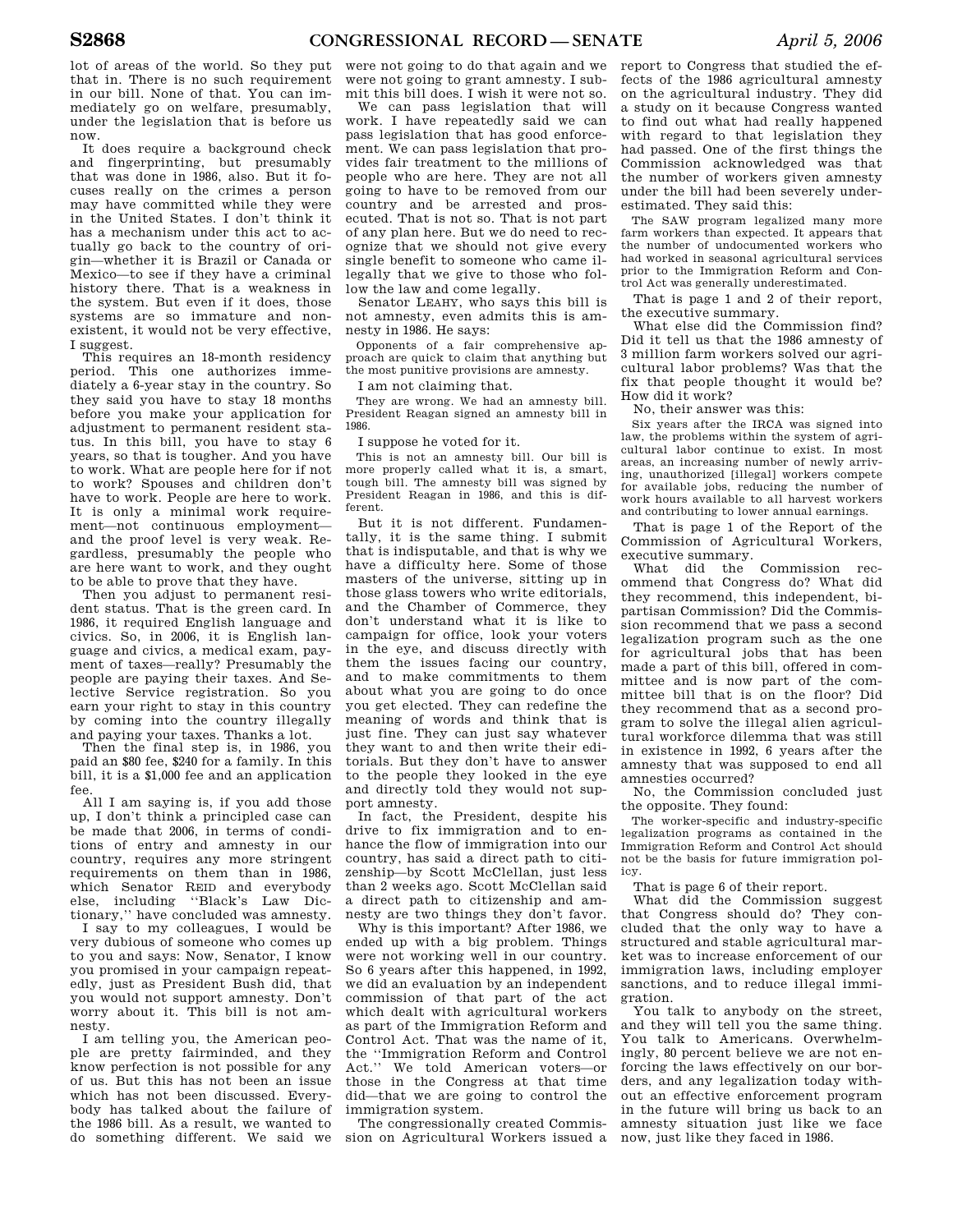lot of areas of the world. So they put that in. There is no such requirement in our bill. None of that. You can immediately go on welfare, presumably, under the legislation that is before us now.

It does require a background check and fingerprinting, but presumably that was done in 1986, also. But it focuses really on the crimes a person may have committed while they were in the United States. I don't think it has a mechanism under this act to actually go back to the country of origin—whether it is Brazil or Canada or Mexico—to see if they have a criminal history there. That is a weakness in the system. But even if it does, those systems are so immature and nonexistent, it would not be very effective, I suggest.

This requires an 18-month residency period. This one authorizes immediately a 6-year stay in the country. So they said you have to stay 18 months before you make your application for adjustment to permanent resident status. In this bill, you have to stay 6 years, so that is tougher. And you have to work. What are people here for if not to work? Spouses and children don't have to work. People are here to work. It is only a minimal work requirement—not continuous employment and the proof level is very weak. Regardless, presumably the people who are here want to work, and they ought to be able to prove that they have.

Then you adjust to permanent resident status. That is the green card. In 1986, it required English language and civics. So, in 2006, it is English language and civics, a medical exam, payment of taxes—really? Presumably the people are paying their taxes. And Selective Service registration. So you earn your right to stay in this country by coming into the country illegally and paying your taxes. Thanks a lot.

Then the final step is, in 1986, you paid an \$80 fee, \$240 for a family. In this bill, it is a \$1,000 fee and an application fee.

All I am saying is, if you add those up, I don't think a principled case can be made that 2006, in terms of conditions of entry and amnesty in our country, requires any more stringent requirements on them than in 1986, which Senator REID and everybody else, including ''Black's Law Dictionary,'' have concluded was amnesty.

I say to my colleagues, I would be very dubious of someone who comes up to you and says: Now, Senator, I know you promised in your campaign repeatedly, just as President Bush did, that you would not support amnesty. Don't worry about it. This bill is not amnesty.

I am telling you, the American people are pretty fairminded, and they know perfection is not possible for any of us. But this has not been an issue which has not been discussed. Everybody has talked about the failure of the 1986 bill. As a result, we wanted to do something different. We said we

were not going to do that again and we were not going to grant amnesty. I submit this bill does. I wish it were not so.

We can pass legislation that will work. I have repeatedly said we can pass legislation that has good enforcement. We can pass legislation that provides fair treatment to the millions of people who are here. They are not all going to have to be removed from our country and be arrested and prosecuted. That is not so. That is not part of any plan here. But we do need to recognize that we should not give every single benefit to someone who came illegally that we give to those who follow the law and come legally.

Senator LEAHY, who says this bill is not amnesty, even admits this is amnesty in 1986. He says:

Opponents of a fair comprehensive approach are quick to claim that anything but the most punitive provisions are amnesty.

I am not claiming that.

They are wrong. We had an amnesty bill. President Reagan signed an amnesty bill in 1986.

I suppose he voted for it.

This is not an amnesty bill. Our bill is more properly called what it is, a smart, tough bill. The amnesty bill was signed by President Reagan in 1986, and this is different.

But it is not different. Fundamentally, it is the same thing. I submit that is indisputable, and that is why we have a difficulty here. Some of those masters of the universe, sitting up in those glass towers who write editorials, and the Chamber of Commerce, they don't understand what it is like to campaign for office, look your voters in the eye, and discuss directly with them the issues facing our country, and to make commitments to them about what you are going to do once you get elected. They can redefine the meaning of words and think that is just fine. They can just say whatever they want to and then write their editorials. But they don't have to answer to the people they looked in the eye and directly told they would not support amnesty.

In fact, the President, despite his drive to fix immigration and to enhance the flow of immigration into our country, has said a direct path to citizenship—by Scott McClellan, just less than 2 weeks ago. Scott McClellan said a direct path to citizenship and amnesty are two things they don't favor.

Why is this important? After 1986, we ended up with a big problem. Things were not working well in our country. So 6 years after this happened, in 1992, we did an evaluation by an independent commission of that part of the act which dealt with agricultural workers as part of the Immigration Reform and Control Act. That was the name of it, the ''Immigration Reform and Control Act.'' We told American voters—or those in the Congress at that time did—that we are going to control the immigration system.

The congressionally created Commission on Agricultural Workers issued a

report to Congress that studied the effects of the 1986 agricultural amnesty on the agricultural industry. They did a study on it because Congress wanted to find out what had really happened with regard to that legislation they had passed. One of the first things the Commission acknowledged was that the number of workers given amnesty under the bill had been severely underestimated. They said this:

The SAW program legalized many more farm workers than expected. It appears that the number of undocumented workers who had worked in seasonal agricultural services prior to the Immigration Reform and Control Act was generally underestimated.

That is page 1 and 2 of their report, the executive summary.

What else did the Commission find? Did it tell us that the 1986 amnesty of 3 million farm workers solved our agricultural labor problems? Was that the fix that people thought it would be? How did it work?

No, their answer was this:

Six years after the IRCA was signed into law, the problems within the system of agricultural labor continue to exist. In most areas, an increasing number of newly arriving, unauthorized [illegal] workers compete for available jobs, reducing the number of work hours available to all harvest workers and contributing to lower annual earnings.

That is page 1 of the Report of the Commission of Agricultural Workers, executive summary.

What did the Commission recommend that Congress do? What did they recommend, this independent, bipartisan Commission? Did the Commission recommend that we pass a second legalization program such as the one for agricultural jobs that has been made a part of this bill, offered in committee and is now part of the committee bill that is on the floor? Did they recommend that as a second program to solve the illegal alien agricultural workforce dilemma that was still in existence in 1992, 6 years after the amnesty that was supposed to end all amnesties occurred?

No, the Commission concluded just the opposite. They found:

The worker-specific and industry-specific legalization programs as contained in the Immigration Reform and Control Act should not be the basis for future immigration policy.

That is page 6 of their report.

What did the Commission suggest that Congress should do? They concluded that the only way to have a structured and stable agricultural market was to increase enforcement of our immigration laws, including employer sanctions, and to reduce illegal immigration.

You talk to anybody on the street, and they will tell you the same thing. You talk to Americans. Overwhelmingly, 80 percent believe we are not enforcing the laws effectively on our borders, and any legalization today without an effective enforcement program in the future will bring us back to an amnesty situation just like we face now, just like they faced in 1986.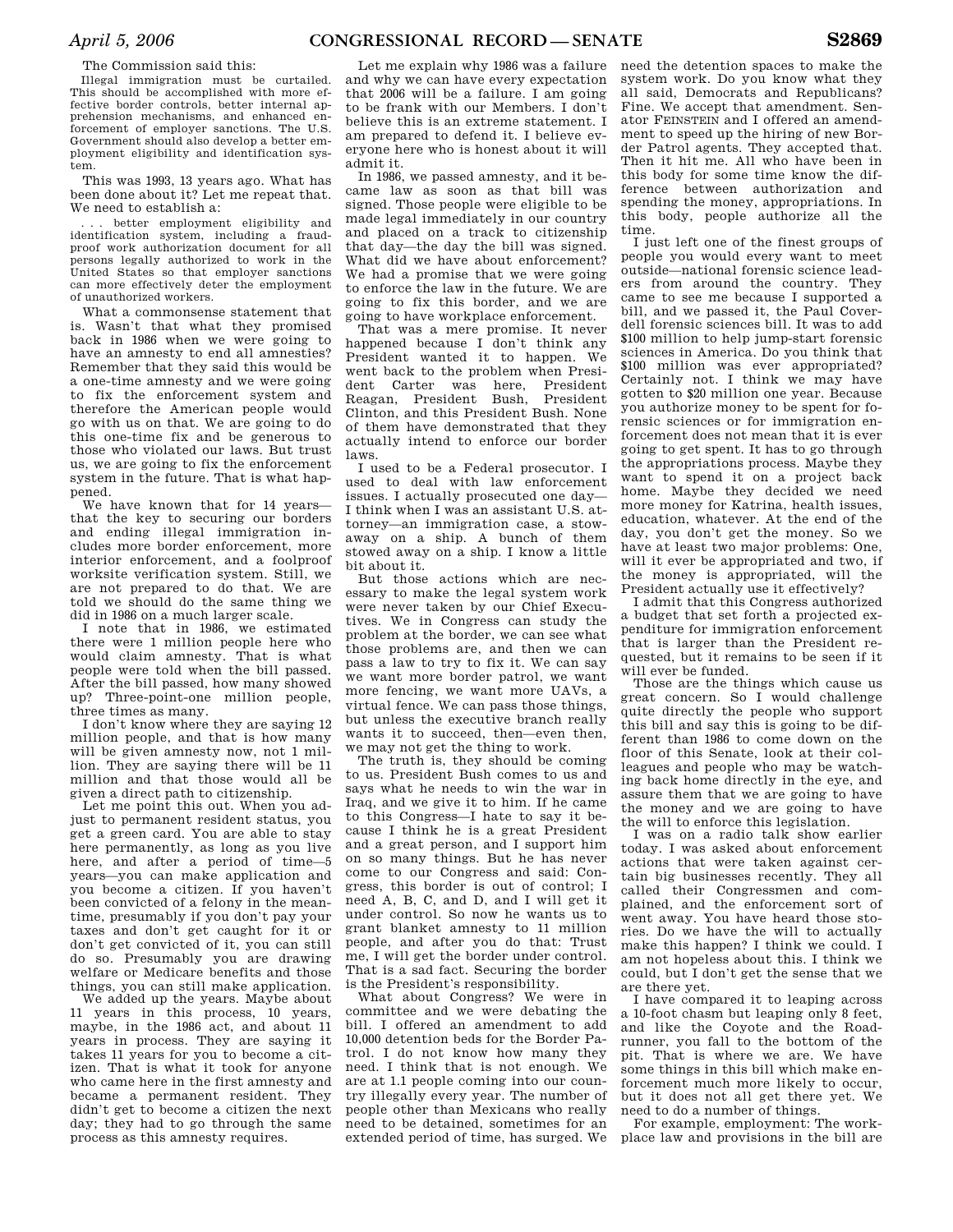## The Commission said this:

Illegal immigration must be curtailed. This should be accomplished with more effective border controls, better internal apprehension mechanisms, and enhanced enforcement of employer sanctions. The U.S. Government should also develop a better employment eligibility and identification system.

This was 1993, 13 years ago. What has been done about it? Let me repeat that. We need to establish a:

better employment eligibility and identification system, including a fraudproof work authorization document for all persons legally authorized to work in the United States so that employer sanctions can more effectively deter the employment of unauthorized workers.

What a commonsense statement that is. Wasn't that what they promised back in 1986 when we were going to have an amnesty to end all amnesties? Remember that they said this would be a one-time amnesty and we were going to fix the enforcement system and therefore the American people would go with us on that. We are going to do this one-time fix and be generous to those who violated our laws. But trust us, we are going to fix the enforcement system in the future. That is what happened.

We have known that for 14 years that the key to securing our borders and ending illegal immigration includes more border enforcement, more interior enforcement, and a foolproof worksite verification system. Still, we are not prepared to do that. We are told we should do the same thing we did in 1986 on a much larger scale.

I note that in 1986, we estimated there were 1 million people here who would claim amnesty. That is what people were told when the bill passed. After the bill passed, how many showed up? Three-point-one million people, three times as many.

I don't know where they are saying 12 million people, and that is how many will be given amnesty now, not 1 million. They are saying there will be 11 million and that those would all be given a direct path to citizenship.

Let me point this out. When you adjust to permanent resident status, you get a green card. You are able to stay here permanently, as long as you live here, and after a period of time—5 years—you can make application and you become a citizen. If you haven't been convicted of a felony in the meantime, presumably if you don't pay your taxes and don't get caught for it or don't get convicted of it, you can still do so. Presumably you are drawing welfare or Medicare benefits and those things, you can still make application.

We added up the years. Maybe about 11 years in this process, 10 years, maybe, in the 1986 act, and about 11 years in process. They are saying it takes 11 years for you to become a citizen. That is what it took for anyone who came here in the first amnesty and became a permanent resident. They didn't get to become a citizen the next day; they had to go through the same process as this amnesty requires.

Let me explain why 1986 was a failure and why we can have every expectation that 2006 will be a failure. I am going to be frank with our Members. I don't believe this is an extreme statement. I am prepared to defend it. I believe everyone here who is honest about it will admit it.

In 1986, we passed amnesty, and it became law as soon as that bill was signed. Those people were eligible to be made legal immediately in our country and placed on a track to citizenship that day—the day the bill was signed. What did we have about enforcement? We had a promise that we were going to enforce the law in the future. We are going to fix this border, and we are going to have workplace enforcement.

That was a mere promise. It never happened because I don't think any President wanted it to happen. We went back to the problem when President Carter was here, President dent Carter was here, Reagan, President Bush, President Clinton, and this President Bush. None of them have demonstrated that they actually intend to enforce our border laws.

I used to be a Federal prosecutor. I used to deal with law enforcement issues. I actually prosecuted one day— I think when I was an assistant U.S. attorney—an immigration case, a stowaway on a ship. A bunch of them stowed away on a ship. I know a little bit about it.

But those actions which are necessary to make the legal system work were never taken by our Chief Executives. We in Congress can study the problem at the border, we can see what those problems are, and then we can pass a law to try to fix it. We can say we want more border patrol, we want more fencing, we want more UAVs, a virtual fence. We can pass those things, but unless the executive branch really wants it to succeed, then—even then we may not get the thing to work.

The truth is, they should be coming to us. President Bush comes to us and says what he needs to win the war in Iraq, and we give it to him. If he came to this Congress—I hate to say it because I think he is a great President and a great person, and I support him on so many things. But he has never come to our Congress and said: Congress, this border is out of control; I need A, B, C, and D, and I will get it under control. So now he wants us to grant blanket amnesty to 11 million people, and after you do that: Trust me, I will get the border under control. That is a sad fact. Securing the border is the President's responsibility.

What about Congress? We were in committee and we were debating the bill. I offered an amendment to add 10,000 detention beds for the Border Patrol. I do not know how many they need. I think that is not enough. We are at 1.1 people coming into our country illegally every year. The number of people other than Mexicans who really need to be detained, sometimes for an extended period of time, has surged. We

need the detention spaces to make the system work. Do you know what they all said, Democrats and Republicans? Fine. We accept that amendment. Senator FEINSTEIN and I offered an amendment to speed up the hiring of new Border Patrol agents. They accepted that. Then it hit me. All who have been in this body for some time know the difference between authorization and spending the money, appropriations. In this body, people authorize all the time.

I just left one of the finest groups of people you would every want to meet outside—national forensic science leaders from around the country. They came to see me because I supported a bill, and we passed it, the Paul Coverdell forensic sciences bill. It was to add \$100 million to help jump-start forensic sciences in America. Do you think that \$100 million was ever appropriated? Certainly not. I think we may have gotten to \$20 million one year. Because you authorize money to be spent for forensic sciences or for immigration enforcement does not mean that it is ever going to get spent. It has to go through the appropriations process. Maybe they want to spend it on a project back home. Maybe they decided we need more money for Katrina, health issues, education, whatever. At the end of the day, you don't get the money. So we have at least two major problems: One, will it ever be appropriated and two, if the money is appropriated, will the President actually use it effectively?

I admit that this Congress authorized a budget that set forth a projected expenditure for immigration enforcement that is larger than the President requested, but it remains to be seen if it will ever be funded.

Those are the things which cause us great concern. So I would challenge quite directly the people who support this bill and say this is going to be different than 1986 to come down on the floor of this Senate, look at their colleagues and people who may be watching back home directly in the eye, and assure them that we are going to have the money and we are going to have the will to enforce this legislation.

I was on a radio talk show earlier today. I was asked about enforcement actions that were taken against certain big businesses recently. They all called their Congressmen and complained, and the enforcement sort of went away. You have heard those stories. Do we have the will to actually make this happen? I think we could. I am not hopeless about this. I think we could, but I don't get the sense that we are there yet.

I have compared it to leaping across a 10-foot chasm but leaping only 8 feet, and like the Coyote and the Roadrunner, you fall to the bottom of the pit. That is where we are. We have some things in this bill which make enforcement much more likely to occur, but it does not all get there yet. We need to do a number of things.

For example, employment: The workplace law and provisions in the bill are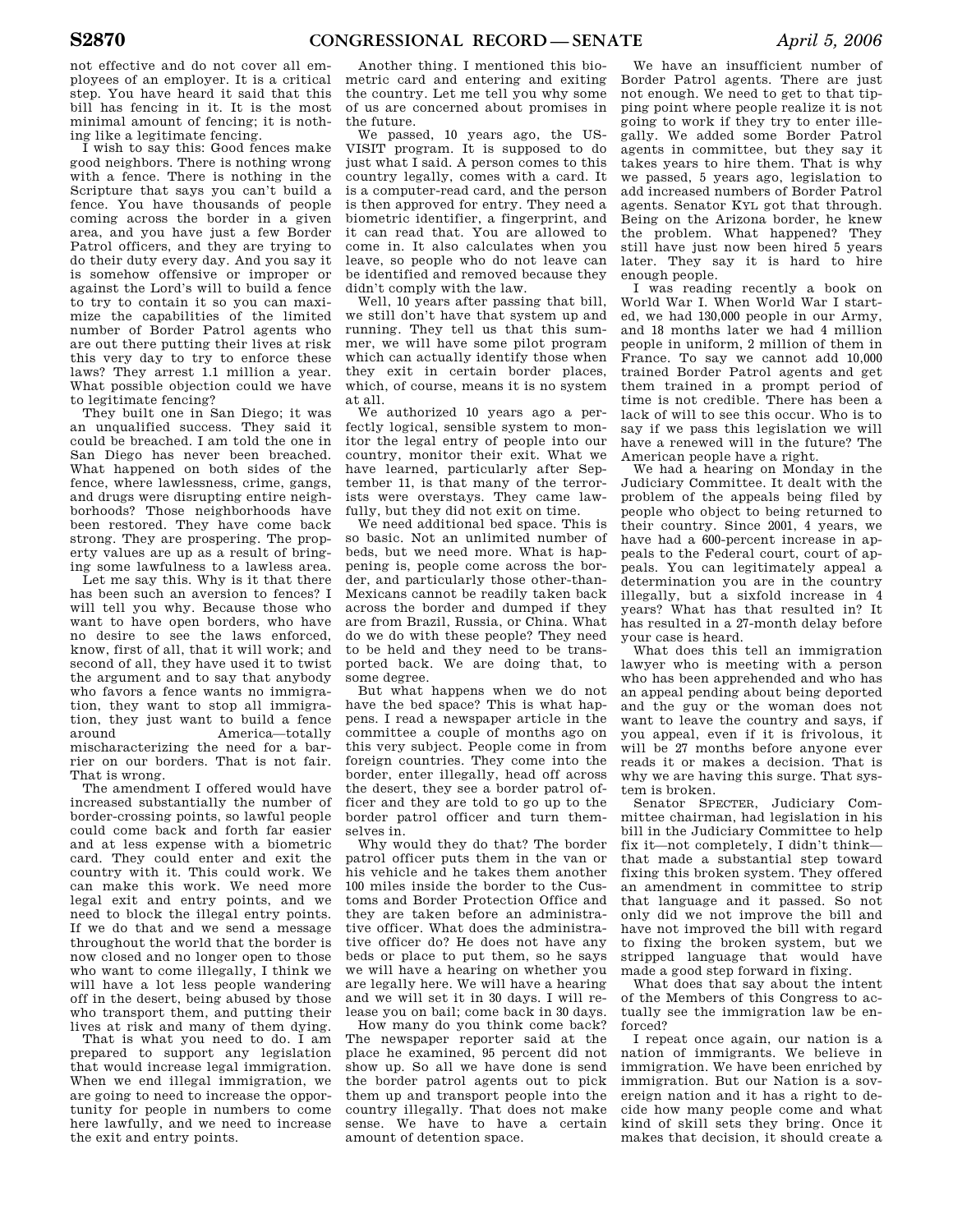not effective and do not cover all employees of an employer. It is a critical step. You have heard it said that this bill has fencing in it. It is the most minimal amount of fencing; it is nothing like a legitimate fencing.

I wish to say this: Good fences make good neighbors. There is nothing wrong with a fence. There is nothing in the Scripture that says you can't build a fence. You have thousands of people coming across the border in a given area, and you have just a few Border Patrol officers, and they are trying to do their duty every day. And you say it is somehow offensive or improper or against the Lord's will to build a fence to try to contain it so you can maximize the capabilities of the limited number of Border Patrol agents who are out there putting their lives at risk this very day to try to enforce these laws? They arrest 1.1 million a year. What possible objection could we have to legitimate fencing?

They built one in San Diego; it was an unqualified success. They said it could be breached. I am told the one in San Diego has never been breached. What happened on both sides of the fence, where lawlessness, crime, gangs, and drugs were disrupting entire neighborhoods? Those neighborhoods have been restored. They have come back strong. They are prospering. The property values are up as a result of bringing some lawfulness to a lawless area.

Let me say this. Why is it that there has been such an aversion to fences? I will tell you why. Because those who want to have open borders, who have no desire to see the laws enforced, know, first of all, that it will work; and second of all, they have used it to twist the argument and to say that anybody who favors a fence wants no immigration, they want to stop all immigration, they just want to build a fence around America—totally mischaracterizing the need for a barrier on our borders. That is not fair. That is wrong.

The amendment I offered would have increased substantially the number of border-crossing points, so lawful people could come back and forth far easier and at less expense with a biometric card. They could enter and exit the country with it. This could work. We can make this work. We need more legal exit and entry points, and we need to block the illegal entry points. If we do that and we send a message throughout the world that the border is now closed and no longer open to those who want to come illegally, I think we will have a lot less people wandering off in the desert, being abused by those who transport them, and putting their lives at risk and many of them dying.

That is what you need to do. I am prepared to support any legislation that would increase legal immigration. When we end illegal immigration, we are going to need to increase the opportunity for people in numbers to come here lawfully, and we need to increase the exit and entry points.

Another thing. I mentioned this biometric card and entering and exiting the country. Let me tell you why some of us are concerned about promises in the future.

We passed, 10 years ago, the US-VISIT program. It is supposed to do just what I said. A person comes to this country legally, comes with a card. It is a computer-read card, and the person is then approved for entry. They need a biometric identifier, a fingerprint, and it can read that. You are allowed to come in. It also calculates when you leave, so people who do not leave can be identified and removed because they didn't comply with the law.

Well, 10 years after passing that bill, we still don't have that system up and running. They tell us that this summer, we will have some pilot program which can actually identify those when they exit in certain border places, which, of course, means it is no system at all.

We authorized 10 years ago a perfectly logical, sensible system to monitor the legal entry of people into our country, monitor their exit. What we have learned, particularly after September 11, is that many of the terrorists were overstays. They came lawfully, but they did not exit on time.

We need additional bed space. This is so basic. Not an unlimited number of beds, but we need more. What is happening is, people come across the border, and particularly those other-than-Mexicans cannot be readily taken back across the border and dumped if they are from Brazil, Russia, or China. What do we do with these people? They need to be held and they need to be transported back. We are doing that, to some degree.

But what happens when we do not have the bed space? This is what happens. I read a newspaper article in the committee a couple of months ago on this very subject. People come in from foreign countries. They come into the border, enter illegally, head off across the desert, they see a border patrol officer and they are told to go up to the border patrol officer and turn themselves in.

Why would they do that? The border patrol officer puts them in the van or his vehicle and he takes them another 100 miles inside the border to the Customs and Border Protection Office and they are taken before an administrative officer. What does the administrative officer do? He does not have any beds or place to put them, so he says we will have a hearing on whether you are legally here. We will have a hearing and we will set it in 30 days. I will release you on bail; come back in 30 days.

How many do you think come back? The newspaper reporter said at the place he examined, 95 percent did not show up. So all we have done is send the border patrol agents out to pick them up and transport people into the country illegally. That does not make sense. We have to have a certain amount of detention space.

We have an insufficient number of Border Patrol agents. There are just not enough. We need to get to that tipping point where people realize it is not going to work if they try to enter illegally. We added some Border Patrol agents in committee, but they say it takes years to hire them. That is why we passed, 5 years ago, legislation to add increased numbers of Border Patrol agents. Senator KYL got that through. Being on the Arizona border, he knew the problem. What happened? They still have just now been hired 5 years later. They say it is hard to hire enough people.

I was reading recently a book on World War I. When World War I started, we had 130,000 people in our Army, and 18 months later we had 4 million people in uniform, 2 million of them in France. To say we cannot add 10,000 trained Border Patrol agents and get them trained in a prompt period of time is not credible. There has been a lack of will to see this occur. Who is to say if we pass this legislation we will have a renewed will in the future? The American people have a right.

We had a hearing on Monday in the Judiciary Committee. It dealt with the problem of the appeals being filed by people who object to being returned to their country. Since 2001, 4 years, we have had a 600-percent increase in appeals to the Federal court, court of appeals. You can legitimately appeal a determination you are in the country illegally, but a sixfold increase in 4 years? What has that resulted in? It has resulted in a 27-month delay before your case is heard.

What does this tell an immigration lawyer who is meeting with a person who has been apprehended and who has an appeal pending about being deported and the guy or the woman does not want to leave the country and says, if you appeal, even if it is frivolous, it will be 27 months before anyone ever reads it or makes a decision. That is why we are having this surge. That system is broken.

Senator SPECTER, Judiciary Committee chairman, had legislation in his bill in the Judiciary Committee to help fix it—not completely, I didn't think that made a substantial step toward fixing this broken system. They offered an amendment in committee to strip that language and it passed. So not only did we not improve the bill and have not improved the bill with regard to fixing the broken system, but we stripped language that would have made a good step forward in fixing.

What does that say about the intent of the Members of this Congress to actually see the immigration law be enforced?

I repeat once again, our nation is a nation of immigrants. We believe in immigration. We have been enriched by immigration. But our Nation is a sovereign nation and it has a right to decide how many people come and what kind of skill sets they bring. Once it makes that decision, it should create a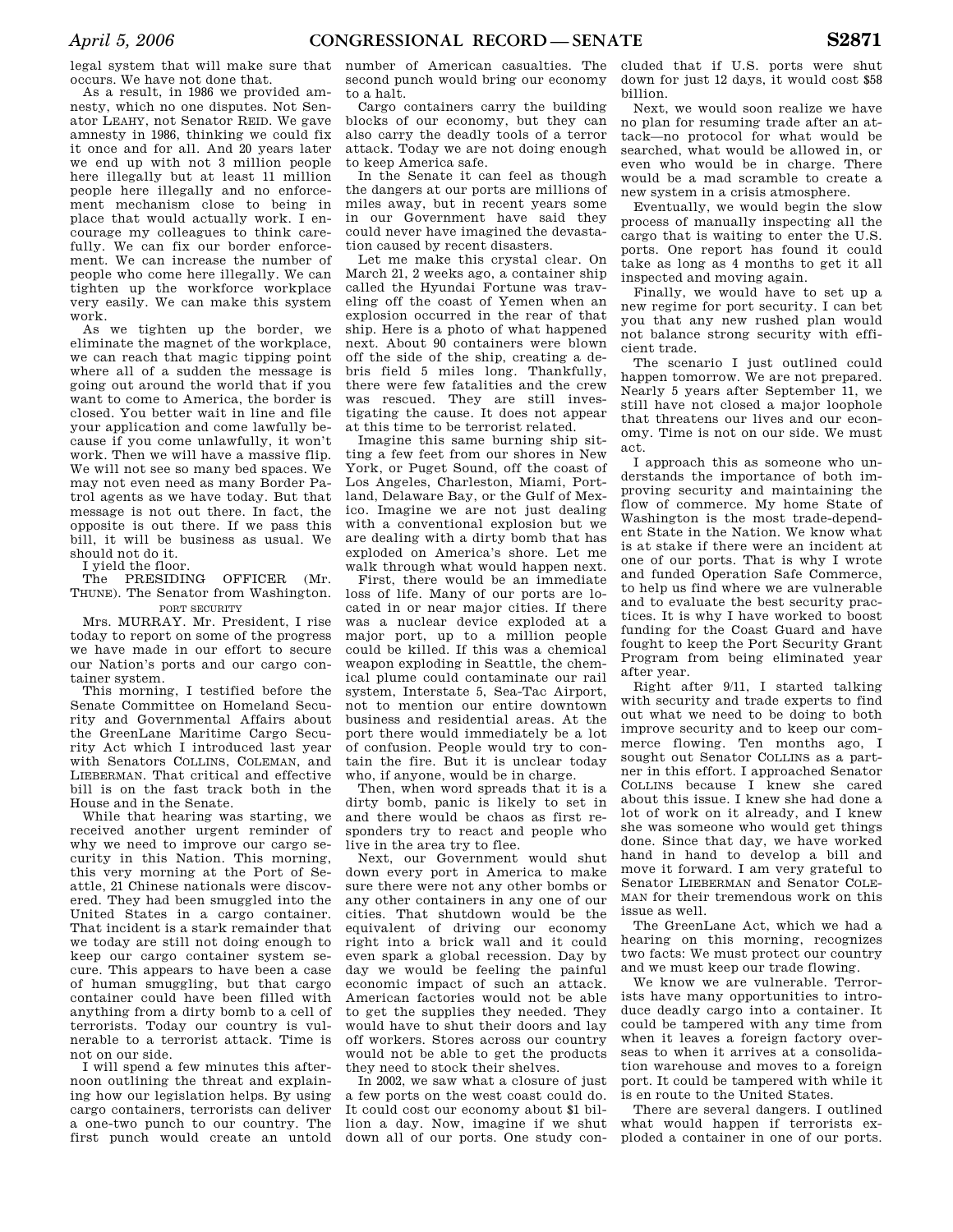legal system that will make sure that occurs. We have not done that.

As a result, in 1986 we provided amnesty, which no one disputes. Not Senator LEAHY, not Senator REID. We gave amnesty in 1986, thinking we could fix it once and for all. And 20 years later we end up with not 3 million people here illegally but at least 11 million people here illegally and no enforcement mechanism close to being in place that would actually work. I encourage my colleagues to think carefully. We can fix our border enforcement. We can increase the number of people who come here illegally. We can tighten up the workforce workplace very easily. We can make this system work.

As we tighten up the border, we eliminate the magnet of the workplace, we can reach that magic tipping point where all of a sudden the message is going out around the world that if you want to come to America, the border is closed. You better wait in line and file your application and come lawfully because if you come unlawfully, it won't work. Then we will have a massive flip. We will not see so many bed spaces. We may not even need as many Border Patrol agents as we have today. But that message is not out there. In fact, the opposite is out there. If we pass this bill, it will be business as usual. We should not do it.

I yield the floor.

The PRESIDING OFFICER (Mr. THUNE). The Senator from Washington. PORT SECURITY

Mrs. MURRAY. Mr. President, I rise today to report on some of the progress we have made in our effort to secure our Nation's ports and our cargo container system.

This morning, I testified before the Senate Committee on Homeland Security and Governmental Affairs about the GreenLane Maritime Cargo Security Act which I introduced last year with Senators COLLINS, COLEMAN, and LIEBERMAN. That critical and effective bill is on the fast track both in the House and in the Senate.

While that hearing was starting, we received another urgent reminder of why we need to improve our cargo security in this Nation. This morning, this very morning at the Port of Seattle, 21 Chinese nationals were discovered. They had been smuggled into the United States in a cargo container. That incident is a stark remainder that we today are still not doing enough to keep our cargo container system secure. This appears to have been a case of human smuggling, but that cargo container could have been filled with anything from a dirty bomb to a cell of terrorists. Today our country is vulnerable to a terrorist attack. Time is not on our side.

I will spend a few minutes this afternoon outlining the threat and explaining how our legislation helps. By using cargo containers, terrorists can deliver a one-two punch to our country. The first punch would create an untold

number of American casualties. The second punch would bring our economy to a halt.

Cargo containers carry the building blocks of our economy, but they can also carry the deadly tools of a terror attack. Today we are not doing enough to keep America safe.

In the Senate it can feel as though the dangers at our ports are millions of miles away, but in recent years some in our Government have said they could never have imagined the devastation caused by recent disasters.

Let me make this crystal clear. On March 21, 2 weeks ago, a container ship called the Hyundai Fortune was traveling off the coast of Yemen when an explosion occurred in the rear of that ship. Here is a photo of what happened next. About 90 containers were blown off the side of the ship, creating a debris field 5 miles long. Thankfully, there were few fatalities and the crew was rescued. They are still investigating the cause. It does not appear at this time to be terrorist related.

Imagine this same burning ship sitting a few feet from our shores in New York, or Puget Sound, off the coast of Los Angeles, Charleston, Miami, Portland, Delaware Bay, or the Gulf of Mexico. Imagine we are not just dealing with a conventional explosion but we are dealing with a dirty bomb that has exploded on America's shore. Let me walk through what would happen next.

First, there would be an immediate loss of life. Many of our ports are located in or near major cities. If there was a nuclear device exploded at a major port, up to a million people could be killed. If this was a chemical weapon exploding in Seattle, the chemical plume could contaminate our rail system, Interstate 5, Sea-Tac Airport, not to mention our entire downtown business and residential areas. At the port there would immediately be a lot of confusion. People would try to contain the fire. But it is unclear today who, if anyone, would be in charge.

Then, when word spreads that it is a dirty bomb, panic is likely to set in and there would be chaos as first responders try to react and people who live in the area try to flee.

Next, our Government would shut down every port in America to make sure there were not any other bombs or any other containers in any one of our cities. That shutdown would be the equivalent of driving our economy right into a brick wall and it could even spark a global recession. Day by day we would be feeling the painful economic impact of such an attack. American factories would not be able to get the supplies they needed. They would have to shut their doors and lay off workers. Stores across our country would not be able to get the products they need to stock their shelves.

In 2002, we saw what a closure of just a few ports on the west coast could do. It could cost our economy about \$1 billion a day. Now, imagine if we shut down all of our ports. One study con-

cluded that if U.S. ports were shut down for just 12 days, it would cost \$58 billion.

Next, we would soon realize we have no plan for resuming trade after an attack—no protocol for what would be searched, what would be allowed in, or even who would be in charge. There would be a mad scramble to create a new system in a crisis atmosphere.

Eventually, we would begin the slow process of manually inspecting all the cargo that is waiting to enter the U.S. ports. One report has found it could take as long as 4 months to get it all inspected and moving again.

Finally, we would have to set up a new regime for port security. I can bet you that any new rushed plan would not balance strong security with efficient trade.

The scenario I just outlined could happen tomorrow. We are not prepared. Nearly 5 years after September 11, we still have not closed a major loophole that threatens our lives and our economy. Time is not on our side. We must act.

I approach this as someone who understands the importance of both improving security and maintaining the flow of commerce. My home State of Washington is the most trade-dependent State in the Nation. We know what is at stake if there were an incident at one of our ports. That is why I wrote and funded Operation Safe Commerce, to help us find where we are vulnerable and to evaluate the best security practices. It is why I have worked to boost funding for the Coast Guard and have fought to keep the Port Security Grant Program from being eliminated year after year.

Right after 9/11, I started talking with security and trade experts to find out what we need to be doing to both improve security and to keep our commerce flowing. Ten months ago, I sought out Senator COLLINS as a partner in this effort. I approached Senator COLLINS because I knew she cared about this issue. I knew she had done a lot of work on it already, and I knew she was someone who would get things done. Since that day, we have worked hand in hand to develop a bill and move it forward. I am very grateful to Senator LIEBERMAN and Senator COLE-MAN for their tremendous work on this issue as well.

The GreenLane Act, which we had a hearing on this morning, recognizes two facts: We must protect our country and we must keep our trade flowing.

We know we are vulnerable. Terrorists have many opportunities to introduce deadly cargo into a container. It could be tampered with any time from when it leaves a foreign factory overseas to when it arrives at a consolidation warehouse and moves to a foreign port. It could be tampered with while it is en route to the United States.

There are several dangers. I outlined what would happen if terrorists exploded a container in one of our ports.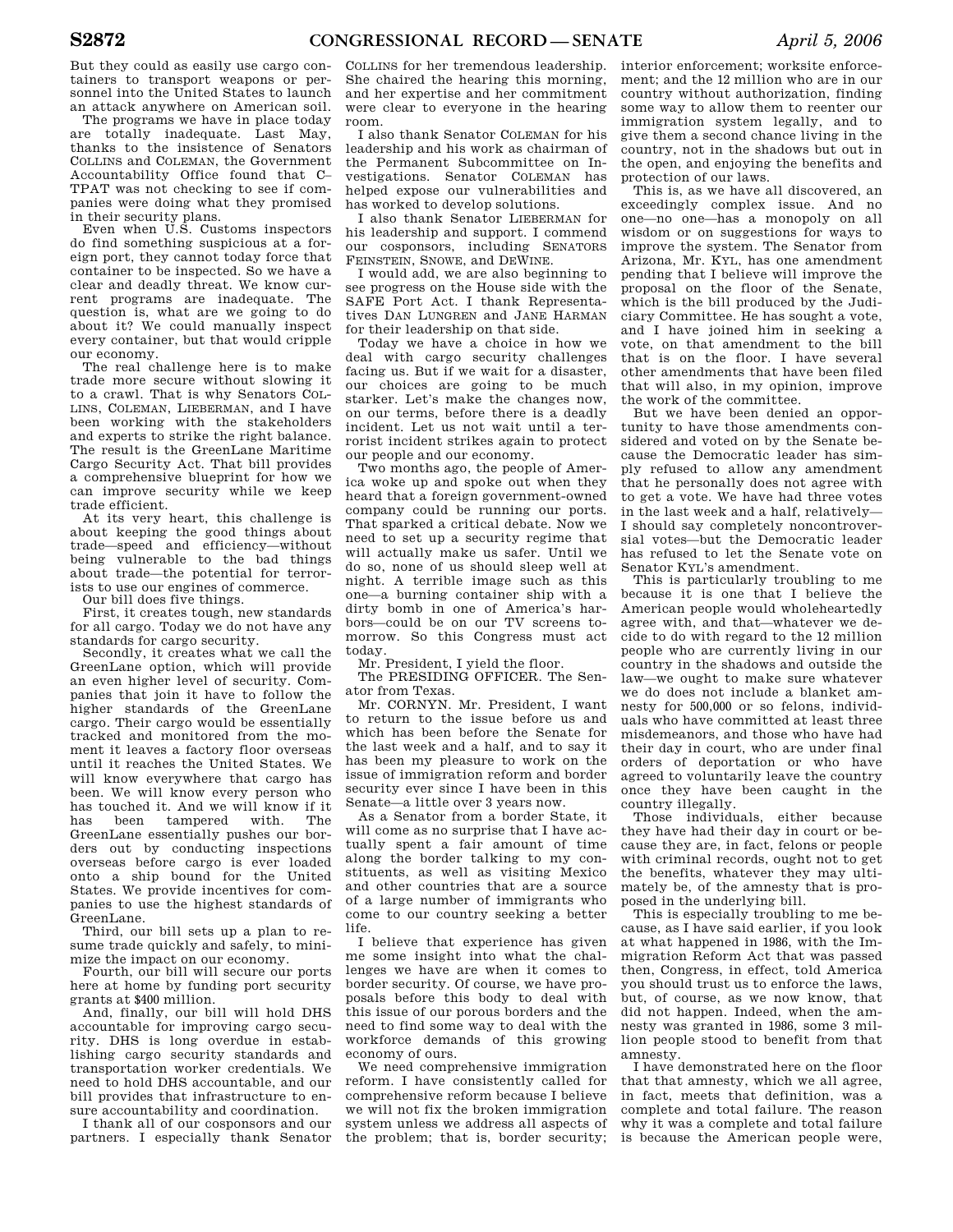But they could as easily use cargo containers to transport weapons or personnel into the United States to launch an attack anywhere on American soil.

The programs we have in place today are totally inadequate. Last May, thanks to the insistence of Senators COLLINS and COLEMAN, the Government Accountability Office found that C– TPAT was not checking to see if companies were doing what they promised in their security plans.

Even when  $\check{U}$ .S. Customs inspectors do find something suspicious at a foreign port, they cannot today force that container to be inspected. So we have a clear and deadly threat. We know current programs are inadequate. The question is, what are we going to do about it? We could manually inspect every container, but that would cripple our economy.

The real challenge here is to make trade more secure without slowing it to a crawl. That is why Senators COL-LINS, COLEMAN, LIEBERMAN, and I have been working with the stakeholders and experts to strike the right balance. The result is the GreenLane Maritime Cargo Security Act. That bill provides a comprehensive blueprint for how we can improve security while we keep trade efficient.

At its very heart, this challenge is about keeping the good things about trade—speed and efficiency—without being vulnerable to the bad things about trade—the potential for terrorists to use our engines of commerce.

Our bill does five things.

First, it creates tough, new standards for all cargo. Today we do not have any standards for cargo security.

Secondly, it creates what we call the GreenLane option, which will provide an even higher level of security. Companies that join it have to follow the higher standards of the GreenLane cargo. Their cargo would be essentially tracked and monitored from the moment it leaves a factory floor overseas until it reaches the United States. We will know everywhere that cargo has been. We will know every person who has touched it. And we will know if it has been tampered with. The GreenLane essentially pushes our borders out by conducting inspections overseas before cargo is ever loaded onto a ship bound for the United States. We provide incentives for companies to use the highest standards of GreenLane.

Third, our bill sets up a plan to resume trade quickly and safely, to minimize the impact on our economy.

Fourth, our bill will secure our ports here at home by funding port security grants at \$400 million.

And, finally, our bill will hold DHS accountable for improving cargo security. DHS is long overdue in establishing cargo security standards and transportation worker credentials. We need to hold DHS accountable, and our bill provides that infrastructure to ensure accountability and coordination.

I thank all of our cosponsors and our partners. I especially thank Senator

COLLINS for her tremendous leadership. She chaired the hearing this morning, and her expertise and her commitment were clear to everyone in the hearing room.

I also thank Senator COLEMAN for his leadership and his work as chairman of the Permanent Subcommittee on Investigations. Senator COLEMAN has helped expose our vulnerabilities and has worked to develop solutions.

I also thank Senator LIEBERMAN for his leadership and support. I commend our cosponsors, including SENATORS FEINSTEIN, SNOWE, and DEWINE.

I would add, we are also beginning to see progress on the House side with the SAFE Port Act. I thank Representatives DAN LUNGREN and JANE HARMAN for their leadership on that side.

Today we have a choice in how we deal with cargo security challenges facing us. But if we wait for a disaster, our choices are going to be much starker. Let's make the changes now, on our terms, before there is a deadly incident. Let us not wait until a terrorist incident strikes again to protect our people and our economy.

Two months ago, the people of America woke up and spoke out when they heard that a foreign government-owned company could be running our ports. That sparked a critical debate. Now we need to set up a security regime that will actually make us safer. Until we do so, none of us should sleep well at night. A terrible image such as this one—a burning container ship with a dirty bomb in one of America's harbors—could be on our TV screens tomorrow. So this Congress must act today.

Mr. President, I yield the floor.

The PRESIDING OFFICER. The Senator from Texas.

Mr. CORNYN. Mr. President, I want to return to the issue before us and which has been before the Senate for the last week and a half, and to say it has been my pleasure to work on the issue of immigration reform and border security ever since I have been in this Senate—a little over 3 years now.

As a Senator from a border State, it will come as no surprise that I have actually spent a fair amount of time along the border talking to my constituents, as well as visiting Mexico and other countries that are a source of a large number of immigrants who come to our country seeking a better life.

I believe that experience has given me some insight into what the challenges we have are when it comes to border security. Of course, we have proposals before this body to deal with this issue of our porous borders and the need to find some way to deal with the workforce demands of this growing economy of ours.

We need comprehensive immigration reform. I have consistently called for comprehensive reform because I believe we will not fix the broken immigration system unless we address all aspects of the problem; that is, border security;

interior enforcement; worksite enforcement; and the 12 million who are in our country without authorization, finding some way to allow them to reenter our immigration system legally, and to give them a second chance living in the country, not in the shadows but out in the open, and enjoying the benefits and protection of our laws.

This is, as we have all discovered, an exceedingly complex issue. And no one—no one—has a monopoly on all wisdom or on suggestions for ways to improve the system. The Senator from Arizona, Mr. KYL, has one amendment pending that I believe will improve the proposal on the floor of the Senate, which is the bill produced by the Judiciary Committee. He has sought a vote, and I have joined him in seeking a vote, on that amendment to the bill that is on the floor. I have several other amendments that have been filed that will also, in my opinion, improve the work of the committee.

But we have been denied an opportunity to have those amendments considered and voted on by the Senate because the Democratic leader has simply refused to allow any amendment that he personally does not agree with to get a vote. We have had three votes in the last week and a half, relatively— I should say completely noncontroversial votes—but the Democratic leader has refused to let the Senate vote on Senator KYL's amendment.

This is particularly troubling to me because it is one that I believe the American people would wholeheartedly agree with, and that—whatever we decide to do with regard to the 12 million people who are currently living in our country in the shadows and outside the law—we ought to make sure whatever we do does not include a blanket amnesty for 500,000 or so felons, individuals who have committed at least three misdemeanors, and those who have had their day in court, who are under final orders of deportation or who have agreed to voluntarily leave the country once they have been caught in the country illegally.

Those individuals, either because they have had their day in court or because they are, in fact, felons or people with criminal records, ought not to get the benefits, whatever they may ultimately be, of the amnesty that is proposed in the underlying bill.

This is especially troubling to me because, as I have said earlier, if you look at what happened in 1986, with the Immigration Reform Act that was passed then, Congress, in effect, told America you should trust us to enforce the laws, but, of course, as we now know, that did not happen. Indeed, when the amnesty was granted in 1986, some 3 million people stood to benefit from that amnesty.

I have demonstrated here on the floor that that amnesty, which we all agree, in fact, meets that definition, was a complete and total failure. The reason why it was a complete and total failure is because the American people were,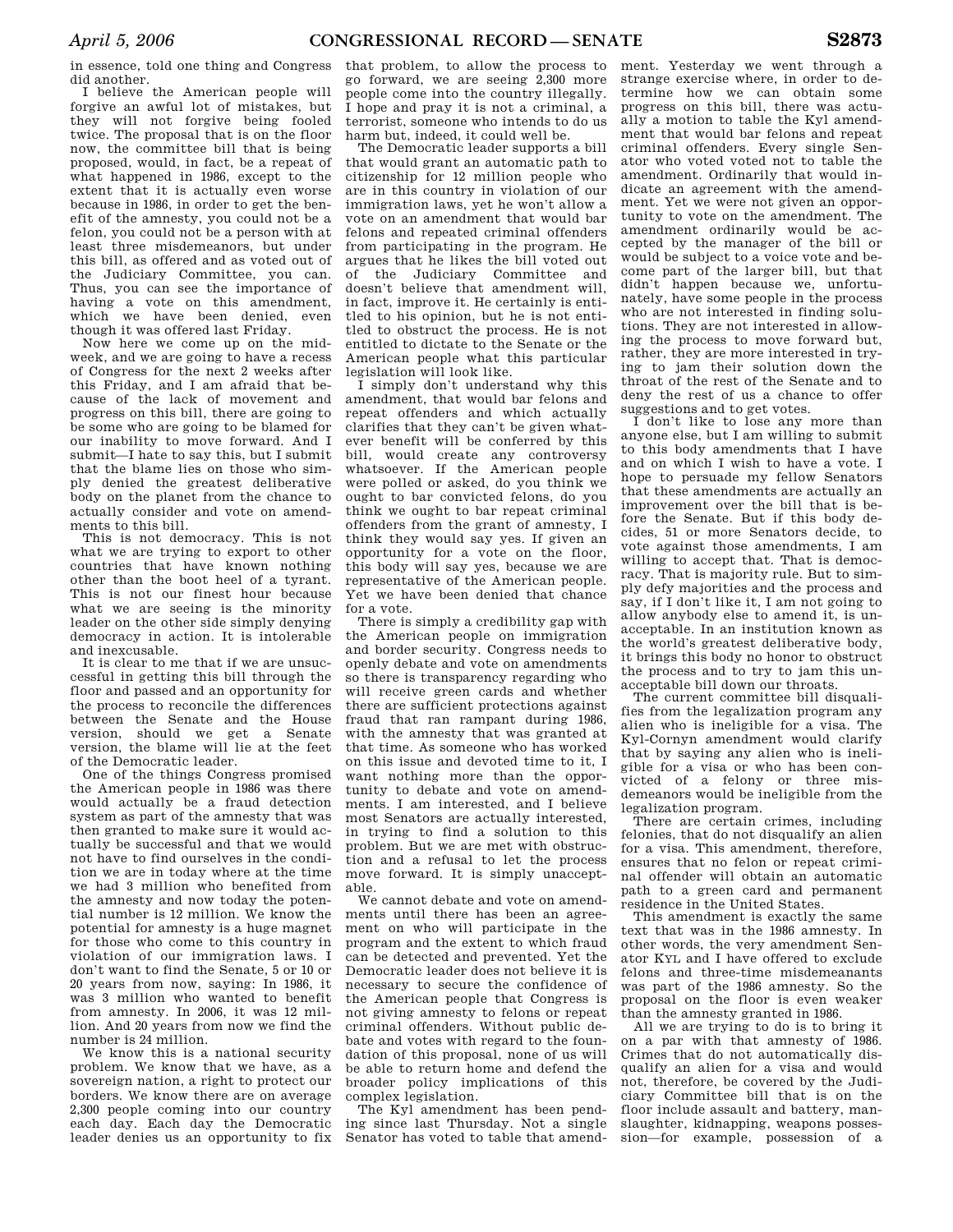in essence, told one thing and Congress did another.

I believe the American people will forgive an awful lot of mistakes, but they will not forgive being fooled twice. The proposal that is on the floor now, the committee bill that is being proposed, would, in fact, be a repeat of what happened in 1986, except to the extent that it is actually even worse because in 1986, in order to get the benefit of the amnesty, you could not be a felon, you could not be a person with at least three misdemeanors, but under this bill, as offered and as voted out of the Judiciary Committee, you can. Thus, you can see the importance of having a vote on this amendment, which we have been denied, even though it was offered last Friday.

Now here we come up on the midweek, and we are going to have a recess of Congress for the next 2 weeks after this Friday, and I am afraid that because of the lack of movement and progress on this bill, there are going to be some who are going to be blamed for our inability to move forward. And I submit—I hate to say this, but I submit that the blame lies on those who simply denied the greatest deliberative body on the planet from the chance to actually consider and vote on amendments to this bill.

This is not democracy. This is not what we are trying to export to other countries that have known nothing other than the boot heel of a tyrant. This is not our finest hour because what we are seeing is the minority leader on the other side simply denying democracy in action. It is intolerable and inexcusable.

It is clear to me that if we are unsuccessful in getting this bill through the floor and passed and an opportunity for the process to reconcile the differences between the Senate and the House version, should we get a Senate version, the blame will lie at the feet of the Democratic leader.

One of the things Congress promised the American people in 1986 was there would actually be a fraud detection system as part of the amnesty that was then granted to make sure it would actually be successful and that we would not have to find ourselves in the condition we are in today where at the time we had 3 million who benefited from the amnesty and now today the potential number is 12 million. We know the potential for amnesty is a huge magnet for those who come to this country in violation of our immigration laws. I don't want to find the Senate, 5 or 10 or 20 years from now, saying: In 1986, it was 3 million who wanted to benefit from amnesty. In 2006, it was 12 million. And 20 years from now we find the number is 24 million.

We know this is a national security problem. We know that we have, as a sovereign nation, a right to protect our borders. We know there are on average 2,300 people coming into our country each day. Each day the Democratic leader denies us an opportunity to fix

that problem, to allow the process to go forward, we are seeing  $2,300$  more people come into the country illegally. I hope and pray it is not a criminal, a terrorist, someone who intends to do us harm but, indeed, it could well be.

The Democratic leader supports a bill that would grant an automatic path to citizenship for 12 million people who are in this country in violation of our immigration laws, yet he won't allow a vote on an amendment that would bar felons and repeated criminal offenders from participating in the program. He argues that he likes the bill voted out of the Judiciary Committee and doesn't believe that amendment will, in fact, improve it. He certainly is entitled to his opinion, but he is not entitled to obstruct the process. He is not entitled to dictate to the Senate or the American people what this particular legislation will look like.

I simply don't understand why this amendment, that would bar felons and repeat offenders and which actually clarifies that they can't be given whatever benefit will be conferred by this bill, would create any controversy whatsoever. If the American people were polled or asked, do you think we ought to bar convicted felons, do you think we ought to bar repeat criminal offenders from the grant of amnesty, I think they would say yes. If given an opportunity for a vote on the floor, this body will say yes, because we are representative of the American people. Yet we have been denied that chance for a vote.

There is simply a credibility gap with the American people on immigration and border security. Congress needs to openly debate and vote on amendments so there is transparency regarding who will receive green cards and whether there are sufficient protections against fraud that ran rampant during 1986, with the amnesty that was granted at that time. As someone who has worked on this issue and devoted time to it, I want nothing more than the opportunity to debate and vote on amendments. I am interested, and I believe most Senators are actually interested, in trying to find a solution to this problem. But we are met with obstruction and a refusal to let the process move forward. It is simply unacceptable.

We cannot debate and vote on amendments until there has been an agreement on who will participate in the program and the extent to which fraud can be detected and prevented. Yet the Democratic leader does not believe it is necessary to secure the confidence of the American people that Congress is not giving amnesty to felons or repeat criminal offenders. Without public debate and votes with regard to the foundation of this proposal, none of us will be able to return home and defend the broader policy implications of this complex legislation.

The Kyl amendment has been pending since last Thursday. Not a single Senator has voted to table that amendment. Yesterday we went through a strange exercise where, in order to determine how we can obtain some progress on this bill, there was actually a motion to table the Kyl amendment that would bar felons and repeat criminal offenders. Every single Senator who voted voted not to table the amendment. Ordinarily that would indicate an agreement with the amendment. Yet we were not given an opportunity to vote on the amendment. The amendment ordinarily would be accepted by the manager of the bill or would be subject to a voice vote and become part of the larger bill, but that didn't happen because we, unfortunately, have some people in the process who are not interested in finding solutions. They are not interested in allowing the process to move forward but, rather, they are more interested in trying to jam their solution down the throat of the rest of the Senate and to deny the rest of us a chance to offer suggestions and to get votes.

I don't like to lose any more than anyone else, but I am willing to submit to this body amendments that I have and on which I wish to have a vote. I hope to persuade my fellow Senators that these amendments are actually an improvement over the bill that is before the Senate. But if this body decides, 51 or more Senators decide, to vote against those amendments, I am willing to accept that. That is democracy. That is majority rule. But to simply defy majorities and the process and say, if I don't like it, I am not going to allow anybody else to amend it, is unacceptable. In an institution known as the world's greatest deliberative body, it brings this body no honor to obstruct the process and to try to jam this unacceptable bill down our throats.

The current committee bill disqualifies from the legalization program any alien who is ineligible for a visa. The Kyl-Cornyn amendment would clarify that by saying any alien who is ineligible for a visa or who has been convicted of a felony or three misdemeanors would be ineligible from the legalization program.

There are certain crimes, including felonies, that do not disqualify an alien for a visa. This amendment, therefore, ensures that no felon or repeat criminal offender will obtain an automatic path to a green card and permanent residence in the United States.

This amendment is exactly the same text that was in the 1986 amnesty. In other words, the very amendment Senator KYL and I have offered to exclude felons and three-time misdemeanants was part of the 1986 amnesty. So the proposal on the floor is even weaker than the amnesty granted in 1986.

All we are trying to do is to bring it on a par with that amnesty of 1986. Crimes that do not automatically disqualify an alien for a visa and would not, therefore, be covered by the Judiciary Committee bill that is on the floor include assault and battery, manslaughter, kidnapping, weapons possession—for example, possession of a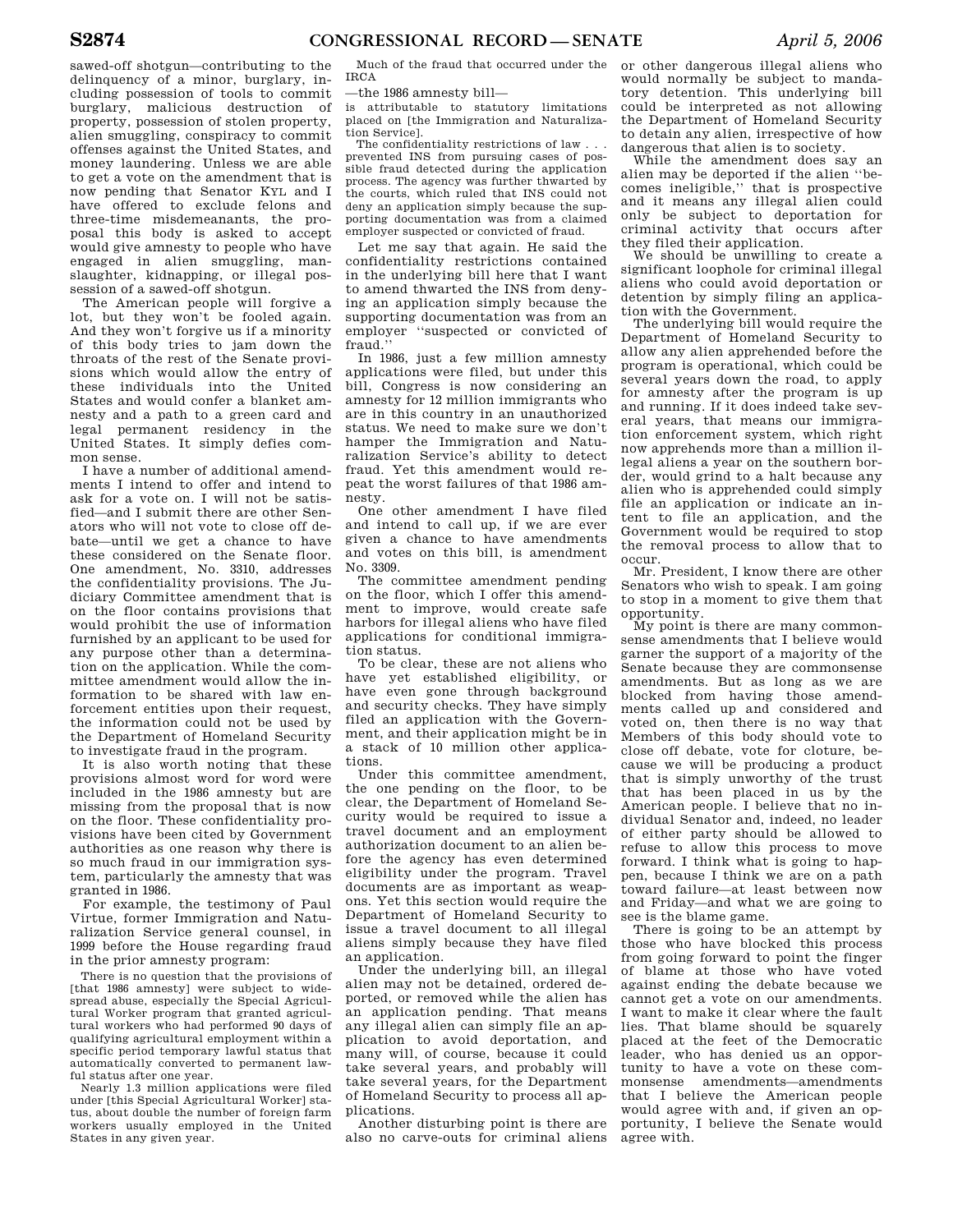sawed-off shotgun—contributing to the delinquency of a minor, burglary, including possession of tools to commit burglary, malicious destruction of property, possession of stolen property, alien smuggling, conspiracy to commit offenses against the United States, and money laundering. Unless we are able to get a vote on the amendment that is now pending that Senator KYL and I have offered to exclude felons and three-time misdemeanants, the proposal this body is asked to accept would give amnesty to people who have engaged in alien smuggling, manslaughter, kidnapping, or illegal possession of a sawed-off shotgun.

The American people will forgive a lot, but they won't be fooled again. And they won't forgive us if a minority of this body tries to jam down the throats of the rest of the Senate provisions which would allow the entry of these individuals into the United States and would confer a blanket amnesty and a path to a green card and legal permanent residency in the United States. It simply defies common sense.

I have a number of additional amendments I intend to offer and intend to ask for a vote on. I will not be satisfied—and I submit there are other Senators who will not vote to close off debate—until we get a chance to have these considered on the Senate floor. One amendment, No. 3310, addresses the confidentiality provisions. The Judiciary Committee amendment that is on the floor contains provisions that would prohibit the use of information furnished by an applicant to be used for any purpose other than a determination on the application. While the committee amendment would allow the information to be shared with law enforcement entities upon their request. the information could not be used by the Department of Homeland Security to investigate fraud in the program.

It is also worth noting that these provisions almost word for word were included in the 1986 amnesty but are missing from the proposal that is now on the floor. These confidentiality provisions have been cited by Government authorities as one reason why there is so much fraud in our immigration system, particularly the amnesty that was granted in 1986.

For example, the testimony of Paul Virtue, former Immigration and Naturalization Service general counsel, in 1999 before the House regarding fraud in the prior amnesty program:

There is no question that the provisions of [that 1986 amnesty] were subject to widespread abuse, especially the Special Agricultural Worker program that granted agricultural workers who had performed 90 days of qualifying agricultural employment within a specific period temporary lawful status that automatically converted to permanent lawful status after one year.

Nearly 1.3 million applications were filed under [this Special Agricultural Worker] status, about double the number of foreign farm workers usually employed in the United States in any given year.

Much of the fraud that occurred under the IRCA

—the 1986 amnesty bill—

is attributable to statutory limitations placed on [the Immigration and Naturalization Service].

The confidentiality restrictions of law . . . prevented INS from pursuing cases of possible fraud detected during the application process. The agency was further thwarted by the courts, which ruled that INS could not deny an application simply because the supporting documentation was from a claimed employer suspected or convicted of fraud.

Let me say that again. He said the confidentiality restrictions contained in the underlying bill here that I want to amend thwarted the INS from denying an application simply because the supporting documentation was from an employer ''suspected or convicted of fraud.''

In 1986, just a few million amnesty applications were filed, but under this bill, Congress is now considering an amnesty for 12 million immigrants who are in this country in an unauthorized status. We need to make sure we don't hamper the Immigration and Naturalization Service's ability to detect fraud. Yet this amendment would repeat the worst failures of that 1986 amnesty.

One other amendment I have filed and intend to call up, if we are ever given a chance to have amendments and votes on this bill, is amendment No. 3309.

The committee amendment pending on the floor, which I offer this amendment to improve, would create safe harbors for illegal aliens who have filed applications for conditional immigration status.

To be clear, these are not aliens who have yet established eligibility, or have even gone through background and security checks. They have simply filed an application with the Government, and their application might be in a stack of 10 million other applications.

Under this committee amendment, the one pending on the floor, to be clear, the Department of Homeland Security would be required to issue a travel document and an employment authorization document to an alien before the agency has even determined eligibility under the program. Travel documents are as important as weapons. Yet this section would require the Department of Homeland Security to issue a travel document to all illegal aliens simply because they have filed an application.

Under the underlying bill, an illegal alien may not be detained, ordered deported, or removed while the alien has an application pending. That means any illegal alien can simply file an application to avoid deportation, and many will, of course, because it could take several years, and probably will take several years, for the Department of Homeland Security to process all applications.

Another disturbing point is there are also no carve-outs for criminal aliens or other dangerous illegal aliens who would normally be subject to mandatory detention. This underlying bill could be interpreted as not allowing the Department of Homeland Security to detain any alien, irrespective of how dangerous that alien is to society.

While the amendment does say an alien may be deported if the alien ''becomes ineligible,'' that is prospective and it means any illegal alien could only be subject to deportation for criminal activity that occurs after they filed their application.

We should be unwilling to create a significant loophole for criminal illegal aliens who could avoid deportation or detention by simply filing an application with the Government.

The underlying bill would require the Department of Homeland Security to allow any alien apprehended before the program is operational, which could be several years down the road, to apply for amnesty after the program is up and running. If it does indeed take several years, that means our immigration enforcement system, which right now apprehends more than a million illegal aliens a year on the southern border, would grind to a halt because any alien who is apprehended could simply file an application or indicate an intent to file an application, and the Government would be required to stop the removal process to allow that to occur.

Mr. President, I know there are other Senators who wish to speak. I am going to stop in a moment to give them that opportunity.

My point is there are many commonsense amendments that I believe would garner the support of a majority of the Senate because they are commonsense amendments. But as long as we are blocked from having those amendments called up and considered and voted on, then there is no way that Members of this body should vote to close off debate, vote for cloture, because we will be producing a product that is simply unworthy of the trust that has been placed in us by the American people. I believe that no individual Senator and, indeed, no leader of either party should be allowed to refuse to allow this process to move forward. I think what is going to happen, because I think we are on a path toward failure—at least between now and Friday—and what we are going to see is the blame game.

There is going to be an attempt by those who have blocked this process from going forward to point the finger of blame at those who have voted against ending the debate because we cannot get a vote on our amendments. I want to make it clear where the fault lies. That blame should be squarely placed at the feet of the Democratic leader, who has denied us an opportunity to have a vote on these commonsense amendments—amendments that I believe the American people would agree with and, if given an opportunity, I believe the Senate would agree with.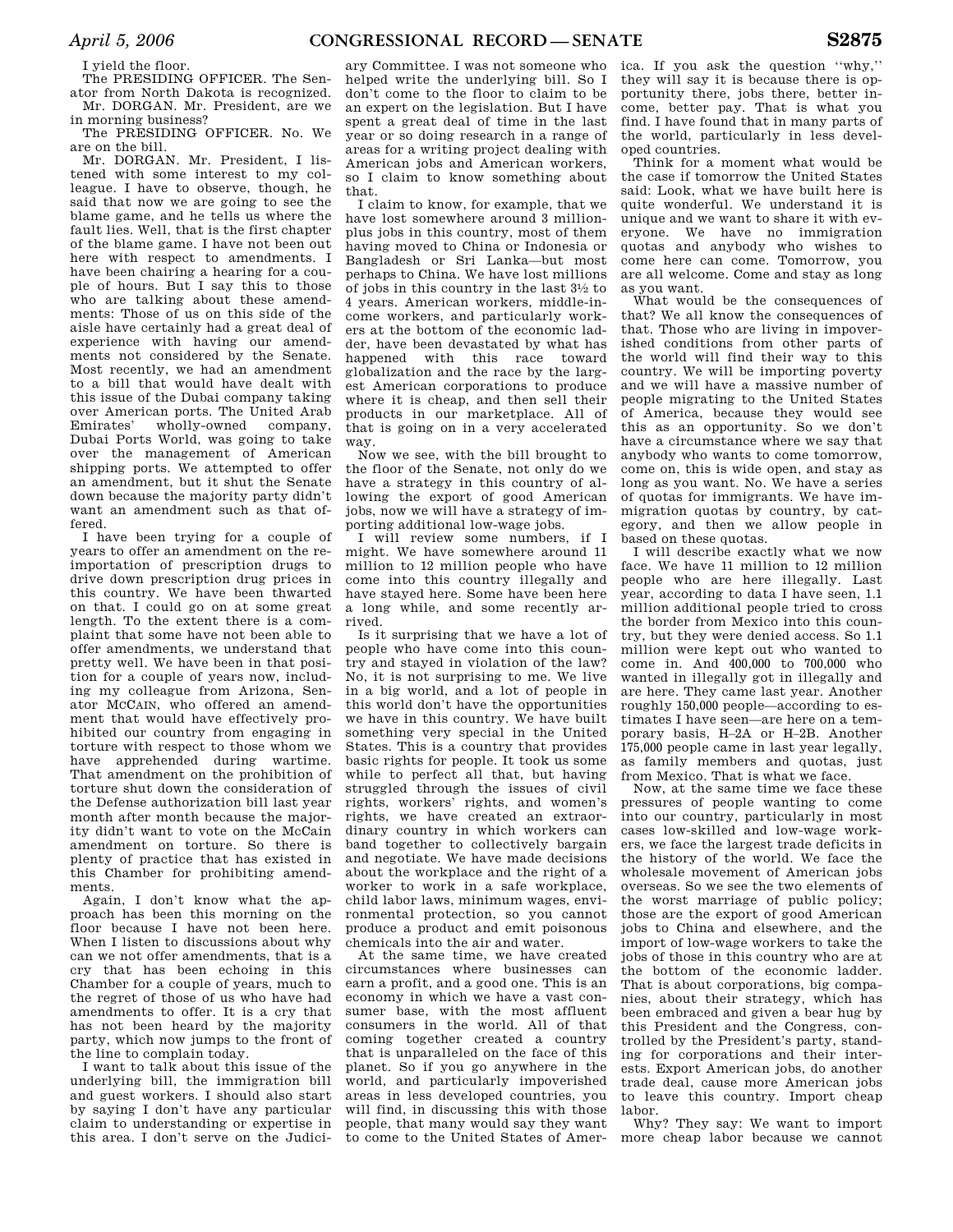I yield the floor.

The PRESIDING OFFICER. The Senator from North Dakota is recognized. Mr. DORGAN. Mr. President, are we in morning business?

The PRESIDING OFFICER. No. We are on the bill.

Mr. DORGAN. Mr. President, I listened with some interest to my colleague. I have to observe, though, he said that now we are going to see the blame game, and he tells us where the fault lies. Well, that is the first chapter of the blame game. I have not been out here with respect to amendments. I have been chairing a hearing for a couple of hours. But I say this to those who are talking about these amendments: Those of us on this side of the aisle have certainly had a great deal of experience with having our amendments not considered by the Senate. Most recently, we had an amendment to a bill that would have dealt with this issue of the Dubai company taking over American ports. The United Arab Emirates' wholly-owned company, Dubai Ports World, was going to take over the management of American shipping ports. We attempted to offer an amendment, but it shut the Senate down because the majority party didn't want an amendment such as that offered.

I have been trying for a couple of years to offer an amendment on the reimportation of prescription drugs to drive down prescription drug prices in this country. We have been thwarted on that. I could go on at some great length. To the extent there is a complaint that some have not been able to offer amendments, we understand that pretty well. We have been in that position for a couple of years now, including my colleague from Arizona, Senator MCCAIN, who offered an amendment that would have effectively prohibited our country from engaging in torture with respect to those whom we have apprehended during wartime. That amendment on the prohibition of torture shut down the consideration of the Defense authorization bill last year month after month because the majority didn't want to vote on the McCain amendment on torture. So there is plenty of practice that has existed in this Chamber for prohibiting amendments.

Again, I don't know what the approach has been this morning on the floor because I have not been here. When I listen to discussions about why can we not offer amendments, that is a cry that has been echoing in this Chamber for a couple of years, much to the regret of those of us who have had amendments to offer. It is a cry that has not been heard by the majority party, which now jumps to the front of the line to complain today.

I want to talk about this issue of the underlying bill, the immigration bill and guest workers. I should also start by saying I don't have any particular claim to understanding or expertise in this area. I don't serve on the Judici-

ary Committee. I was not someone who helped write the underlying bill. So I don't come to the floor to claim to be an expert on the legislation. But I have spent a great deal of time in the last year or so doing research in a range of areas for a writing project dealing with American jobs and American workers, so I claim to know something about that.

I claim to know, for example, that we have lost somewhere around 3 millionplus jobs in this country, most of them having moved to China or Indonesia or Bangladesh or Sri Lanka—but most perhaps to China. We have lost millions of jobs in this country in the last 31⁄2 to 4 years. American workers, middle-income workers, and particularly workers at the bottom of the economic ladder, have been devastated by what has happened with this race toward globalization and the race by the largest American corporations to produce where it is cheap, and then sell their products in our marketplace. All of that is going on in a very accelerated way.

Now we see, with the bill brought to the floor of the Senate, not only do we have a strategy in this country of allowing the export of good American jobs, now we will have a strategy of importing additional low-wage jobs.

I will review some numbers, if I might. We have somewhere around 11 million to 12 million people who have come into this country illegally and have stayed here. Some have been here a long while, and some recently arrived.

Is it surprising that we have a lot of people who have come into this country and stayed in violation of the law? No, it is not surprising to me. We live in a big world, and a lot of people in this world don't have the opportunities we have in this country. We have built something very special in the United States. This is a country that provides basic rights for people. It took us some while to perfect all that, but having struggled through the issues of civil rights, workers' rights, and women's rights, we have created an extraordinary country in which workers can band together to collectively bargain and negotiate. We have made decisions about the workplace and the right of a worker to work in a safe workplace, child labor laws, minimum wages, environmental protection, so you cannot produce a product and emit poisonous chemicals into the air and water.

At the same time, we have created circumstances where businesses can earn a profit, and a good one. This is an economy in which we have a vast consumer base, with the most affluent consumers in the world. All of that coming together created a country that is unparalleled on the face of this planet. So if you go anywhere in the world, and particularly impoverished areas in less developed countries, you will find, in discussing this with those people, that many would say they want to come to the United States of Amer-

ica. If you ask the question ''why,'' they will say it is because there is opportunity there, jobs there, better income, better pay. That is what you find. I have found that in many parts of the world, particularly in less developed countries.

Think for a moment what would be the case if tomorrow the United States said: Look, what we have built here is quite wonderful. We understand it is unique and we want to share it with everyone. We have no immigration quotas and anybody who wishes to come here can come. Tomorrow, you are all welcome. Come and stay as long as you want.

What would be the consequences of that? We all know the consequences of that. Those who are living in impoverished conditions from other parts of the world will find their way to this country. We will be importing poverty and we will have a massive number of people migrating to the United States of America, because they would see this as an opportunity. So we don't have a circumstance where we say that anybody who wants to come tomorrow, come on, this is wide open, and stay as long as you want. No. We have a series of quotas for immigrants. We have immigration quotas by country, by category, and then we allow people in based on these quotas.

I will describe exactly what we now face. We have 11 million to 12 million people who are here illegally. Last year, according to data I have seen, 1.1 million additional people tried to cross the border from Mexico into this country, but they were denied access. So 1.1 million were kept out who wanted to come in. And 400,000 to 700,000 who wanted in illegally got in illegally and are here. They came last year. Another roughly 150,000 people—according to estimates I have seen—are here on a temporary basis, H–2A or H–2B. Another 175,000 people came in last year legally, as family members and quotas, just from Mexico. That is what we face.

Now, at the same time we face these pressures of people wanting to come into our country, particularly in most cases low-skilled and low-wage workers, we face the largest trade deficits in the history of the world. We face the wholesale movement of American jobs overseas. So we see the two elements of the worst marriage of public policy; those are the export of good American jobs to China and elsewhere, and the import of low-wage workers to take the jobs of those in this country who are at the bottom of the economic ladder. That is about corporations, big companies, about their strategy, which has been embraced and given a bear hug by this President and the Congress, controlled by the President's party, standing for corporations and their interests. Export American jobs, do another trade deal, cause more American jobs to leave this country. Import cheap labor.

Why? They say: We want to import more cheap labor because we cannot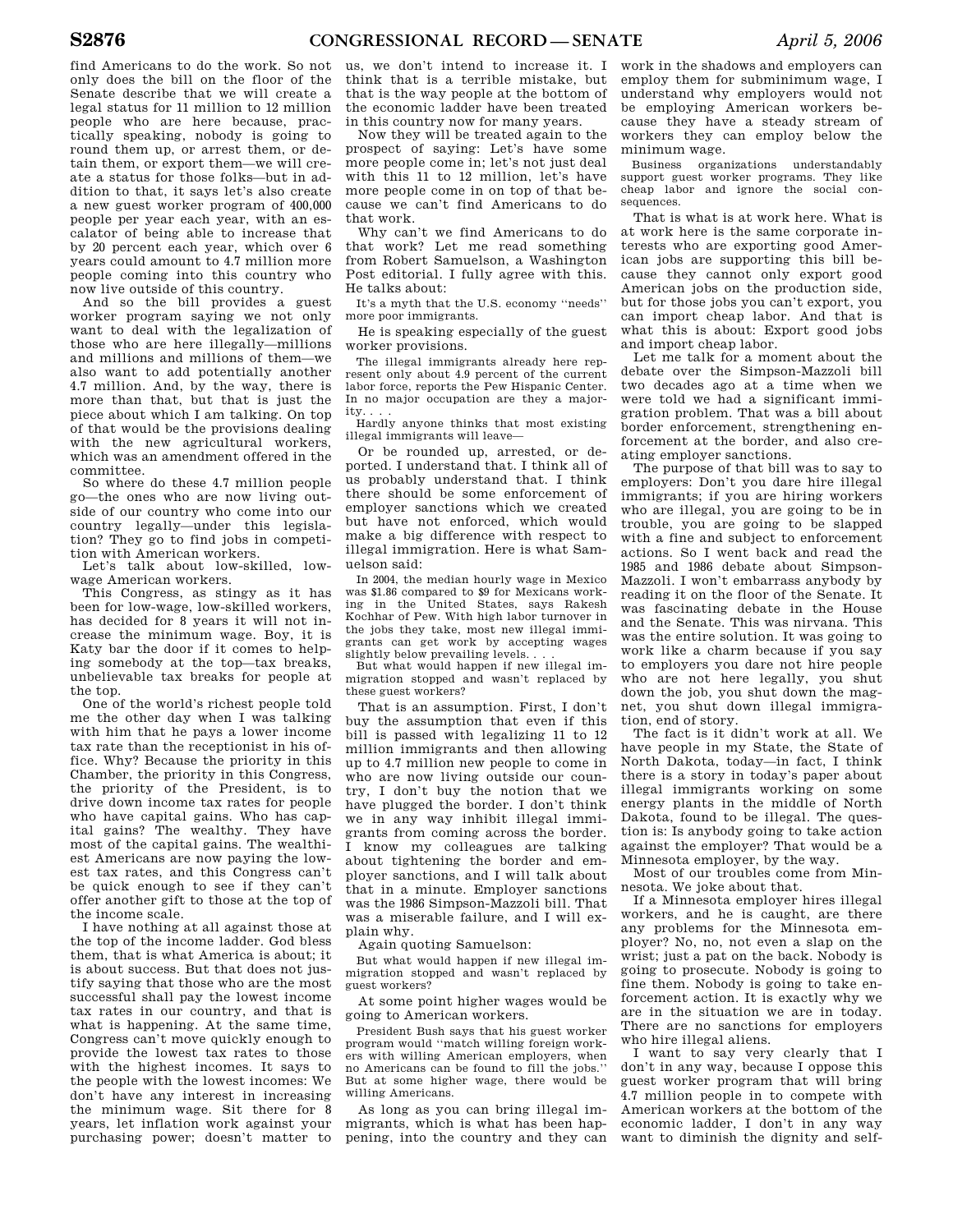find Americans to do the work. So not only does the bill on the floor of the Senate describe that we will create a legal status for 11 million to 12 million people who are here because, practically speaking, nobody is going to round them up, or arrest them, or detain them, or export them—we will create a status for those folks—but in addition to that, it says let's also create a new guest worker program of 400,000 people per year each year, with an escalator of being able to increase that by 20 percent each year, which over 6 years could amount to 4.7 million more people coming into this country who now live outside of this country.

And so the bill provides a guest worker program saying we not only want to deal with the legalization of those who are here illegally—millions and millions and millions of them—we also want to add potentially another 4.7 million. And, by the way, there is more than that, but that is just the piece about which I am talking. On top of that would be the provisions dealing with the new agricultural workers, which was an amendment offered in the committee.

So where do these 4.7 million people go—the ones who are now living outside of our country who come into our country legally—under this legislation? They go to find jobs in competition with American workers.

Let's talk about low-skilled, lowwage American workers.

This Congress, as stingy as it has been for low-wage, low-skilled workers, has decided for 8 years it will not increase the minimum wage. Boy, it is Katy bar the door if it comes to helping somebody at the top—tax breaks, unbelievable tax breaks for people at the top.

One of the world's richest people told me the other day when I was talking with him that he pays a lower income tax rate than the receptionist in his office. Why? Because the priority in this Chamber, the priority in this Congress, the priority of the President, is to drive down income tax rates for people who have capital gains. Who has capital gains? The wealthy. They have most of the capital gains. The wealthiest Americans are now paying the lowest tax rates, and this Congress can't be quick enough to see if they can't offer another gift to those at the top of the income scale.

I have nothing at all against those at the top of the income ladder. God bless them, that is what America is about; it is about success. But that does not justify saying that those who are the most successful shall pay the lowest income tax rates in our country, and that is what is happening. At the same time, Congress can't move quickly enough to provide the lowest tax rates to those with the highest incomes. It says to the people with the lowest incomes: We don't have any interest in increasing the minimum wage. Sit there for 8 years, let inflation work against your purchasing power; doesn't matter to us, we don't intend to increase it. I think that is a terrible mistake, but that is the way people at the bottom of the economic ladder have been treated in this country now for many years.

Now they will be treated again to the prospect of saying: Let's have some more people come in; let's not just deal with this 11 to 12 million, let's have more people come in on top of that because we can't find Americans to do that work.

Why can't we find Americans to do that work? Let me read something from Robert Samuelson, a Washington Post editorial. I fully agree with this. He talks about:

It's a myth that the U.S. economy ''needs'' more poor immigrants.

He is speaking especially of the guest worker provisions.

The illegal immigrants already here represent only about 4.9 percent of the current labor force, reports the Pew Hispanic Center. In no major occupation are they a majority. . . .

Hardly anyone thinks that most existing illegal immigrants will leave—

Or be rounded up, arrested, or deported. I understand that. I think all of us probably understand that. I think there should be some enforcement of employer sanctions which we created but have not enforced, which would make a big difference with respect to illegal immigration. Here is what Samuelson said:

In 2004, the median hourly wage in Mexico was \$1.86 compared to \$9 for Mexicans working in the United States, says Rakesh Kochhar of Pew. With high labor turnover in the jobs they take, most new illegal immigrants can get work by accepting wages slightly below prevailing levels. . . .

But what would happen if new illegal immigration stopped and wasn't replaced by these guest workers?

That is an assumption. First, I don't buy the assumption that even if this bill is passed with legalizing 11 to 12 million immigrants and then allowing up to 4.7 million new people to come in who are now living outside our country, I don't buy the notion that we have plugged the border. I don't think we in any way inhibit illegal immigrants from coming across the border. I know my colleagues are talking about tightening the border and employer sanctions, and I will talk about that in a minute. Employer sanctions was the 1986 Simpson-Mazzoli bill. That was a miserable failure, and I will explain why.

Again quoting Samuelson:

But what would happen if new illegal immigration stopped and wasn't replaced by guest workers?

At some point higher wages would be going to American workers.

President Bush says that his guest worker program would ''match willing foreign workers with willing American employers, when no Americans can be found to fill the jobs.'' But at some higher wage, there would be willing Americans.

As long as you can bring illegal immigrants, which is what has been happening, into the country and they can work in the shadows and employers can employ them for subminimum wage, I understand why employers would not be employing American workers because they have a steady stream of workers they can employ below the minimum wage.

Business organizations understandably support guest worker programs. They like cheap labor and ignore the social consequences.

That is what is at work here. What is at work here is the same corporate interests who are exporting good American jobs are supporting this bill because they cannot only export good American jobs on the production side, but for those jobs you can't export, you can import cheap labor. And that is what this is about: Export good jobs and import cheap labor.

Let me talk for a moment about the debate over the Simpson-Mazzoli bill two decades ago at a time when we were told we had a significant immigration problem. That was a bill about border enforcement, strengthening enforcement at the border, and also creating employer sanctions.

The purpose of that bill was to say to employers: Don't you dare hire illegal immigrants; if you are hiring workers who are illegal, you are going to be in trouble, you are going to be slapped with a fine and subject to enforcement actions. So I went back and read the 1985 and 1986 debate about Simpson-Mazzoli. I won't embarrass anybody by reading it on the floor of the Senate. It was fascinating debate in the House and the Senate. This was nirvana. This was the entire solution. It was going to work like a charm because if you say to employers you dare not hire people who are not here legally, you shut down the job, you shut down the magnet, you shut down illegal immigration, end of story.

The fact is it didn't work at all. We have people in my State, the State of North Dakota, today—in fact, I think there is a story in today's paper about illegal immigrants working on some energy plants in the middle of North Dakota, found to be illegal. The question is: Is anybody going to take action against the employer? That would be a Minnesota employer, by the way.

Most of our troubles come from Minnesota. We joke about that.

If a Minnesota employer hires illegal workers, and he is caught, are there any problems for the Minnesota employer? No, no, not even a slap on the wrist; just a pat on the back. Nobody is going to prosecute. Nobody is going to fine them. Nobody is going to take enforcement action. It is exactly why we are in the situation we are in today. There are no sanctions for employers who hire illegal aliens.

I want to say very clearly that I don't in any way, because I oppose this guest worker program that will bring 4.7 million people in to compete with American workers at the bottom of the economic ladder, I don't in any way want to diminish the dignity and self-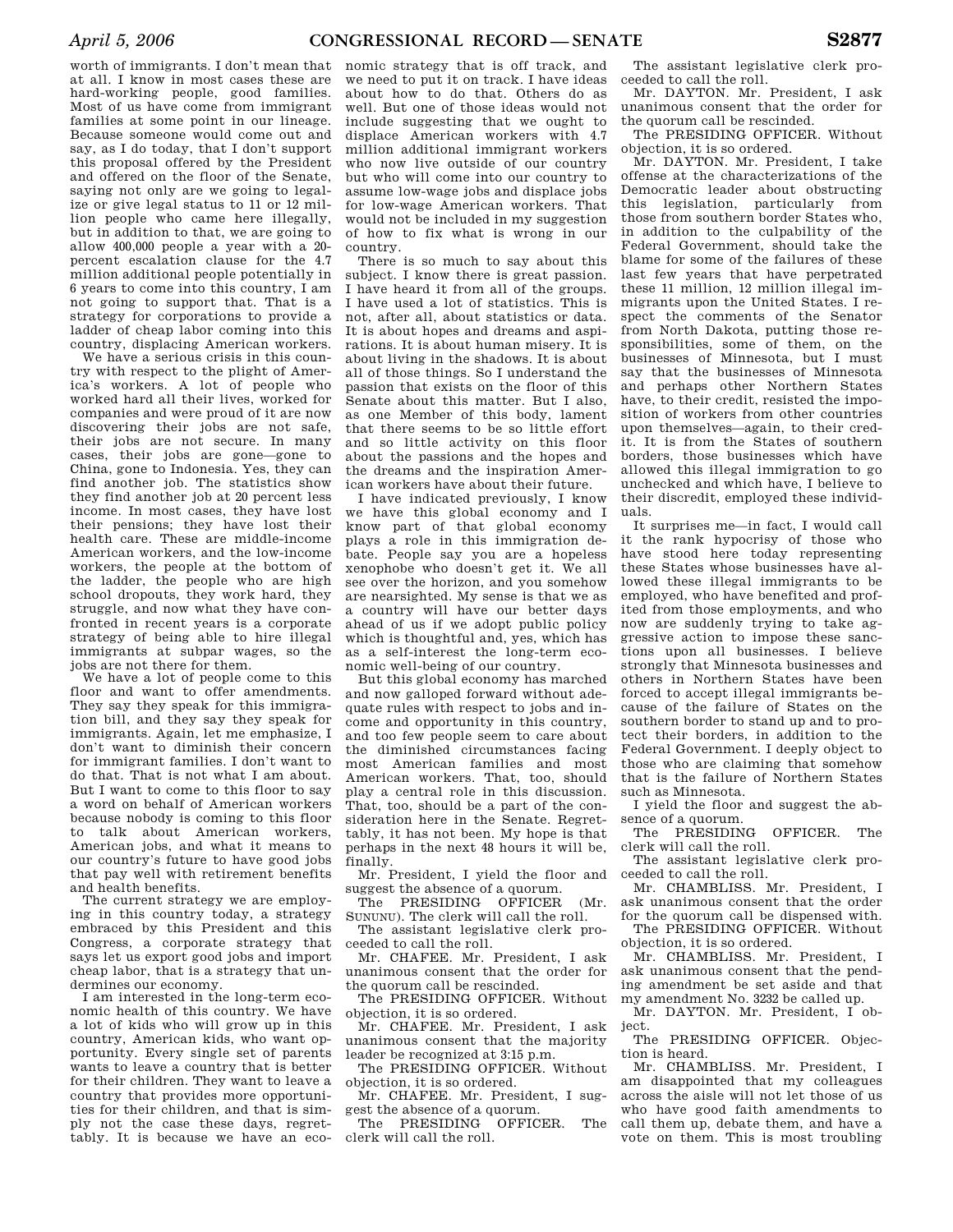worth of immigrants. I don't mean that at all. I know in most cases these are hard-working people, good families. Most of us have come from immigrant families at some point in our lineage. Because someone would come out and say, as I do today, that I don't support this proposal offered by the President and offered on the floor of the Senate, saying not only are we going to legalize or give legal status to 11 or 12 million people who came here illegally, but in addition to that, we are going to allow 400,000 people a year with a 20 percent escalation clause for the 4.7 million additional people potentially in 6 years to come into this country, I am not going to support that. That is a strategy for corporations to provide a ladder of cheap labor coming into this country, displacing American workers.

We have a serious crisis in this country with respect to the plight of America's workers. A lot of people who worked hard all their lives, worked for companies and were proud of it are now discovering their jobs are not safe, their jobs are not secure. In many cases, their jobs are gone—gone to China, gone to Indonesia. Yes, they can find another job. The statistics show they find another job at 20 percent less income. In most cases, they have lost their pensions; they have lost their health care. These are middle-income American workers, and the low-income workers, the people at the bottom of the ladder, the people who are high school dropouts, they work hard, they struggle, and now what they have confronted in recent years is a corporate strategy of being able to hire illegal immigrants at subpar wages, so the jobs are not there for them.

We have a lot of people come to this floor and want to offer amendments. They say they speak for this immigration bill, and they say they speak for immigrants. Again, let me emphasize, I don't want to diminish their concern for immigrant families. I don't want to do that. That is not what I am about. But I want to come to this floor to say a word on behalf of American workers because nobody is coming to this floor to talk about American workers, American jobs, and what it means to our country's future to have good jobs that pay well with retirement benefits and health benefits.

The current strategy we are employing in this country today, a strategy embraced by this President and this Congress, a corporate strategy that says let us export good jobs and import cheap labor, that is a strategy that undermines our economy.

I am interested in the long-term economic health of this country. We have a lot of kids who will grow up in this country, American kids, who want opportunity. Every single set of parents wants to leave a country that is better for their children. They want to leave a country that provides more opportunities for their children, and that is simply not the case these days, regrettably. It is because we have an eco-

nomic strategy that is off track, and we need to put it on track. I have ideas about how to do that. Others do as well. But one of those ideas would not include suggesting that we ought to displace American workers with 4.7 million additional immigrant workers who now live outside of our country but who will come into our country to assume low-wage jobs and displace jobs for low-wage American workers. That would not be included in my suggestion of how to fix what is wrong in our country.

There is so much to say about this subject. I know there is great passion. I have heard it from all of the groups. I have used a lot of statistics. This is not, after all, about statistics or data. It is about hopes and dreams and aspirations. It is about human misery. It is about living in the shadows. It is about all of those things. So I understand the passion that exists on the floor of this Senate about this matter. But I also, as one Member of this body, lament that there seems to be so little effort and so little activity on this floor about the passions and the hopes and the dreams and the inspiration American workers have about their future.

I have indicated previously, I know we have this global economy and I know part of that global economy plays a role in this immigration debate. People say you are a hopeless xenophobe who doesn't get it. We all see over the horizon, and you somehow are nearsighted. My sense is that we as a country will have our better days ahead of us if we adopt public policy which is thoughtful and, yes, which has as a self-interest the long-term economic well-being of our country.

But this global economy has marched and now galloped forward without adequate rules with respect to jobs and income and opportunity in this country, and too few people seem to care about the diminished circumstances facing most American families and most American workers. That, too, should play a central role in this discussion. That, too, should be a part of the consideration here in the Senate. Regrettably, it has not been. My hope is that perhaps in the next 48 hours it will be, finally.

Mr. President, I yield the floor and suggest the absence of a quorum.

The PRESIDING OFFICER (Mr. SUNUNU). The clerk will call the roll.

The assistant legislative clerk proceeded to call the roll.

Mr. CHAFEE. Mr. President, I ask unanimous consent that the order for the quorum call be rescinded.

The PRESIDING OFFICER. Without objection, it is so ordered.

Mr. CHAFEE. Mr. President, I ask unanimous consent that the majority leader be recognized at 3:15 p.m.

The PRESIDING OFFICER. Without objection, it is so ordered.

Mr. CHAFEE. Mr. President, I suggest the absence of a quorum.

The PRESIDING OFFICER. The clerk will call the roll.

The assistant legislative clerk proceeded to call the roll.

Mr. DAYTON. Mr. President, I ask unanimous consent that the order for the quorum call be rescinded.

The PRESIDING OFFICER. Without objection, it is so ordered.

Mr. DAYTON. Mr. President, I take offense at the characterizations of the Democratic leader about obstructing this legislation, particularly from those from southern border States who, in addition to the culpability of the Federal Government, should take the blame for some of the failures of these last few years that have perpetrated these 11 million, 12 million illegal immigrants upon the United States. I respect the comments of the Senator from North Dakota, putting those responsibilities, some of them, on the businesses of Minnesota, but I must say that the businesses of Minnesota and perhaps other Northern States have, to their credit, resisted the imposition of workers from other countries upon themselves—again, to their credit. It is from the States of southern borders, those businesses which have allowed this illegal immigration to go unchecked and which have, I believe to their discredit, employed these individuals.

It surprises me—in fact, I would call it the rank hypocrisy of those who have stood here today representing these States whose businesses have allowed these illegal immigrants to be employed, who have benefited and profited from those employments, and who now are suddenly trying to take aggressive action to impose these sanctions upon all businesses. I believe strongly that Minnesota businesses and others in Northern States have been forced to accept illegal immigrants because of the failure of States on the southern border to stand up and to protect their borders, in addition to the Federal Government. I deeply object to those who are claiming that somehow that is the failure of Northern States such as Minnesota.

I yield the floor and suggest the absence of a quorum.

The PRESIDING OFFICER. The clerk will call the roll.

The assistant legislative clerk proceeded to call the roll.

Mr. CHAMBLISS. Mr. President, I ask unanimous consent that the order for the quorum call be dispensed with. The PRESIDING OFFICER. Without objection, it is so ordered.

Mr. CHAMBLISS. Mr. President, I ask unanimous consent that the pending amendment be set aside and that my amendment No. 3232 be called up.

Mr. DAYTON. Mr. President, I object.

The PRESIDING OFFICER. Objection is heard.

Mr. CHAMBLISS. Mr. President, I am disappointed that my colleagues across the aisle will not let those of us who have good faith amendments to call them up, debate them, and have a vote on them. This is most troubling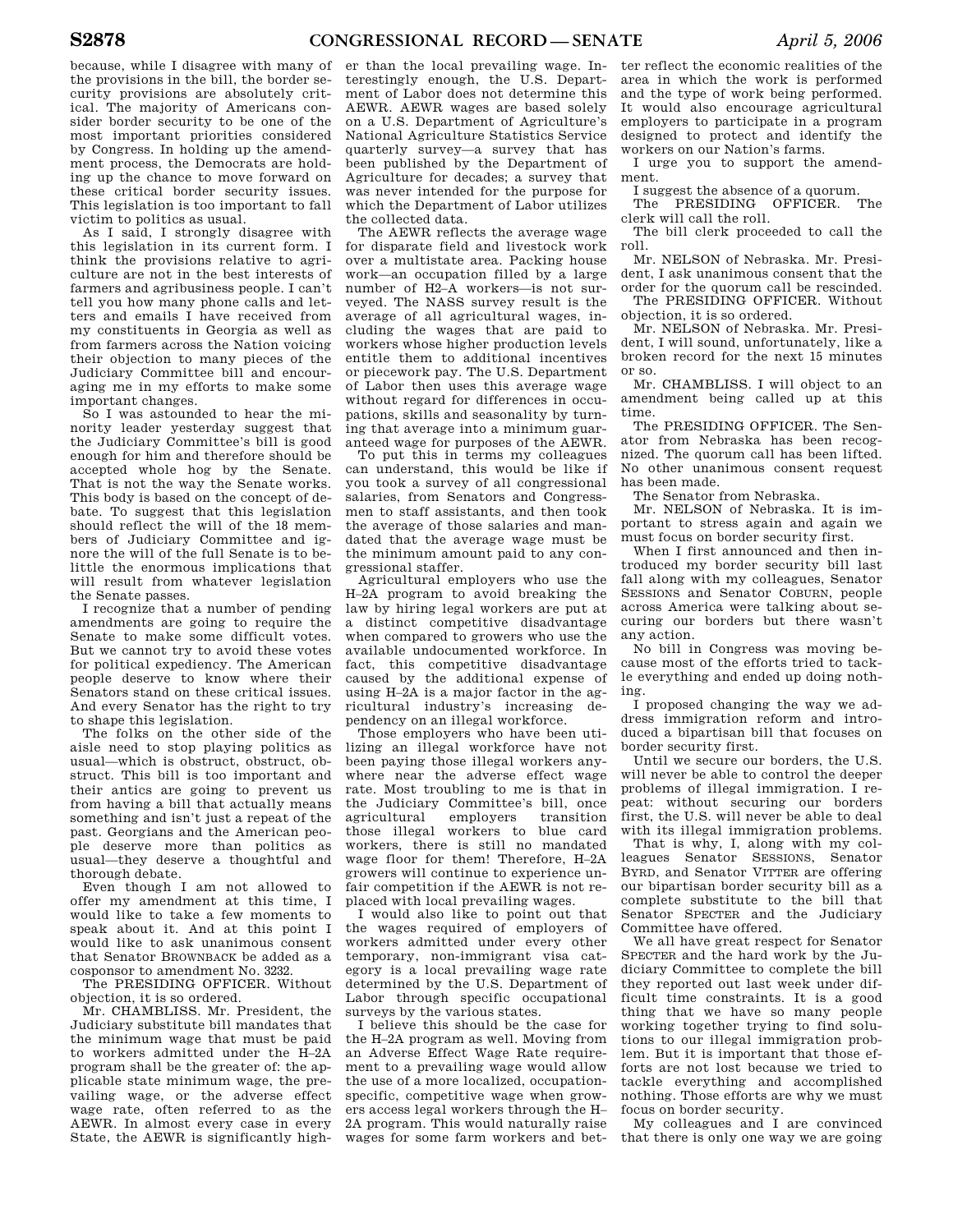because, while I disagree with many of the provisions in the bill, the border security provisions are absolutely critical. The majority of Americans consider border security to be one of the most important priorities considered by Congress. In holding up the amendment process, the Democrats are holding up the chance to move forward on these critical border security issues. This legislation is too important to fall victim to politics as usual.

As I said, I strongly disagree with this legislation in its current form. I think the provisions relative to agriculture are not in the best interests of farmers and agribusiness people. I can't tell you how many phone calls and letters and emails I have received from my constituents in Georgia as well as from farmers across the Nation voicing their objection to many pieces of the Judiciary Committee bill and encouraging me in my efforts to make some important changes.

So I was astounded to hear the minority leader yesterday suggest that the Judiciary Committee's bill is good enough for him and therefore should be accepted whole hog by the Senate. That is not the way the Senate works. This body is based on the concept of debate. To suggest that this legislation should reflect the will of the 18 members of Judiciary Committee and ignore the will of the full Senate is to belittle the enormous implications that will result from whatever legislation the Senate passes.

I recognize that a number of pending amendments are going to require the Senate to make some difficult votes. But we cannot try to avoid these votes for political expediency. The American people deserve to know where their Senators stand on these critical issues. And every Senator has the right to try to shape this legislation.

The folks on the other side of the aisle need to stop playing politics as usual—which is obstruct, obstruct, obstruct. This bill is too important and their antics are going to prevent us from having a bill that actually means something and isn't just a repeat of the past. Georgians and the American people deserve more than politics as usual—they deserve a thoughtful and thorough debate.

Even though I am not allowed to offer my amendment at this time, I would like to take a few moments to speak about it. And at this point I would like to ask unanimous consent that Senator BROWNBACK be added as a cosponsor to amendment No. 3232.

The PRESIDING OFFICER. Without objection, it is so ordered.

Mr. CHAMBLISS. Mr. President, the Judiciary substitute bill mandates that the minimum wage that must be paid to workers admitted under the H–2A program shall be the greater of: the applicable state minimum wage, the prevailing wage, or the adverse effect wage rate, often referred to as the AEWR. In almost every case in every State, the AEWR is significantly high-

er than the local prevailing wage. Interestingly enough, the U.S. Department of Labor does not determine this AEWR. AEWR wages are based solely on a U.S. Department of Agriculture's National Agriculture Statistics Service quarterly survey—a survey that has been published by the Department of Agriculture for decades; a survey that was never intended for the purpose for which the Department of Labor utilizes the collected data.

The AEWR reflects the average wage for disparate field and livestock work over a multistate area. Packing house work—an occupation filled by a large number of H2–A workers—is not surveyed. The NASS survey result is the average of all agricultural wages, including the wages that are paid to workers whose higher production levels entitle them to additional incentives or piecework pay. The U.S. Department of Labor then uses this average wage without regard for differences in occupations, skills and seasonality by turning that average into a minimum guaranteed wage for purposes of the AEWR.

To put this in terms my colleagues can understand, this would be like if you took a survey of all congressional salaries, from Senators and Congressmen to staff assistants, and then took the average of those salaries and mandated that the average wage must be the minimum amount paid to any congressional staffer.

Agricultural employers who use the H–2A program to avoid breaking the law by hiring legal workers are put at a distinct competitive disadvantage when compared to growers who use the available undocumented workforce. In fact, this competitive disadvantage caused by the additional expense of using H–2A is a major factor in the agricultural industry's increasing dependency on an illegal workforce.

Those employers who have been utilizing an illegal workforce have not been paying those illegal workers anywhere near the adverse effect wage rate. Most troubling to me is that in the Judiciary Committee's bill, once agricultural employers transition those illegal workers to blue card workers, there is still no mandated wage floor for them! Therefore, H–2A growers will continue to experience unfair competition if the AEWR is not replaced with local prevailing wages.

I would also like to point out that the wages required of employers of workers admitted under every other temporary, non-immigrant visa category is a local prevailing wage rate determined by the U.S. Department of Labor through specific occupational surveys by the various states.

I believe this should be the case for the H–2A program as well. Moving from an Adverse Effect Wage Rate requirement to a prevailing wage would allow the use of a more localized, occupationspecific, competitive wage when growers access legal workers through the H– 2A program. This would naturally raise wages for some farm workers and bet-

ter reflect the economic realities of the area in which the work is performed and the type of work being performed. It would also encourage agricultural employers to participate in a program designed to protect and identify the workers on our Nation's farms.

I urge you to support the amendment.

I suggest the absence of a quorum.<br>The PRESIDING OFFICER. The

The PRESIDING OFFICER. clerk will call the roll.

The bill clerk proceeded to call the roll.

Mr. NELSON of Nebraska. Mr. President, I ask unanimous consent that the order for the quorum call be rescinded.

The PRESIDING OFFICER. Without objection, it is so ordered.

Mr. NELSON of Nebraska. Mr. President, I will sound, unfortunately, like a broken record for the next 15 minutes or so.

Mr. CHAMBLISS. I will object to an amendment being called up at this time.

The PRESIDING OFFICER. The Senator from Nebraska has been recognized. The quorum call has been lifted. No other unanimous consent request has been made.

The Senator from Nebraska.

Mr. NELSON of Nebraska. It is important to stress again and again we must focus on border security first.

When I first announced and then introduced my border security bill last fall along with my colleagues, Senator SESSIONS and Senator COBURN, people across America were talking about securing our borders but there wasn't any action.

No bill in Congress was moving because most of the efforts tried to tackle everything and ended up doing nothing.

I proposed changing the way we address immigration reform and introduced a bipartisan bill that focuses on border security first.

Until we secure our borders, the U.S. will never be able to control the deeper problems of illegal immigration. I repeat: without securing our borders first, the U.S. will never be able to deal with its illegal immigration problems.

That is why, I, along with my colleagues Senator SESSIONS, Senator BYRD, and Senator VITTER are offering our bipartisan border security bill as a complete substitute to the bill that Senator SPECTER and the Judiciary Committee have offered.

We all have great respect for Senator SPECTER and the hard work by the Judiciary Committee to complete the bill they reported out last week under difficult time constraints. It is a good thing that we have so many people working together trying to find solutions to our illegal immigration problem. But it is important that those efforts are not lost because we tried to tackle everything and accomplished nothing. Those efforts are why we must focus on border security.

My colleagues and I are convinced that there is only one way we are going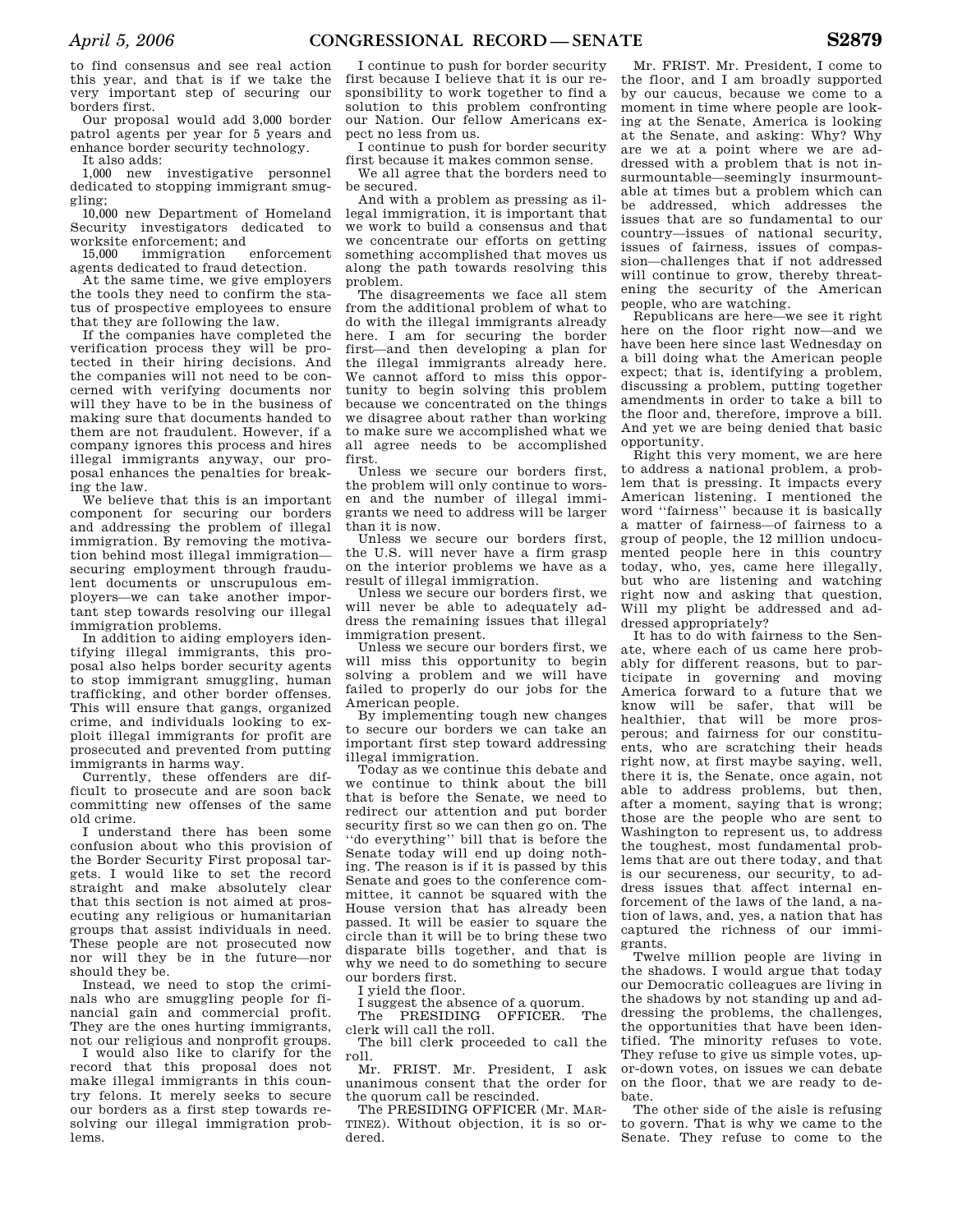to find consensus and see real action this year, and that is if we take the very important step of securing our borders first.

Our proposal would add 3,000 border patrol agents per year for 5 years and enhance border security technology.

It also adds:

1,000 new investigative personnel dedicated to stopping immigrant smuggling;

10,000 new Department of Homeland Security investigators dedicated to worksite enforcement; and<br>15.000 immigration

enforcement agents dedicated to fraud detection.

At the same time, we give employers the tools they need to confirm the status of prospective employees to ensure that they are following the law.

If the companies have completed the verification process they will be protected in their hiring decisions. And the companies will not need to be concerned with verifying documents nor will they have to be in the business of making sure that documents handed to them are not fraudulent. However, if a company ignores this process and hires illegal immigrants anyway, our proposal enhances the penalties for breaking the law.

We believe that this is an important component for securing our borders and addressing the problem of illegal immigration. By removing the motivation behind most illegal immigration securing employment through fraudulent documents or unscrupulous employers—we can take another important step towards resolving our illegal immigration problems.

In addition to aiding employers identifying illegal immigrants, this proposal also helps border security agents to stop immigrant smuggling, human trafficking, and other border offenses. This will ensure that gangs, organized crime, and individuals looking to exploit illegal immigrants for profit are prosecuted and prevented from putting immigrants in harms way.

Currently, these offenders are difficult to prosecute and are soon back committing new offenses of the same old crime.

I understand there has been some confusion about who this provision of the Border Security First proposal targets. I would like to set the record straight and make absolutely clear that this section is not aimed at prosecuting any religious or humanitarian groups that assist individuals in need. These people are not prosecuted now nor will they be in the future—nor should they be.

Instead, we need to stop the criminals who are smuggling people for financial gain and commercial profit. They are the ones hurting immigrants, not our religious and nonprofit groups.

I would also like to clarify for the record that this proposal does not make illegal immigrants in this country felons. It merely seeks to secure our borders as a first step towards resolving our illegal immigration problems.

I continue to push for border security first because I believe that it is our responsibility to work together to find a solution to this problem confronting our Nation. Our fellow Americans expect no less from us.

I continue to push for border security first because it makes common sense.

We all agree that the borders need to be secured.

And with a problem as pressing as illegal immigration, it is important that we work to build a consensus and that we concentrate our efforts on getting something accomplished that moves us along the path towards resolving this problem.

The disagreements we face all stem from the additional problem of what to do with the illegal immigrants already here. I am for securing the border first—and then developing a plan for the illegal immigrants already here. We cannot afford to miss this opportunity to begin solving this problem because we concentrated on the things we disagree about rather than working to make sure we accomplished what we all agree needs to be accomplished first.

Unless we secure our borders first, the problem will only continue to worsen and the number of illegal immigrants we need to address will be larger than it is now.

Unless we secure our borders first, the U.S. will never have a firm grasp on the interior problems we have as a result of illegal immigration.

Unless we secure our borders first, we will never be able to adequately address the remaining issues that illegal immigration present.

Unless we secure our borders first, we will miss this opportunity to begin solving a problem and we will have failed to properly do our jobs for the American people.

By implementing tough new changes to secure our borders we can take an important first step toward addressing illegal immigration.

Today as we continue this debate and we continue to think about the bill that is before the Senate, we need to redirect our attention and put border security first so we can then go on. The ''do everything'' bill that is before the Senate today will end up doing nothing. The reason is if it is passed by this Senate and goes to the conference committee, it cannot be squared with the House version that has already been passed. It will be easier to square the circle than it will be to bring these two disparate bills together, and that is why we need to do something to secure our borders first.

I yield the floor.

I suggest the absence of a quorum.<br>The PRESIDING OFFICER. The The PRESIDING OFFICER.

clerk will call the roll. The bill clerk proceeded to call the

roll. Mr. FRIST. Mr. President, I ask unanimous consent that the order for the quorum call be rescinded.

The PRESIDING OFFICER (Mr. MAR-TINEZ). Without objection, it is so ordered.

Mr. FRIST. Mr. President, I come to the floor, and I am broadly supported by our caucus, because we come to a moment in time where people are looking at the Senate, America is looking at the Senate, and asking: Why? Why are we at a point where we are addressed with a problem that is not insurmountable—seemingly insurmountable at times but a problem which can be addressed, which addresses the issues that are so fundamental to our country—issues of national security, issues of fairness, issues of compassion—challenges that if not addressed will continue to grow, thereby threatening the security of the American people, who are watching.

Republicans are here—we see it right here on the floor right now—and we have been here since last Wednesday on a bill doing what the American people expect; that is, identifying a problem, discussing a problem, putting together amendments in order to take a bill to the floor and, therefore, improve a bill. And yet we are being denied that basic opportunity.

Right this very moment, we are here to address a national problem, a problem that is pressing. It impacts every American listening. I mentioned the word ''fairness'' because it is basically a matter of fairness—of fairness to a group of people, the 12 million undocumented people here in this country today, who, yes, came here illegally, but who are listening and watching right now and asking that question, Will my plight be addressed and addressed appropriately?

It has to do with fairness to the Senate, where each of us came here probably for different reasons, but to participate in governing and moving America forward to a future that we know will be safer, that will be healthier, that will be more prosperous; and fairness for our constituents, who are scratching their heads right now, at first maybe saying, well, there it is, the Senate, once again, not able to address problems, but then, after a moment, saying that is wrong; those are the people who are sent to Washington to represent us, to address the toughest, most fundamental problems that are out there today, and that is our secureness, our security, to address issues that affect internal enforcement of the laws of the land, a nation of laws, and, yes, a nation that has captured the richness of our immigrants.

Twelve million people are living in the shadows. I would argue that today our Democratic colleagues are living in the shadows by not standing up and addressing the problems, the challenges, the opportunities that have been identified. The minority refuses to vote. They refuse to give us simple votes, upor-down votes, on issues we can debate on the floor, that we are ready to debate.

The other side of the aisle is refusing to govern. That is why we came to the Senate. They refuse to come to the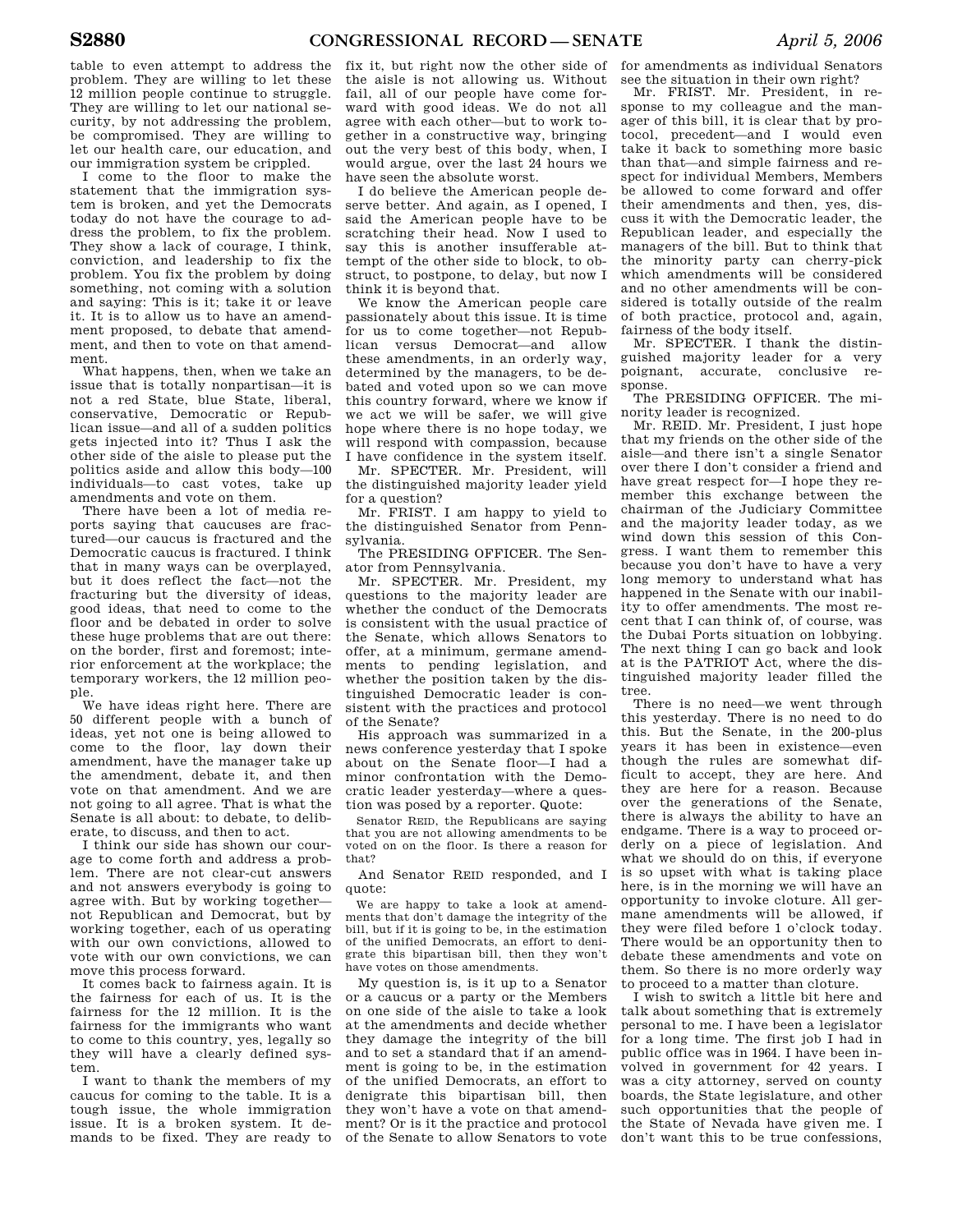table to even attempt to address the problem. They are willing to let these 12 million people continue to struggle. They are willing to let our national security, by not addressing the problem, be compromised. They are willing to let our health care, our education, and our immigration system be crippled.

I come to the floor to make the statement that the immigration system is broken, and yet the Democrats today do not have the courage to address the problem, to fix the problem. They show a lack of courage, I think, conviction, and leadership to fix the problem. You fix the problem by doing something, not coming with a solution and saying: This is it; take it or leave it. It is to allow us to have an amendment proposed, to debate that amendment, and then to vote on that amendment.

What happens, then, when we take an issue that is totally nonpartisan—it is not a red State, blue State, liberal, conservative, Democratic or Republican issue—and all of a sudden politics gets injected into it? Thus I ask the other side of the aisle to please put the politics aside and allow this body—100 individuals—to cast votes, take up amendments and vote on them.

There have been a lot of media reports saying that caucuses are fractured—our caucus is fractured and the Democratic caucus is fractured. I think that in many ways can be overplayed, but it does reflect the fact—not the fracturing but the diversity of ideas, good ideas, that need to come to the floor and be debated in order to solve these huge problems that are out there: on the border, first and foremost; interior enforcement at the workplace; the temporary workers, the 12 million people.

We have ideas right here. There are 50 different people with a bunch of ideas, yet not one is being allowed to come to the floor, lay down their amendment, have the manager take up the amendment, debate it, and then vote on that amendment. And we are not going to all agree. That is what the Senate is all about: to debate, to deliberate, to discuss, and then to act.

I think our side has shown our courage to come forth and address a problem. There are not clear-cut answers and not answers everybody is going to agree with. But by working together not Republican and Democrat, but by working together, each of us operating with our own convictions, allowed to vote with our own convictions, we can move this process forward.

It comes back to fairness again. It is the fairness for each of us. It is the fairness for the 12 million. It is the fairness for the immigrants who want to come to this country, yes, legally so they will have a clearly defined system.

I want to thank the members of my caucus for coming to the table. It is a tough issue, the whole immigration issue. It is a broken system. It demands to be fixed. They are ready to

fix it, but right now the other side of the aisle is not allowing us. Without fail, all of our people have come forward with good ideas. We do not all agree with each other—but to work together in a constructive way, bringing out the very best of this body, when, I would argue, over the last 24 hours we have seen the absolute worst.

I do believe the American people deserve better. And again, as I opened, I said the American people have to be scratching their head. Now I used to say this is another insufferable attempt of the other side to block, to obstruct, to postpone, to delay, but now I think it is beyond that.

We know the American people care passionately about this issue. It is time for us to come together—not Republican versus Democrat—and allow these amendments, in an orderly way, determined by the managers, to be debated and voted upon so we can move this country forward, where we know if we act we will be safer, we will give hope where there is no hope today, we will respond with compassion, because I have confidence in the system itself.

Mr. SPECTER. Mr. President, will the distinguished majority leader yield for a question?

Mr. FRIST. I am happy to yield to the distinguished Senator from Pennsylvania.

The PRESIDING OFFICER. The Senator from Pennsylvania.

Mr. SPECTER. Mr. President, my questions to the majority leader are whether the conduct of the Democrats is consistent with the usual practice of the Senate, which allows Senators to offer, at a minimum, germane amendments to pending legislation, and whether the position taken by the distinguished Democratic leader is consistent with the practices and protocol of the Senate?

His approach was summarized in a news conference yesterday that I spoke about on the Senate floor—I had a minor confrontation with the Democratic leader yesterday—where a question was posed by a reporter. Quote:

Senator REID, the Republicans are saying that you are not allowing amendments to be voted on on the floor. Is there a reason for that?

And Senator REID responded, and I quote:

We are happy to take a look at amendments that don't damage the integrity of the bill, but if it is going to be, in the estimation of the unified Democrats, an effort to denigrate this bipartisan bill, then they won't have votes on those amendments.

My question is, is it up to a Senator or a caucus or a party or the Members on one side of the aisle to take a look at the amendments and decide whether they damage the integrity of the bill and to set a standard that if an amendment is going to be, in the estimation of the unified Democrats, an effort to denigrate this bipartisan bill, then they won't have a vote on that amendment? Or is it the practice and protocol of the Senate to allow Senators to vote

for amendments as individual Senators see the situation in their own right?

Mr. FRIST. Mr. President, in response to my colleague and the manager of this bill, it is clear that by protocol, precedent—and I would even take it back to something more basic than that—and simple fairness and respect for individual Members, Members be allowed to come forward and offer their amendments and then, yes, discuss it with the Democratic leader, the Republican leader, and especially the managers of the bill. But to think that the minority party can cherry-pick which amendments will be considered and no other amendments will be considered is totally outside of the realm of both practice, protocol and, again, fairness of the body itself.

Mr. SPECTER. I thank the distinguished majority leader for a very poignant, accurate, conclusive response.

The PRESIDING OFFICER. The minority leader is recognized.

Mr. REID. Mr. President, I just hope that my friends on the other side of the aisle—and there isn't a single Senator over there I don't consider a friend and have great respect for—I hope they remember this exchange between the chairman of the Judiciary Committee and the majority leader today, as we wind down this session of this Congress. I want them to remember this because you don't have to have a very long memory to understand what has happened in the Senate with our inability to offer amendments. The most recent that I can think of, of course, was the Dubai Ports situation on lobbying. The next thing I can go back and look at is the PATRIOT Act, where the distinguished majority leader filled the tree.

There is no need—we went through this yesterday. There is no need to do this. But the Senate, in the 200-plus years it has been in existence—even though the rules are somewhat difficult to accept, they are here. And they are here for a reason. Because over the generations of the Senate, there is always the ability to have an endgame. There is a way to proceed orderly on a piece of legislation. And what we should do on this, if everyone is so upset with what is taking place here, is in the morning we will have an opportunity to invoke cloture. All germane amendments will be allowed, if they were filed before 1 o'clock today. There would be an opportunity then to debate these amendments and vote on them. So there is no more orderly way to proceed to a matter than cloture.

I wish to switch a little bit here and talk about something that is extremely personal to me. I have been a legislator for a long time. The first job I had in public office was in 1964. I have been involved in government for 42 years. I was a city attorney, served on county boards, the State legislature, and other such opportunities that the people of the State of Nevada have given me. I don't want this to be true confessions,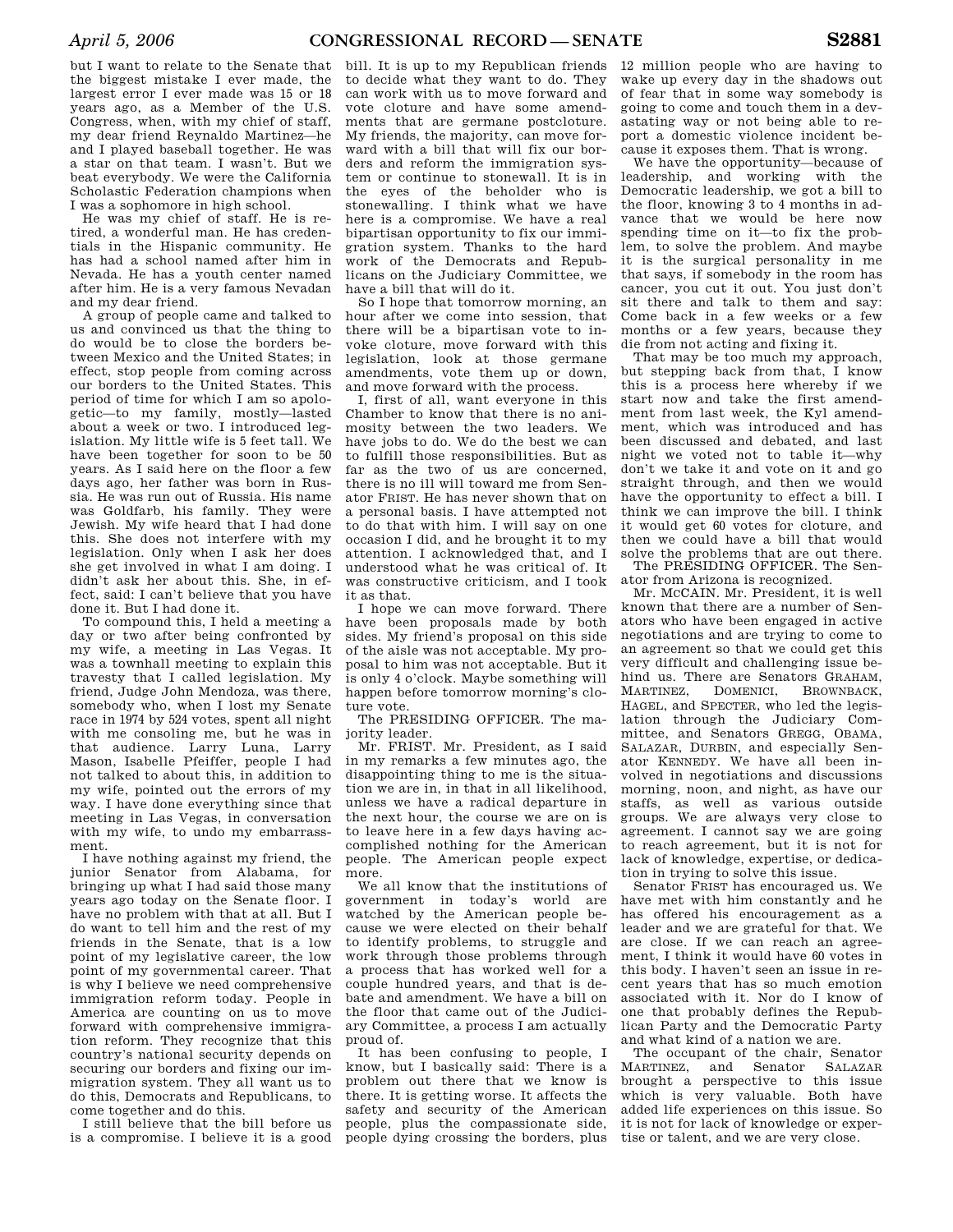but I want to relate to the Senate that the biggest mistake I ever made, the largest error I ever made was 15 or 18 years ago, as a Member of the U.S. Congress, when, with my chief of staff, my dear friend Reynaldo Martinez—he and I played baseball together. He was a star on that team. I wasn't. But we beat everybody. We were the California Scholastic Federation champions when I was a sophomore in high school.

He was my chief of staff. He is retired, a wonderful man. He has credentials in the Hispanic community. He has had a school named after him in Nevada. He has a youth center named after him. He is a very famous Nevadan and my dear friend.

A group of people came and talked to us and convinced us that the thing to do would be to close the borders between Mexico and the United States; in effect, stop people from coming across our borders to the United States. This period of time for which I am so apologetic—to my family, mostly—lasted about a week or two. I introduced legislation. My little wife is 5 feet tall. We have been together for soon to be 50 years. As I said here on the floor a few days ago, her father was born in Russia. He was run out of Russia. His name was Goldfarb, his family. They were Jewish. My wife heard that I had done this. She does not interfere with my legislation. Only when I ask her does she get involved in what I am doing. I didn't ask her about this. She, in effect, said: I can't believe that you have done it. But I had done it.

To compound this, I held a meeting a day or two after being confronted by my wife, a meeting in Las Vegas. It was a townhall meeting to explain this travesty that I called legislation. My friend, Judge John Mendoza, was there, somebody who, when I lost my Senate race in 1974 by 524 votes, spent all night with me consoling me, but he was in that audience. Larry Luna, Larry Mason, Isabelle Pfeiffer, people I had not talked to about this, in addition to my wife, pointed out the errors of my way. I have done everything since that meeting in Las Vegas, in conversation with my wife, to undo my embarrassment.

I have nothing against my friend, the junior Senator from Alabama, for bringing up what I had said those many years ago today on the Senate floor. I have no problem with that at all. But I do want to tell him and the rest of my friends in the Senate, that is a low point of my legislative career, the low point of my governmental career. That is why I believe we need comprehensive immigration reform today. People in America are counting on us to move forward with comprehensive immigration reform. They recognize that this country's national security depends on securing our borders and fixing our immigration system. They all want us to do this, Democrats and Republicans, to come together and do this.

I still believe that the bill before us is a compromise. I believe it is a good

bill. It is up to my Republican friends to decide what they want to do. They can work with us to move forward and vote cloture and have some amendments that are germane postcloture. My friends, the majority, can move forward with a bill that will fix our borders and reform the immigration system or continue to stonewall. It is in the eyes of the beholder who is stonewalling. I think what we have here is a compromise. We have a real bipartisan opportunity to fix our immigration system. Thanks to the hard work of the Democrats and Republicans on the Judiciary Committee, we have a bill that will do it.

So I hope that tomorrow morning, an hour after we come into session, that there will be a bipartisan vote to invoke cloture, move forward with this legislation, look at those germane amendments, vote them up or down, and move forward with the process.

I, first of all, want everyone in this Chamber to know that there is no animosity between the two leaders. We have jobs to do. We do the best we can to fulfill those responsibilities. But as far as the two of us are concerned there is no ill will toward me from Senator FRIST. He has never shown that on a personal basis. I have attempted not to do that with him. I will say on one occasion I did, and he brought it to my attention. I acknowledged that, and I understood what he was critical of. It was constructive criticism, and I took it as that.

I hope we can move forward. There have been proposals made by both sides. My friend's proposal on this side of the aisle was not acceptable. My proposal to him was not acceptable. But it is only 4 o'clock. Maybe something will happen before tomorrow morning's cloture vote.

The PRESIDING OFFICER. The majority leader.

Mr. FRIST. Mr. President, as I said in my remarks a few minutes ago, the disappointing thing to me is the situation we are in, in that in all likelihood, unless we have a radical departure in the next hour, the course we are on is to leave here in a few days having accomplished nothing for the American people. The American people expect more.

We all know that the institutions of government in today's world are watched by the American people because we were elected on their behalf to identify problems, to struggle and work through those problems through a process that has worked well for a couple hundred years, and that is debate and amendment. We have a bill on the floor that came out of the Judiciary Committee, a process I am actually proud of.

It has been confusing to people, I know, but I basically said: There is a problem out there that we know is there. It is getting worse. It affects the safety and security of the American people, plus the compassionate side, people dying crossing the borders, plus

12 million people who are having to wake up every day in the shadows out of fear that in some way somebody is going to come and touch them in a devastating way or not being able to report a domestic violence incident because it exposes them. That is wrong.

We have the opportunity—because of leadership, and working with the Democratic leadership, we got a bill to the floor, knowing 3 to 4 months in advance that we would be here now spending time on it—to fix the problem, to solve the problem. And maybe it is the surgical personality in me that says, if somebody in the room has cancer, you cut it out. You just don't sit there and talk to them and say: Come back in a few weeks or a few months or a few years, because they die from not acting and fixing it.

That may be too much my approach, but stepping back from that, I know this is a process here whereby if we start now and take the first amendment from last week, the Kyl amendment, which was introduced and has been discussed and debated, and last night we voted not to table it—why don't we take it and vote on it and go straight through, and then we would have the opportunity to effect a bill. I think we can improve the bill. I think it would get 60 votes for cloture, and then we could have a bill that would solve the problems that are out there. The PRESIDING OFFICER. The Sen-

ator from Arizona is recognized.

Mr. MCCAIN. Mr. President, it is well known that there are a number of Senators who have been engaged in active negotiations and are trying to come to an agreement so that we could get this very difficult and challenging issue behind us. There are Senators GRAHAM,<br>MARTINEZ DOMENICI BROWNBACK **BROWNBACK** HAGEL, and SPECTER, who led the legislation through the Judiciary Committee, and Senators GREGG, OBAMA, SALAZAR, DURBIN, and especially Senator KENNEDY. We have all been involved in negotiations and discussions morning, noon, and night, as have our staffs, as well as various outside groups. We are always very close to agreement. I cannot say we are going to reach agreement, but it is not for lack of knowledge, expertise, or dedication in trying to solve this issue.

Senator FRIST has encouraged us. We have met with him constantly and he has offered his encouragement as a leader and we are grateful for that. We are close. If we can reach an agreement, I think it would have 60 votes in this body. I haven't seen an issue in recent years that has so much emotion associated with it. Nor do I know of one that probably defines the Republican Party and the Democratic Party and what kind of a nation we are.

The occupant of the chair, Senator MARTINEZ, and Senator SALAZAR brought a perspective to this issue which is very valuable. Both have added life experiences on this issue. So it is not for lack of knowledge or expertise or talent, and we are very close.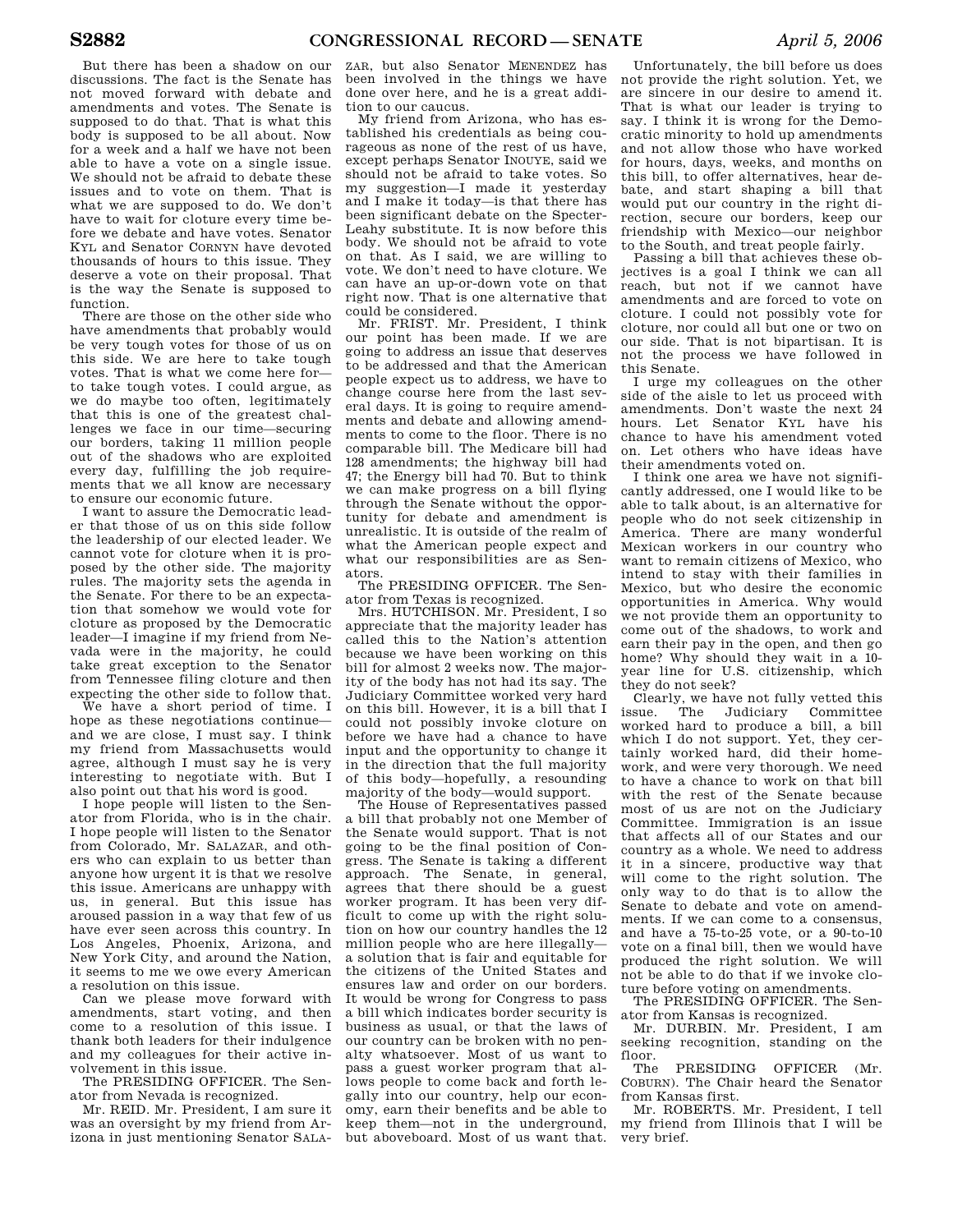But there has been a shadow on our discussions. The fact is the Senate has not moved forward with debate and amendments and votes. The Senate is supposed to do that. That is what this body is supposed to be all about. Now for a week and a half we have not been able to have a vote on a single issue. We should not be afraid to debate these issues and to vote on them. That is what we are supposed to do. We don't have to wait for cloture every time before we debate and have votes. Senator KYL and Senator CORNYN have devoted thousands of hours to this issue. They deserve a vote on their proposal. That is the way the Senate is supposed to function.

There are those on the other side who have amendments that probably would be very tough votes for those of us on this side. We are here to take tough votes. That is what we come here for to take tough votes. I could argue, as we do maybe too often, legitimately that this is one of the greatest challenges we face in our time—securing our borders, taking 11 million people out of the shadows who are exploited every day, fulfilling the job requirements that we all know are necessary to ensure our economic future.

I want to assure the Democratic leader that those of us on this side follow the leadership of our elected leader. We cannot vote for cloture when it is proposed by the other side. The majority rules. The majority sets the agenda in the Senate. For there to be an expectation that somehow we would vote for cloture as proposed by the Democratic leader—I imagine if my friend from Nevada were in the majority, he could take great exception to the Senator from Tennessee filing cloture and then expecting the other side to follow that.

We have a short period of time. I hope as these negotiations continue and we are close, I must say. I think my friend from Massachusetts would agree, although I must say he is very interesting to negotiate with. But I also point out that his word is good.

I hope people will listen to the Senator from Florida, who is in the chair. I hope people will listen to the Senator from Colorado, Mr. SALAZAR, and others who can explain to us better than anyone how urgent it is that we resolve this issue. Americans are unhappy with us, in general. But this issue has aroused passion in a way that few of us have ever seen across this country. In Los Angeles, Phoenix, Arizona, and New York City, and around the Nation, it seems to me we owe every American a resolution on this issue.

Can we please move forward with amendments, start voting, and then come to a resolution of this issue. I thank both leaders for their indulgence and my colleagues for their active involvement in this issue.

The PRESIDING OFFICER. The Senator from Nevada is recognized.

Mr. REID. Mr. President, I am sure it was an oversight by my friend from Arizona in just mentioning Senator SALA- ZAR, but also Senator MENENDEZ has been involved in the things we have done over here, and he is a great addition to our caucus.

My friend from Arizona, who has established his credentials as being courageous as none of the rest of us have, except perhaps Senator INOUYE, said we should not be afraid to take votes. So my suggestion—I made it yesterday and I make it today—is that there has been significant debate on the Specter-Leahy substitute. It is now before this body. We should not be afraid to vote on that. As I said, we are willing to vote. We don't need to have cloture. We can have an up-or-down vote on that right now. That is one alternative that could be considered.

Mr. FRIST. Mr. President, I think our point has been made. If we are going to address an issue that deserves to be addressed and that the American people expect us to address, we have to change course here from the last several days. It is going to require amendments and debate and allowing amendments to come to the floor. There is no comparable bill. The Medicare bill had 128 amendments; the highway bill had 47; the Energy bill had 70. But to think we can make progress on a bill flying through the Senate without the opportunity for debate and amendment is unrealistic. It is outside of the realm of what the American people expect and what our responsibilities are as Senators.

The PRESIDING OFFICER. The Senator from Texas is recognized.

Mrs. HUTCHISON. Mr. President, I so appreciate that the majority leader has called this to the Nation's attention because we have been working on this bill for almost 2 weeks now. The majority of the body has not had its say. The Judiciary Committee worked very hard on this bill. However, it is a bill that I could not possibly invoke cloture on before we have had a chance to have input and the opportunity to change it in the direction that the full majority of this body—hopefully, a resounding majority of the body—would support.

The House of Representatives passed a bill that probably not one Member of the Senate would support. That is not going to be the final position of Congress. The Senate is taking a different approach. The Senate, in general, agrees that there should be a guest worker program. It has been very difficult to come up with the right solution on how our country handles the 12 million people who are here illegally a solution that is fair and equitable for the citizens of the United States and ensures law and order on our borders. It would be wrong for Congress to pass a bill which indicates border security is business as usual, or that the laws of our country can be broken with no penalty whatsoever. Most of us want to pass a guest worker program that allows people to come back and forth legally into our country, help our economy, earn their benefits and be able to keep them—not in the underground, but aboveboard. Most of us want that.

Unfortunately, the bill before us does not provide the right solution. Yet, we are sincere in our desire to amend it. That is what our leader is trying to say. I think it is wrong for the Democratic minority to hold up amendments and not allow those who have worked for hours, days, weeks, and months on this bill, to offer alternatives, hear debate, and start shaping a bill that would put our country in the right direction, secure our borders, keep our friendship with Mexico—our neighbor to the South, and treat people fairly.

Passing a bill that achieves these objectives is a goal I think we can all reach, but not if we cannot have amendments and are forced to vote on cloture. I could not possibly vote for cloture, nor could all but one or two on our side. That is not bipartisan. It is not the process we have followed in this Senate.

I urge my colleagues on the other side of the aisle to let us proceed with amendments. Don't waste the next 24 hours. Let Senator KYL have his chance to have his amendment voted on. Let others who have ideas have their amendments voted on.

I think one area we have not significantly addressed, one I would like to be able to talk about, is an alternative for people who do not seek citizenship in America. There are many wonderful Mexican workers in our country who want to remain citizens of Mexico, who intend to stay with their families in Mexico, but who desire the economic opportunities in America. Why would we not provide them an opportunity to come out of the shadows, to work and earn their pay in the open, and then go home? Why should they wait in a 10 year line for U.S. citizenship, which they do not seek?

Clearly, we have not fully vetted this issue. The Judiciary Committee worked hard to produce a bill, a bill which I do not support. Yet, they certainly worked hard, did their homework, and were very thorough. We need to have a chance to work on that bill with the rest of the Senate because most of us are not on the Judiciary Committee. Immigration is an issue that affects all of our States and our country as a whole. We need to address it in a sincere, productive way that will come to the right solution. The only way to do that is to allow the Senate to debate and vote on amendments. If we can come to a consensus, and have a 75-to-25 vote, or a 90-to-10 vote on a final bill, then we would have produced the right solution. We will not be able to do that if we invoke cloture before voting on amendments.

The PRESIDING OFFICER. The Senator from Kansas is recognized.

Mr. DURBIN. Mr. President, I am seeking recognition, standing on the floor.

The PRESIDING OFFICER (Mr. COBURN). The Chair heard the Senator from Kansas first.

Mr. ROBERTS. Mr. President, I tell my friend from Illinois that I will be very brief.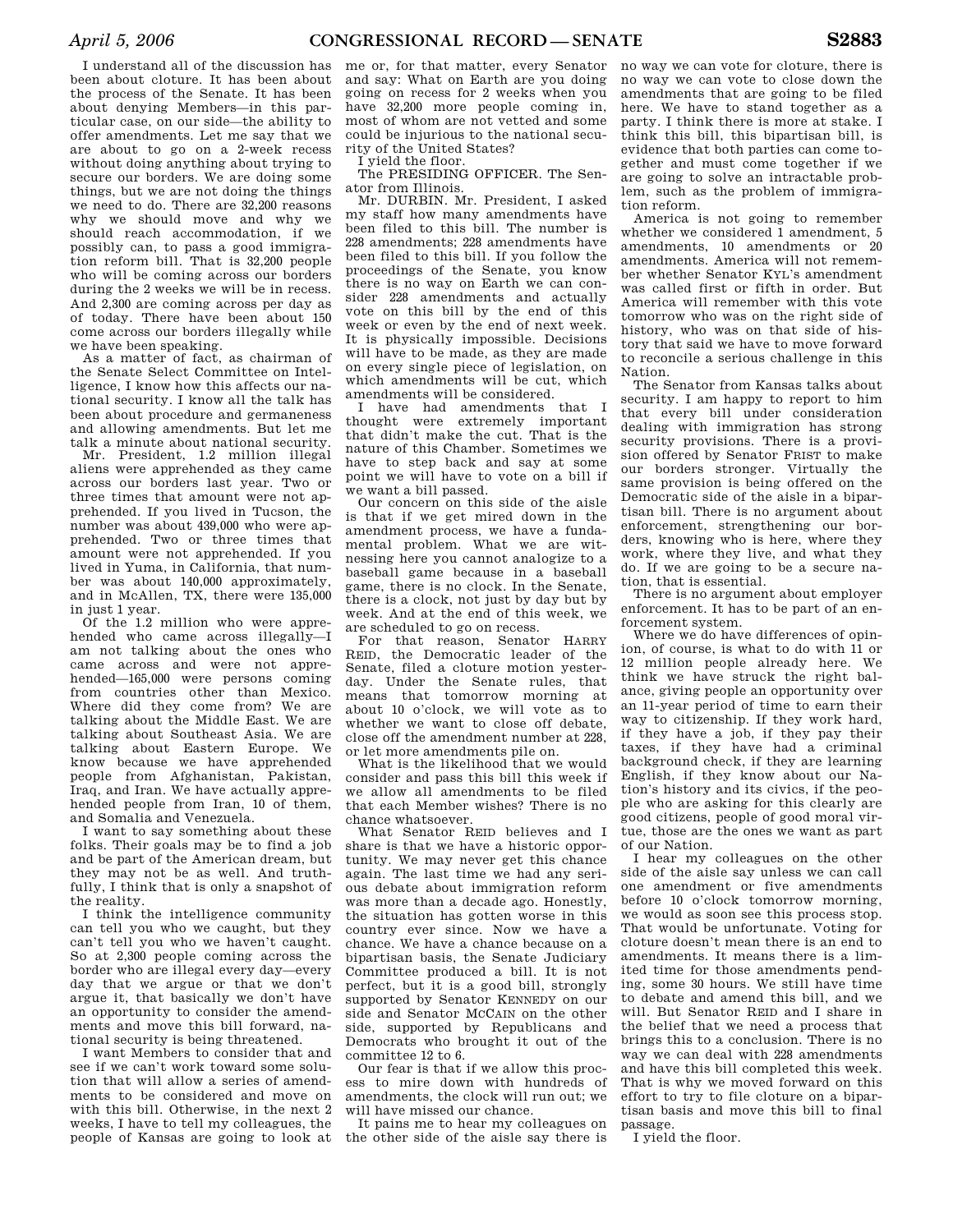I understand all of the discussion has been about cloture. It has been about the process of the Senate. It has been about denying Members—in this particular case, on our side—the ability to offer amendments. Let me say that we are about to go on a 2-week recess without doing anything about trying to secure our borders. We are doing some things, but we are not doing the things we need to do. There are 32,200 reasons why we should move and why we should reach accommodation, if we possibly can, to pass a good immigration reform bill. That is 32,200 people who will be coming across our borders during the 2 weeks we will be in recess. And 2,300 are coming across per day as of today. There have been about 150 come across our borders illegally while we have been speaking.

As a matter of fact, as chairman of the Senate Select Committee on Intelligence, I know how this affects our national security. I know all the talk has been about procedure and germaneness and allowing amendments. But let me talk a minute about national security.

Mr. President, 1.2 million illegal aliens were apprehended as they came across our borders last year. Two or three times that amount were not apprehended. If you lived in Tucson, the number was about 439,000 who were apprehended. Two or three times that amount were not apprehended. If you lived in Yuma, in California, that number was about 140,000 approximately, and in McAllen, TX, there were 135,000 in just 1 year.

Of the 1.2 million who were apprehended who came across illegally—I am not talking about the ones who came across and were not apprehended—165,000 were persons coming from countries other than Mexico. Where did they come from? We are talking about the Middle East. We are talking about Southeast Asia. We are talking about Eastern Europe. We know because we have apprehended people from Afghanistan, Pakistan, Iraq, and Iran. We have actually apprehended people from Iran, 10 of them, and Somalia and Venezuela.

I want to say something about these folks. Their goals may be to find a job and be part of the American dream, but they may not be as well. And truthfully, I think that is only a snapshot of the reality.

I think the intelligence community can tell you who we caught, but they can't tell you who we haven't caught. So at 2,300 people coming across the border who are illegal every day—every day that we argue or that we don't argue it, that basically we don't have an opportunity to consider the amendments and move this bill forward, national security is being threatened.

I want Members to consider that and see if we can't work toward some solution that will allow a series of amendments to be considered and move on with this bill. Otherwise, in the next 2 weeks, I have to tell my colleagues, the people of Kansas are going to look at

me or, for that matter, every Senator and say: What on Earth are you doing going on recess for 2 weeks when you have 32,200 more people coming in, most of whom are not vetted and some could be injurious to the national security of the United States?

I yield the floor.

The PRESIDING OFFICER. The Senator from Illinois.

Mr. DURBIN. Mr. President, I asked my staff how many amendments have been filed to this bill. The number is 228 amendments; 228 amendments have been filed to this bill. If you follow the proceedings of the Senate, you know there is no way on Earth we can consider 228 amendments and actually vote on this bill by the end of this week or even by the end of next week. It is physically impossible. Decisions will have to be made, as they are made on every single piece of legislation, on which amendments will be cut, which amendments will be considered.

I have had amendments that I thought were extremely important that didn't make the cut. That is the nature of this Chamber. Sometimes we have to step back and say at some point we will have to vote on a bill if we want a bill passed.

Our concern on this side of the aisle is that if we get mired down in the amendment process, we have a fundamental problem. What we are witnessing here you cannot analogize to a baseball game because in a baseball game, there is no clock. In the Senate, there is a clock, not just by day but by week. And at the end of this week, we are scheduled to go on recess.

For that reason, Senator HARRY REID, the Democratic leader of the Senate, filed a cloture motion yesterday. Under the Senate rules, that means that tomorrow morning at about 10 o'clock, we will vote as to whether we want to close off debate, close off the amendment number at 228, or let more amendments pile on.

What is the likelihood that we would consider and pass this bill this week if we allow all amendments to be filed that each Member wishes? There is no chance whatsoever.

What Senator REID believes and I share is that we have a historic opportunity. We may never get this chance again. The last time we had any serious debate about immigration reform was more than a decade ago. Honestly, the situation has gotten worse in this country ever since. Now we have a chance. We have a chance because on a bipartisan basis, the Senate Judiciary Committee produced a bill. It is not perfect, but it is a good bill, strongly supported by Senator KENNEDY on our side and Senator MCCAIN on the other side, supported by Republicans and Democrats who brought it out of the committee 12 to 6.

Our fear is that if we allow this process to mire down with hundreds of amendments, the clock will run out; we will have missed our chance.

It pains me to hear my colleagues on the other side of the aisle say there is

no way we can vote for cloture, there is no way we can vote to close down the amendments that are going to be filed here. We have to stand together as a party. I think there is more at stake. I think this bill, this bipartisan bill, is evidence that both parties can come together and must come together if we are going to solve an intractable problem, such as the problem of immigration reform.

America is not going to remember whether we considered 1 amendment, 5 amendments, 10 amendments or 20 amendments. America will not remember whether Senator KYL's amendment was called first or fifth in order. But America will remember with this vote tomorrow who was on the right side of history, who was on that side of history that said we have to move forward to reconcile a serious challenge in this Nation.

The Senator from Kansas talks about security. I am happy to report to him that every bill under consideration dealing with immigration has strong security provisions. There is a provision offered by Senator FRIST to make our borders stronger. Virtually the same provision is being offered on the Democratic side of the aisle in a bipartisan bill. There is no argument about enforcement, strengthening our borders, knowing who is here, where they work, where they live, and what they do. If we are going to be a secure nation, that is essential.

There is no argument about employer enforcement. It has to be part of an enforcement system.

Where we do have differences of opinion, of course, is what to do with 11 or 12 million people already here. We think we have struck the right balance, giving people an opportunity over an 11-year period of time to earn their way to citizenship. If they work hard, if they have a job, if they pay their taxes, if they have had a criminal background check, if they are learning English, if they know about our Nation's history and its civics, if the people who are asking for this clearly are good citizens, people of good moral virtue, those are the ones we want as part of our Nation.

I hear my colleagues on the other side of the aisle say unless we can call one amendment or five amendments before 10 o'clock tomorrow morning, we would as soon see this process stop. That would be unfortunate. Voting for cloture doesn't mean there is an end to amendments. It means there is a limited time for those amendments pending, some 30 hours. We still have time to debate and amend this bill, and we will. But Senator REID and I share in the belief that we need a process that brings this to a conclusion. There is no way we can deal with 228 amendments and have this bill completed this week. That is why we moved forward on this effort to try to file cloture on a bipartisan basis and move this bill to final passage.

I yield the floor.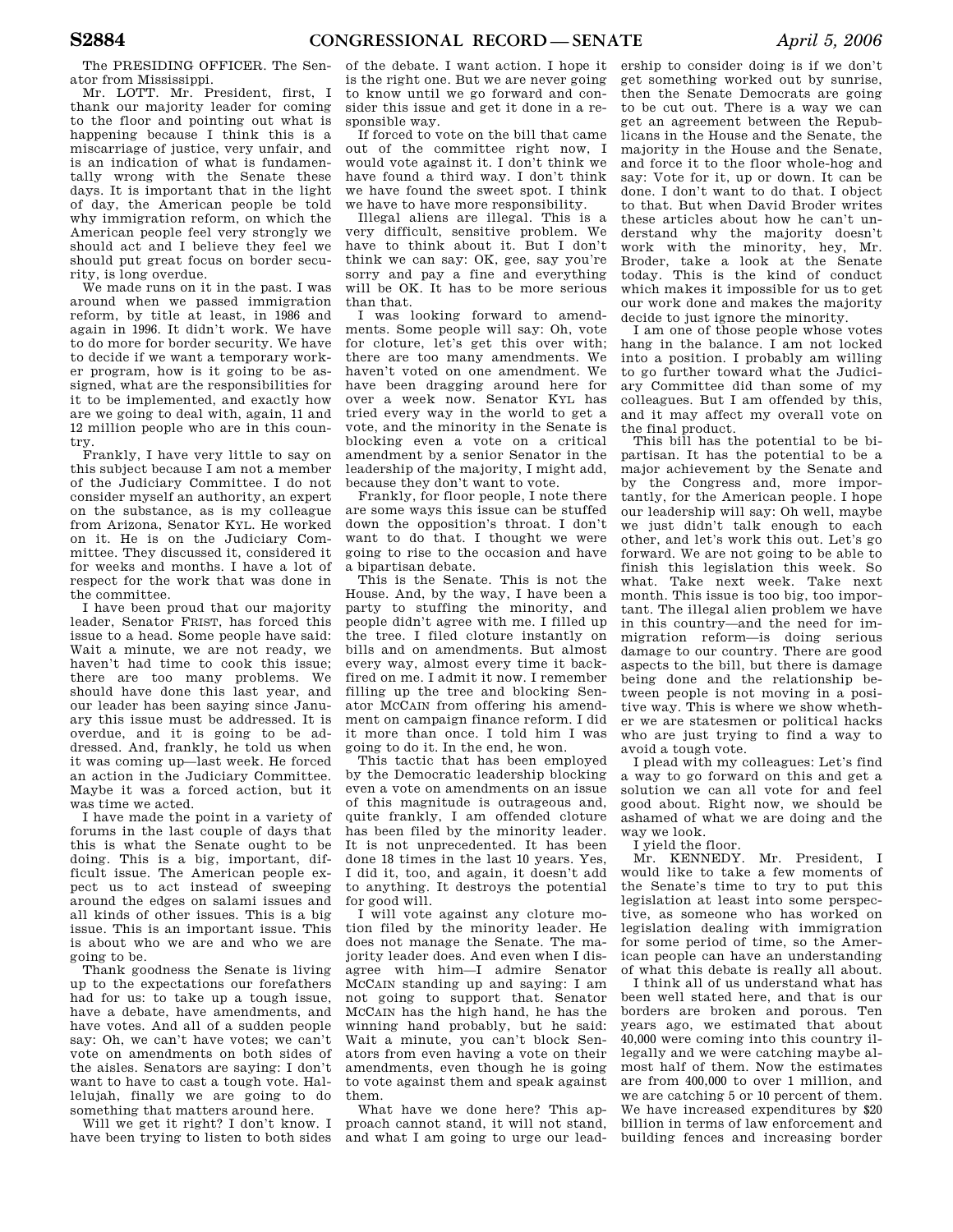The PRESIDING OFFICER. The Senator from Mississippi.

Mr. LOTT. Mr. President, first, I thank our majority leader for coming to the floor and pointing out what is happening because I think this is a miscarriage of justice, very unfair, and is an indication of what is fundamentally wrong with the Senate these days. It is important that in the light of day, the American people be told why immigration reform, on which the American people feel very strongly we should act and I believe they feel we should put great focus on border security, is long overdue.

We made runs on it in the past. I was around when we passed immigration reform, by title at least, in 1986 and again in 1996. It didn't work. We have to do more for border security. We have to decide if we want a temporary worker program, how is it going to be assigned, what are the responsibilities for it to be implemented, and exactly how are we going to deal with, again, 11 and 12 million people who are in this country.

Frankly, I have very little to say on this subject because I am not a member of the Judiciary Committee. I do not consider myself an authority, an expert on the substance, as is my colleague from Arizona, Senator KYL. He worked on it. He is on the Judiciary Committee. They discussed it, considered it for weeks and months. I have a lot of respect for the work that was done in the committee.

I have been proud that our majority leader, Senator FRIST, has forced this issue to a head. Some people have said: Wait a minute, we are not ready, we haven't had time to cook this issue; there are too many problems. We should have done this last year, and our leader has been saying since January this issue must be addressed. It is overdue, and it is going to be addressed. And, frankly, he told us when it was coming up—last week. He forced an action in the Judiciary Committee. Maybe it was a forced action, but it was time we acted.

I have made the point in a variety of forums in the last couple of days that this is what the Senate ought to be doing. This is a big, important, difficult issue. The American people expect us to act instead of sweeping around the edges on salami issues and all kinds of other issues. This is a big issue. This is an important issue. This is about who we are and who we are going to be.

Thank goodness the Senate is living up to the expectations our forefathers had for us: to take up a tough issue, have a debate, have amendments, and have votes. And all of a sudden people say: Oh, we can't have votes; we can't vote on amendments on both sides of the aisles. Senators are saying: I don't want to have to cast a tough vote. Hallelujah, finally we are going to do something that matters around here.

Will we get it right? I don't know. I have been trying to listen to both sides

of the debate. I want action. I hope it is the right one. But we are never going to know until we go forward and consider this issue and get it done in a responsible way.

If forced to vote on the bill that came out of the committee right now, I would vote against it. I don't think we have found a third way. I don't think we have found the sweet spot. I think we have to have more responsibility.

Illegal aliens are illegal. This is a very difficult, sensitive problem. We have to think about it. But I don't think we can say: OK, gee, say you're sorry and pay a fine and everything will be OK. It has to be more serious than that.

I was looking forward to amendments. Some people will say: Oh, vote for cloture, let's get this over with; there are too many amendments. We haven't voted on one amendment. We have been dragging around here for over a week now. Senator KYL has tried every way in the world to get a vote, and the minority in the Senate is blocking even a vote on a critical amendment by a senior Senator in the leadership of the majority, I might add, because they don't want to vote.

Frankly, for floor people, I note there are some ways this issue can be stuffed down the opposition's throat. I don't want to do that. I thought we were going to rise to the occasion and have a bipartisan debate.

This is the Senate. This is not the House. And, by the way, I have been a party to stuffing the minority, and people didn't agree with me. I filled up the tree. I filed cloture instantly on bills and on amendments. But almost every way, almost every time it backfired on me. I admit it now. I remember filling up the tree and blocking Senator MCCAIN from offering his amendment on campaign finance reform. I did it more than once. I told him I was going to do it. In the end, he won.

This tactic that has been employed by the Democratic leadership blocking even a vote on amendments on an issue of this magnitude is outrageous and, quite frankly, I am offended cloture has been filed by the minority leader. It is not unprecedented. It has been done 18 times in the last 10 years. Yes, I did it, too, and again, it doesn't add to anything. It destroys the potential for good will.

I will vote against any cloture motion filed by the minority leader. He does not manage the Senate. The majority leader does. And even when I disagree with him—I admire Senator MCCAIN standing up and saying: I am not going to support that. Senator MCCAIN has the high hand, he has the winning hand probably, but he said: Wait a minute, you can't block Senators from even having a vote on their amendments, even though he is going to vote against them and speak against them.

What have we done here? This approach cannot stand, it will not stand, and what I am going to urge our leadership to consider doing is if we don't get something worked out by sunrise, then the Senate Democrats are going to be cut out. There is a way we can get an agreement between the Republicans in the House and the Senate, the majority in the House and the Senate, and force it to the floor whole-hog and say: Vote for it, up or down. It can be done. I don't want to do that. I object to that. But when David Broder writes these articles about how he can't understand why the majority doesn't work with the minority, hey, Mr. Broder, take a look at the Senate today. This is the kind of conduct which makes it impossible for us to get our work done and makes the majority decide to just ignore the minority.

I am one of those people whose votes hang in the balance. I am not locked into a position. I probably am willing to go further toward what the Judiciary Committee did than some of my colleagues. But I am offended by this, and it may affect my overall vote on the final product.

This bill has the potential to be bipartisan. It has the potential to be a major achievement by the Senate and by the Congress and, more importantly, for the American people. I hope our leadership will say: Oh well, maybe we just didn't talk enough to each other, and let's work this out. Let's go forward. We are not going to be able to finish this legislation this week. So what. Take next week. Take next month. This issue is too big, too important. The illegal alien problem we have in this country—and the need for immigration reform—is doing serious damage to our country. There are good aspects to the bill, but there is damage being done and the relationship between people is not moving in a positive way. This is where we show whether we are statesmen or political hacks who are just trying to find a way to avoid a tough vote.

I plead with my colleagues: Let's find a way to go forward on this and get a solution we can all vote for and feel good about. Right now, we should be ashamed of what we are doing and the way we look.

I yield the floor.

Mr. KENNEDY. Mr. President, I would like to take a few moments of the Senate's time to try to put this legislation at least into some perspective, as someone who has worked on legislation dealing with immigration for some period of time, so the American people can have an understanding of what this debate is really all about.

I think all of us understand what has been well stated here, and that is our borders are broken and porous. Ten years ago, we estimated that about 40,000 were coming into this country illegally and we were catching maybe almost half of them. Now the estimates are from 400,000 to over 1 million, and we are catching 5 or 10 percent of them. We have increased expenditures by \$20 billion in terms of law enforcement and building fences and increasing border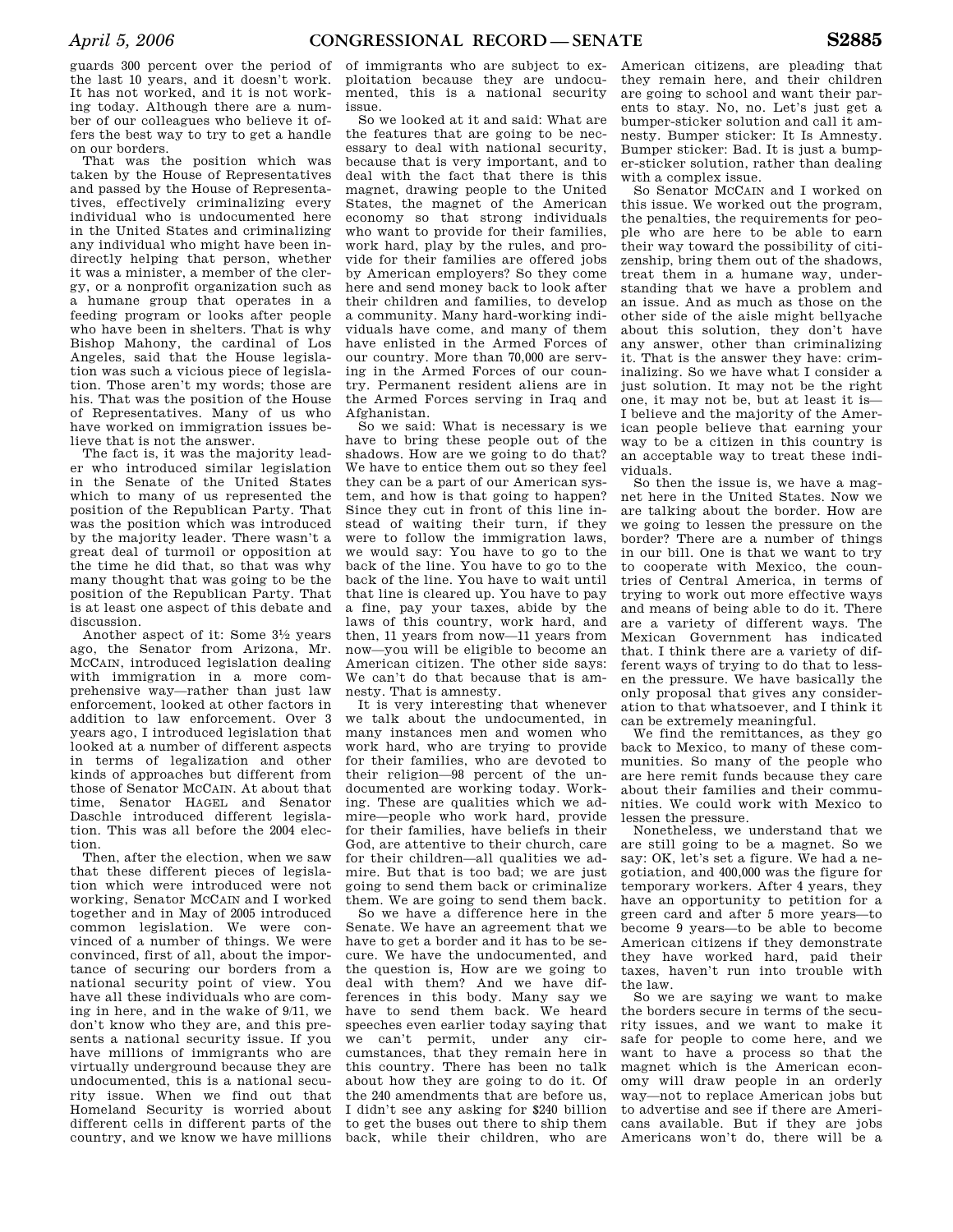guards 300 percent over the period of the last 10 years, and it doesn't work. It has not worked, and it is not working today. Although there are a number of our colleagues who believe it offers the best way to try to get a handle on our borders.

That was the position which was taken by the House of Representatives and passed by the House of Representatives, effectively criminalizing every individual who is undocumented here in the United States and criminalizing any individual who might have been indirectly helping that person, whether it was a minister, a member of the clergy, or a nonprofit organization such as a humane group that operates in a feeding program or looks after people who have been in shelters. That is why Bishop Mahony, the cardinal of Los Angeles, said that the House legislation was such a vicious piece of legislation. Those aren't my words; those are his. That was the position of the House of Representatives. Many of us who have worked on immigration issues believe that is not the answer.

The fact is, it was the majority leader who introduced similar legislation in the Senate of the United States which to many of us represented the position of the Republican Party. That was the position which was introduced by the majority leader. There wasn't a great deal of turmoil or opposition at the time he did that, so that was why many thought that was going to be the position of the Republican Party. That is at least one aspect of this debate and discussion.

Another aspect of it: Some 31⁄2 years ago, the Senator from Arizona, Mr. MCCAIN, introduced legislation dealing with immigration in a more comprehensive way—rather than just law enforcement, looked at other factors in addition to law enforcement. Over 3 years ago, I introduced legislation that looked at a number of different aspects in terms of legalization and other kinds of approaches but different from those of Senator MCCAIN. At about that time, Senator HAGEL and Senator Daschle introduced different legislation. This was all before the 2004 election.

Then, after the election, when we saw that these different pieces of legislation which were introduced were not working, Senator MCCAIN and I worked together and in May of 2005 introduced common legislation. We were convinced of a number of things. We were convinced, first of all, about the importance of securing our borders from a national security point of view. You have all these individuals who are coming in here, and in the wake of 9/11, we don't know who they are, and this presents a national security issue. If you have millions of immigrants who are virtually underground because they are undocumented, this is a national security issue. When we find out that Homeland Security is worried about different cells in different parts of the country, and we know we have millions

of immigrants who are subject to exploitation because they are undocumented, this is a national security issue.

So we looked at it and said: What are the features that are going to be necessary to deal with national security, because that is very important, and to deal with the fact that there is this magnet, drawing people to the United States, the magnet of the American economy so that strong individuals who want to provide for their families work hard, play by the rules, and provide for their families are offered jobs by American employers? So they come here and send money back to look after their children and families, to develop a community. Many hard-working individuals have come, and many of them have enlisted in the Armed Forces of our country. More than 70,000 are serving in the Armed Forces of our country. Permanent resident aliens are in the Armed Forces serving in Iraq and Afghanistan.

So we said: What is necessary is we have to bring these people out of the shadows. How are we going to do that? We have to entice them out so they feel they can be a part of our American system, and how is that going to happen? Since they cut in front of this line instead of waiting their turn, if they were to follow the immigration laws, we would say: You have to go to the back of the line. You have to go to the back of the line. You have to wait until that line is cleared up. You have to pay a fine, pay your taxes, abide by the laws of this country, work hard, and then, 11 years from now—11 years from now—you will be eligible to become an American citizen. The other side says: We can't do that because that is amnesty. That is amnesty.

It is very interesting that whenever we talk about the undocumented, in many instances men and women who work hard, who are trying to provide for their families, who are devoted to their religion—98 percent of the undocumented are working today. Working. These are qualities which we admire—people who work hard, provide for their families, have beliefs in their God, are attentive to their church, care for their children—all qualities we admire. But that is too bad; we are just going to send them back or criminalize them. We are going to send them back.

So we have a difference here in the Senate. We have an agreement that we have to get a border and it has to be secure. We have the undocumented, and the question is, How are we going to deal with them? And we have differences in this body. Many say we have to send them back. We heard speeches even earlier today saying that we can't permit, under any circumstances, that they remain here in this country. There has been no talk about how they are going to do it. Of the 240 amendments that are before us, I didn't see any asking for \$240 billion to get the buses out there to ship them back, while their children, who are

American citizens, are pleading that they remain here, and their children are going to school and want their parents to stay. No, no. Let's just get a bumper-sticker solution and call it amnesty. Bumper sticker: It Is Amnesty. Bumper sticker: Bad. It is just a bumper-sticker solution, rather than dealing with a complex issue.

So Senator MCCAIN and I worked on this issue. We worked out the program, the penalties, the requirements for people who are here to be able to earn their way toward the possibility of citizenship, bring them out of the shadows, treat them in a humane way, understanding that we have a problem and an issue. And as much as those on the other side of the aisle might bellyache about this solution, they don't have any answer, other than criminalizing it. That is the answer they have: criminalizing. So we have what I consider a just solution. It may not be the right one, it may not be, but at least it is— I believe and the majority of the American people believe that earning your way to be a citizen in this country is an acceptable way to treat these individuals.

So then the issue is, we have a magnet here in the United States. Now we are talking about the border. How are we going to lessen the pressure on the border? There are a number of things in our bill. One is that we want to try to cooperate with Mexico, the countries of Central America, in terms of trying to work out more effective ways and means of being able to do it. There are a variety of different ways. The Mexican Government has indicated that. I think there are a variety of different ways of trying to do that to lessen the pressure. We have basically the only proposal that gives any consideration to that whatsoever, and I think it can be extremely meaningful.

We find the remittances, as they go back to Mexico, to many of these communities. So many of the people who are here remit funds because they care about their families and their communities. We could work with Mexico to lessen the pressure.

Nonetheless, we understand that we are still going to be a magnet. So we say: OK, let's set a figure. We had a negotiation, and 400,000 was the figure for temporary workers. After 4 years, they have an opportunity to petition for a green card and after 5 more years—to become 9 years—to be able to become American citizens if they demonstrate they have worked hard, paid their taxes, haven't run into trouble with the law.

So we are saying we want to make the borders secure in terms of the security issues, and we want to make it safe for people to come here, and we want to have a process so that the magnet which is the American economy will draw people in an orderly way—not to replace American jobs but to advertise and see if there are Americans available. But if they are jobs Americans won't do, there will be a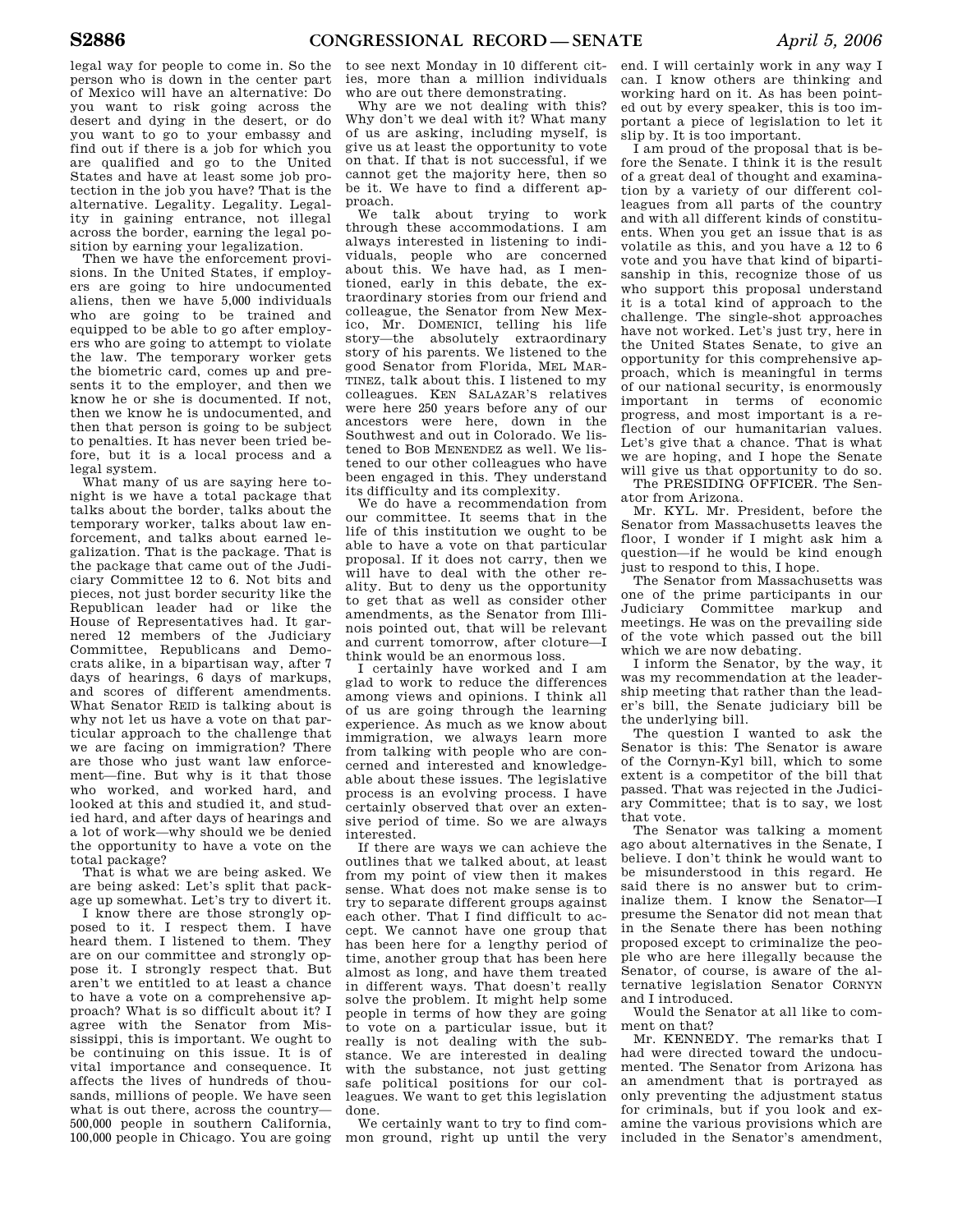legal way for people to come in. So the person who is down in the center part of Mexico will have an alternative: Do you want to risk going across the desert and dying in the desert, or do you want to go to your embassy and find out if there is a job for which you are qualified and go to the United States and have at least some job protection in the job you have? That is the alternative. Legality. Legality. Legality in gaining entrance, not illegal across the border, earning the legal position by earning your legalization.

Then we have the enforcement provisions. In the United States, if employers are going to hire undocumented aliens, then we have 5,000 individuals who are going to be trained and equipped to be able to go after employers who are going to attempt to violate the law. The temporary worker gets the biometric card, comes up and presents it to the employer, and then we know he or she is documented. If not, then we know he is undocumented, and then that person is going to be subject to penalties. It has never been tried before, but it is a local process and a legal system.

What many of us are saying here tonight is we have a total package that talks about the border, talks about the temporary worker, talks about law enforcement, and talks about earned legalization. That is the package. That is the package that came out of the Judiciary Committee 12 to 6. Not bits and pieces, not just border security like the Republican leader had or like the House of Representatives had. It garnered 12 members of the Judiciary Committee, Republicans and Democrats alike, in a bipartisan way, after 7 days of hearings, 6 days of markups, and scores of different amendments. What Senator REID is talking about is why not let us have a vote on that particular approach to the challenge that we are facing on immigration? There are those who just want law enforcement—fine. But why is it that those who worked, and worked hard, and looked at this and studied it, and studied hard, and after days of hearings and a lot of work—why should we be denied the opportunity to have a vote on the total package?

That is what we are being asked. We are being asked: Let's split that package up somewhat. Let's try to divert it. I know there are those strongly opposed to it. I respect them. I have heard them. I listened to them. They are on our committee and strongly oppose it. I strongly respect that. But

aren't we entitled to at least a chance to have a vote on a comprehensive approach? What is so difficult about it? I agree with the Senator from Mississippi, this is important. We ought to be continuing on this issue. It is of vital importance and consequence. It affects the lives of hundreds of thousands, millions of people. We have seen what is out there, across the country— 500,000 people in southern California, 100,000 people in Chicago. You are going

to see next Monday in 10 different cities, more than a million individuals who are out there demonstrating.

Why are we not dealing with this? Why don't we deal with it? What many of us are asking, including myself, is give us at least the opportunity to vote on that. If that is not successful, if we cannot get the majority here, then so be it. We have to find a different approach.

We talk about trying to work through these accommodations. I am always interested in listening to individuals, people who are concerned about this. We have had, as I mentioned, early in this debate, the extraordinary stories from our friend and colleague, the Senator from New Mexico, Mr. DOMENICI, telling his life story—the absolutely extraordinary story of his parents. We listened to the good Senator from Florida, MEL MAR-TINEZ, talk about this. I listened to my colleagues. KEN SALAZAR'S relatives were here 250 years before any of our ancestors were here, down in the Southwest and out in Colorado. We listened to BOB MENENDEZ as well. We listened to our other colleagues who have been engaged in this. They understand its difficulty and its complexity.

We do have a recommendation from our committee. It seems that in the life of this institution we ought to be able to have a vote on that particular proposal. If it does not carry, then we will have to deal with the other reality. But to deny us the opportunity to get that as well as consider other amendments, as the Senator from Illinois pointed out, that will be relevant and current tomorrow, after cloture—I think would be an enormous loss.

I certainly have worked and I am glad to work to reduce the differences among views and opinions. I think all of us are going through the learning experience. As much as we know about immigration, we always learn more from talking with people who are concerned and interested and knowledgeable about these issues. The legislative process is an evolving process. I have certainly observed that over an extensive period of time. So we are always interested.

If there are ways we can achieve the outlines that we talked about, at least from my point of view then it makes sense. What does not make sense is to try to separate different groups against each other. That I find difficult to accept. We cannot have one group that has been here for a lengthy period of time, another group that has been here almost as long, and have them treated in different ways. That doesn't really solve the problem. It might help some people in terms of how they are going to vote on a particular issue, but it really is not dealing with the substance. We are interested in dealing with the substance, not just getting safe political positions for our colleagues. We want to get this legislation done.

We certainly want to try to find common ground, right up until the very end. I will certainly work in any way I can. I know others are thinking and working hard on it. As has been pointed out by every speaker, this is too important a piece of legislation to let it slip by. It is too important.

I am proud of the proposal that is before the Senate. I think it is the result of a great deal of thought and examination by a variety of our different colleagues from all parts of the country and with all different kinds of constituents. When you get an issue that is as volatile as this, and you have a 12 to 6 vote and you have that kind of bipartisanship in this, recognize those of us who support this proposal understand it is a total kind of approach to the challenge. The single-shot approaches have not worked. Let's just try, here in the United States Senate, to give an opportunity for this comprehensive approach, which is meaningful in terms of our national security, is enormously important in terms of economic progress, and most important is a reflection of our humanitarian values. Let's give that a chance. That is what we are hoping, and I hope the Senate will give us that opportunity to do so.

The PRESIDING OFFICER. The Senator from Arizona.

Mr. KYL. Mr. President, before the Senator from Massachusetts leaves the floor, I wonder if I might ask him a question—if he would be kind enough just to respond to this, I hope.

The Senator from Massachusetts was one of the prime participants in our Judiciary Committee markup and meetings. He was on the prevailing side of the vote which passed out the bill which we are now debating.

I inform the Senator, by the way, it was my recommendation at the leadership meeting that rather than the leader's bill, the Senate judiciary bill be the underlying bill.

The question I wanted to ask the Senator is this: The Senator is aware of the Cornyn-Kyl bill, which to some extent is a competitor of the bill that passed. That was rejected in the Judiciary Committee; that is to say, we lost that vote.

The Senator was talking a moment ago about alternatives in the Senate, I believe. I don't think he would want to be misunderstood in this regard. He said there is no answer but to criminalize them. I know the Senator—I presume the Senator did not mean that in the Senate there has been nothing proposed except to criminalize the people who are here illegally because the Senator, of course, is aware of the alternative legislation Senator CORNYN and I introduced.

Would the Senator at all like to comment on that?

Mr. KENNEDY. The remarks that I had were directed toward the undocumented. The Senator from Arizona has an amendment that is portrayed as only preventing the adjustment status for criminals, but if you look and examine the various provisions which are included in the Senator's amendment,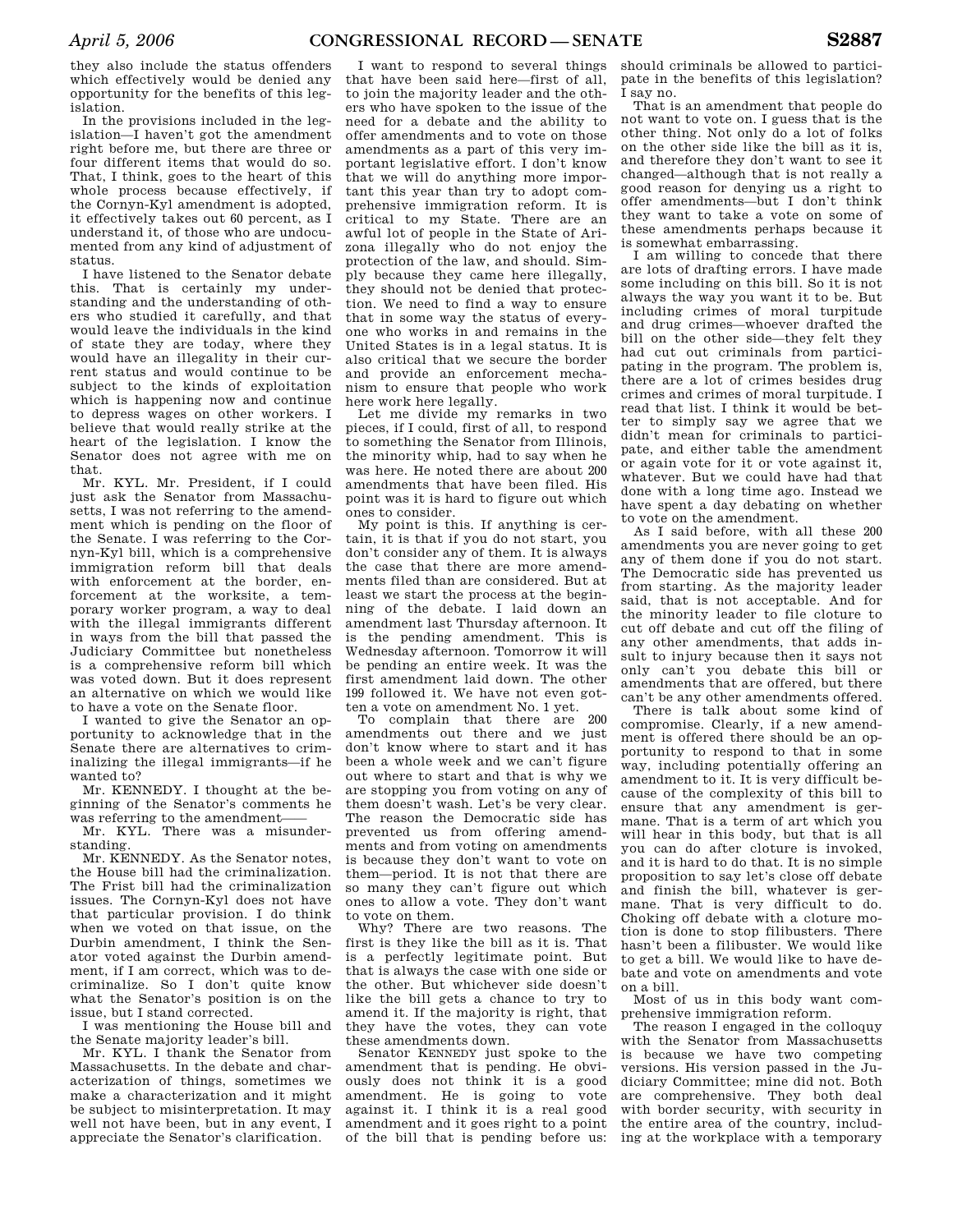they also include the status offenders which effectively would be denied any opportunity for the benefits of this legislation.

In the provisions included in the legislation—I haven't got the amendment right before me, but there are three or four different items that would do so. That, I think, goes to the heart of this whole process because effectively, if the Cornyn-Kyl amendment is adopted, it effectively takes out 60 percent, as I understand it, of those who are undocumented from any kind of adjustment of status.

I have listened to the Senator debate this. That is certainly my understanding and the understanding of others who studied it carefully, and that would leave the individuals in the kind of state they are today, where they would have an illegality in their current status and would continue to be subject to the kinds of exploitation which is happening now and continue to depress wages on other workers. I believe that would really strike at the heart of the legislation. I know the Senator does not agree with me on that.

Mr. KYL. Mr. President, if I could just ask the Senator from Massachusetts, I was not referring to the amendment which is pending on the floor of the Senate. I was referring to the Cornyn-Kyl bill, which is a comprehensive immigration reform bill that deals with enforcement at the border, enforcement at the worksite, a temporary worker program, a way to deal with the illegal immigrants different in ways from the bill that passed the Judiciary Committee but nonetheless is a comprehensive reform bill which was voted down. But it does represent an alternative on which we would like to have a vote on the Senate floor.

I wanted to give the Senator an opportunity to acknowledge that in the Senate there are alternatives to criminalizing the illegal immigrants—if he wanted to?

Mr. KENNEDY. I thought at the beginning of the Senator's comments he was referring to the amendment-

Mr. KYL. There was a misunderstanding.

Mr. KENNEDY. As the Senator notes, the House bill had the criminalization. The Frist bill had the criminalization issues. The Cornyn-Kyl does not have that particular provision. I do think when we voted on that issue, on the Durbin amendment, I think the Senator voted against the Durbin amendment, if I am correct, which was to decriminalize. So I don't quite know what the Senator's position is on the issue, but I stand corrected.

I was mentioning the House bill and the Senate majority leader's bill.

Mr. KYL. I thank the Senator from Massachusetts. In the debate and characterization of things, sometimes we make a characterization and it might be subject to misinterpretation. It may well not have been, but in any event, I appreciate the Senator's clarification.

I want to respond to several things that have been said here—first of all, to join the majority leader and the others who have spoken to the issue of the need for a debate and the ability to offer amendments and to vote on those amendments as a part of this very important legislative effort. I don't know that we will do anything more important this year than try to adopt comprehensive immigration reform. It is critical to my State. There are an awful lot of people in the State of Arizona illegally who do not enjoy the protection of the law, and should. Simply because they came here illegally, they should not be denied that protection. We need to find a way to ensure that in some way the status of everyone who works in and remains in the United States is in a legal status. It is also critical that we secure the border and provide an enforcement mechanism to ensure that people who work here work here legally.

Let me divide my remarks in two pieces, if I could, first of all, to respond to something the Senator from Illinois, the minority whip, had to say when he was here. He noted there are about 200 amendments that have been filed. His point was it is hard to figure out which ones to consider.

My point is this. If anything is certain, it is that if you do not start, you don't consider any of them. It is always the case that there are more amendments filed than are considered. But at least we start the process at the beginning of the debate. I laid down an amendment last Thursday afternoon. It is the pending amendment. This is Wednesday afternoon. Tomorrow it will be pending an entire week. It was the first amendment laid down. The other 199 followed it. We have not even gotten a vote on amendment No. 1 yet.

To complain that there are 200 amendments out there and we just don't know where to start and it has been a whole week and we can't figure out where to start and that is why we are stopping you from voting on any of them doesn't wash. Let's be very clear. The reason the Democratic side has prevented us from offering amendments and from voting on amendments is because they don't want to vote on them—period. It is not that there are so many they can't figure out which ones to allow a vote. They don't want to vote on them.

Why? There are two reasons. The first is they like the bill as it is. That is a perfectly legitimate point. But that is always the case with one side or the other. But whichever side doesn't like the bill gets a chance to try to amend it. If the majority is right, that they have the votes, they can vote these amendments down.

Senator KENNEDY just spoke to the amendment that is pending. He obviously does not think it is a good amendment. He is going to vote against it. I think it is a real good amendment and it goes right to a point of the bill that is pending before us:

should criminals be allowed to participate in the benefits of this legislation? I say no.

That is an amendment that people do not want to vote on. I guess that is the other thing. Not only do a lot of folks on the other side like the bill as it is, and therefore they don't want to see it changed—although that is not really a good reason for denying us a right to offer amendments—but I don't think they want to take a vote on some of these amendments perhaps because it is somewhat embarrassing.

I am willing to concede that there are lots of drafting errors. I have made some including on this bill. So it is not always the way you want it to be. But including crimes of moral turpitude and drug crimes—whoever drafted the bill on the other side—they felt they had cut out criminals from participating in the program. The problem is, there are a lot of crimes besides drug crimes and crimes of moral turpitude. I read that list. I think it would be better to simply say we agree that we didn't mean for criminals to participate, and either table the amendment or again vote for it or vote against it, whatever. But we could have had that done with a long time ago. Instead we have spent a day debating on whether to vote on the amendment.

As I said before, with all these 200 amendments you are never going to get any of them done if you do not start. The Democratic side has prevented us from starting. As the majority leader said, that is not acceptable. And for the minority leader to file cloture to cut off debate and cut off the filing of any other amendments, that adds insult to injury because then it says not only can't you debate this bill or amendments that are offered, but there can't be any other amendments offered.

There is talk about some kind of compromise. Clearly, if a new amendment is offered there should be an opportunity to respond to that in some way, including potentially offering an amendment to it. It is very difficult because of the complexity of this bill to ensure that any amendment is germane. That is a term of art which you will hear in this body, but that is all you can do after cloture is invoked, and it is hard to do that. It is no simple proposition to say let's close off debate and finish the bill, whatever is germane. That is very difficult to do. Choking off debate with a cloture motion is done to stop filibusters. There hasn't been a filibuster. We would like to get a bill. We would like to have debate and vote on amendments and vote on a bill.

Most of us in this body want comprehensive immigration reform.

The reason I engaged in the colloquy with the Senator from Massachusetts is because we have two competing versions. His version passed in the Judiciary Committee; mine did not. Both are comprehensive. They both deal with border security, with security in the entire area of the country, including at the workplace with a temporary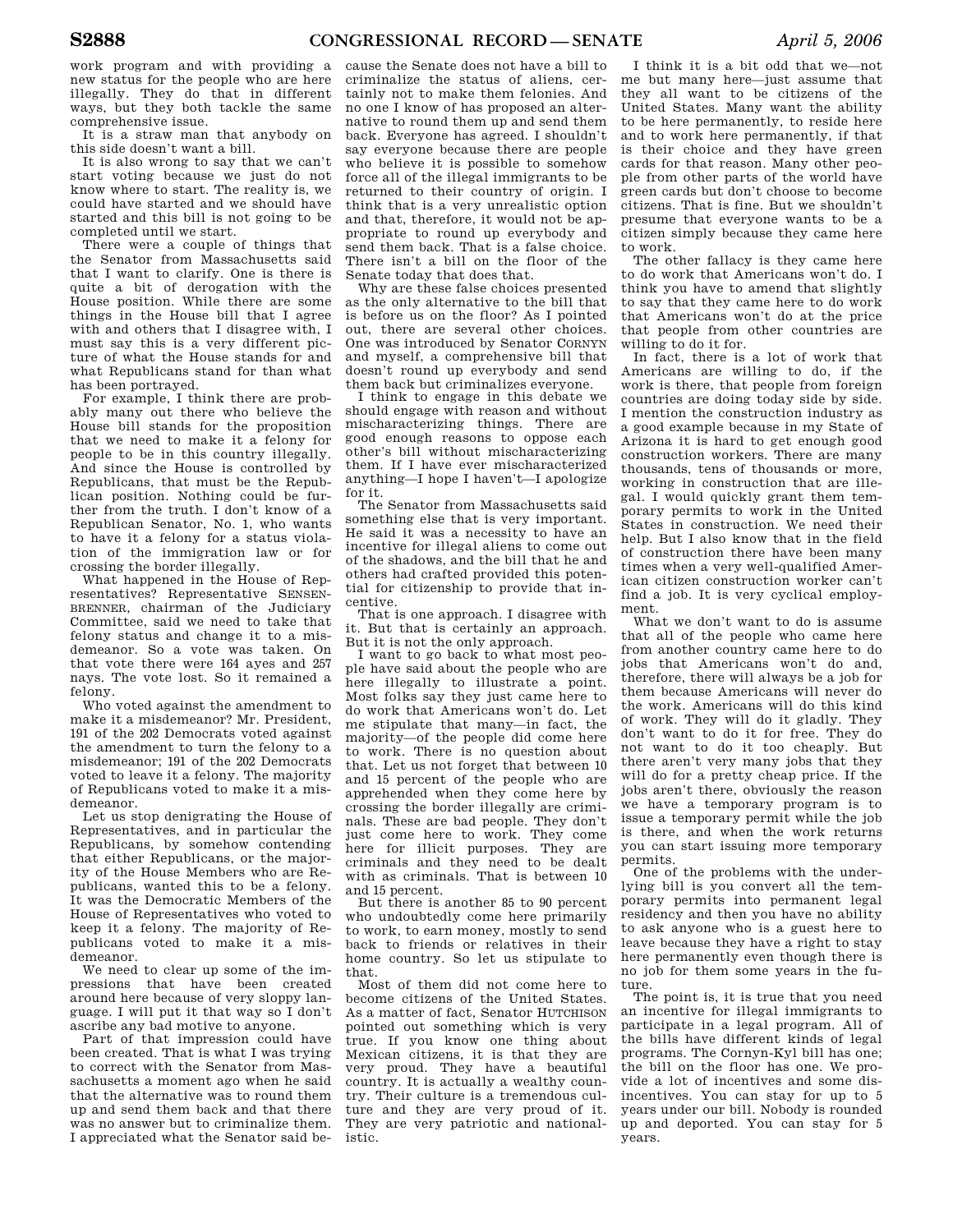work program and with providing a new status for the people who are here illegally. They do that in different ways, but they both tackle the same comprehensive issue.

It is a straw man that anybody on this side doesn't want a bill.

It is also wrong to say that we can't start voting because we just do not know where to start. The reality is, we could have started and we should have started and this bill is not going to be completed until we start.

There were a couple of things that the Senator from Massachusetts said that I want to clarify. One is there is quite a bit of derogation with the House position. While there are some things in the House bill that I agree with and others that I disagree with, I must say this is a very different picture of what the House stands for and what Republicans stand for than what has been portrayed.

For example, I think there are probably many out there who believe the House bill stands for the proposition that we need to make it a felony for people to be in this country illegally. And since the House is controlled by Republicans, that must be the Republican position. Nothing could be further from the truth. I don't know of a Republican Senator, No. 1, who wants to have it a felony for a status violation of the immigration law or for crossing the border illegally.

What happened in the House of Representatives? Representative SENSEN-BRENNER, chairman of the Judiciary Committee, said we need to take that felony status and change it to a misdemeanor. So a vote was taken. On that vote there were 164 ayes and 257 nays. The vote lost. So it remained a felony.

Who voted against the amendment to make it a misdemeanor? Mr. President, 191 of the 202 Democrats voted against the amendment to turn the felony to a misdemeanor; 191 of the 202 Democrats voted to leave it a felony. The majority of Republicans voted to make it a misdemeanor.

Let us stop denigrating the House of Representatives, and in particular the Republicans, by somehow contending that either Republicans, or the majority of the House Members who are Republicans, wanted this to be a felony. It was the Democratic Members of the House of Representatives who voted to keep it a felony. The majority of Republicans voted to make it a misdemeanor.

We need to clear up some of the impressions that have been created around here because of very sloppy language. I will put it that way so I don't ascribe any bad motive to anyone.

Part of that impression could have been created. That is what I was trying to correct with the Senator from Massachusetts a moment ago when he said that the alternative was to round them up and send them back and that there was no answer but to criminalize them. I appreciated what the Senator said be-

cause the Senate does not have a bill to criminalize the status of aliens, certainly not to make them felonies. And no one I know of has proposed an alternative to round them up and send them back. Everyone has agreed. I shouldn't say everyone because there are people who believe it is possible to somehow force all of the illegal immigrants to be returned to their country of origin. I think that is a very unrealistic option and that, therefore, it would not be appropriate to round up everybody and send them back. That is a false choice. There isn't a bill on the floor of the Senate today that does that.

Why are these false choices presented as the only alternative to the bill that is before us on the floor? As I pointed out, there are several other choices. One was introduced by Senator CORNYN and myself, a comprehensive bill that doesn't round up everybody and send them back but criminalizes everyone.

I think to engage in this debate we should engage with reason and without mischaracterizing things. There are good enough reasons to oppose each other's bill without mischaracterizing them. If I have ever mischaracterized anything—I hope I haven't—I apologize for it.

The Senator from Massachusetts said something else that is very important. He said it was a necessity to have an incentive for illegal aliens to come out of the shadows, and the bill that he and others had crafted provided this potential for citizenship to provide that incentive.

That is one approach. I disagree with it. But that is certainly an approach. But it is not the only approach.

I want to go back to what most people have said about the people who are here illegally to illustrate a point. Most folks say they just came here to do work that Americans won't do. Let me stipulate that many—in fact, the majority—of the people did come here to work. There is no question about that. Let us not forget that between 10 and 15 percent of the people who are apprehended when they come here by crossing the border illegally are criminals. These are bad people. They don't just come here to work. They come here for illicit purposes. They are criminals and they need to be dealt with as criminals. That is between 10 and 15 percent.

But there is another 85 to 90 percent who undoubtedly come here primarily to work, to earn money, mostly to send back to friends or relatives in their home country. So let us stipulate to that.

Most of them did not come here to become citizens of the United States. As a matter of fact, Senator HUTCHISON pointed out something which is very true. If you know one thing about Mexican citizens, it is that they are very proud. They have a beautiful country. It is actually a wealthy country. Their culture is a tremendous culture and they are very proud of it. They are very patriotic and nationalistic.

I think it is a bit odd that we—not me but many here—just assume that they all want to be citizens of the United States. Many want the ability to be here permanently, to reside here and to work here permanently, if that is their choice and they have green cards for that reason. Many other people from other parts of the world have green cards but don't choose to become citizens. That is fine. But we shouldn't presume that everyone wants to be a citizen simply because they came here to work.

The other fallacy is they came here to do work that Americans won't do. I think you have to amend that slightly to say that they came here to do work that Americans won't do at the price that people from other countries are willing to do it for.

In fact, there is a lot of work that Americans are willing to do, if the work is there, that people from foreign countries are doing today side by side. I mention the construction industry as a good example because in my State of Arizona it is hard to get enough good construction workers. There are many thousands, tens of thousands or more, working in construction that are illegal. I would quickly grant them temporary permits to work in the United States in construction. We need their help. But I also know that in the field of construction there have been many times when a very well-qualified American citizen construction worker can't find a job. It is very cyclical employment.

What we don't want to do is assume that all of the people who came here from another country came here to do jobs that Americans won't do and, therefore, there will always be a job for them because Americans will never do the work. Americans will do this kind of work. They will do it gladly. They don't want to do it for free. They do not want to do it too cheaply. But there aren't very many jobs that they will do for a pretty cheap price. If the jobs aren't there, obviously the reason we have a temporary program is to issue a temporary permit while the job is there, and when the work returns you can start issuing more temporary permits.

One of the problems with the underlying bill is you convert all the temporary permits into permanent legal residency and then you have no ability to ask anyone who is a guest here to leave because they have a right to stay here permanently even though there is no job for them some years in the future.

The point is, it is true that you need an incentive for illegal immigrants to participate in a legal program. All of the bills have different kinds of legal programs. The Cornyn-Kyl bill has one; the bill on the floor has one. We provide a lot of incentives and some disincentives. You can stay for up to 5 years under our bill. Nobody is rounded up and deported. You can stay for 5 years.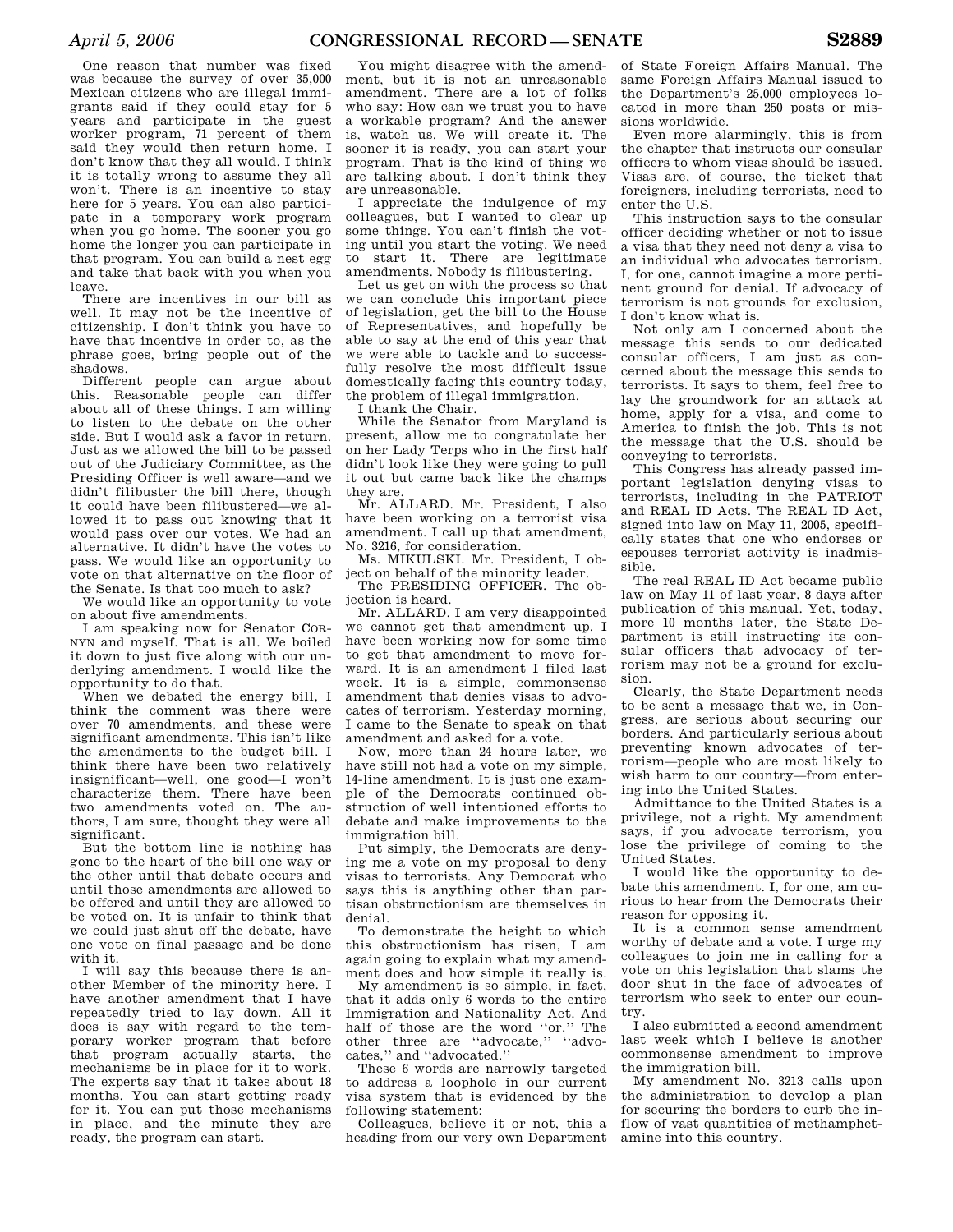One reason that number was fixed was because the survey of over 35,000 Mexican citizens who are illegal immigrants said if they could stay for 5 years and participate in the guest worker program, 71 percent of them said they would then return home. I don't know that they all would. I think it is totally wrong to assume they all won't. There is an incentive to stay here for 5 years. You can also participate in a temporary work program when you go home. The sooner you go home the longer you can participate in that program. You can build a nest egg and take that back with you when you leave.

There are incentives in our bill as well. It may not be the incentive of citizenship. I don't think you have to have that incentive in order to, as the phrase goes, bring people out of the shadows.

Different people can argue about this. Reasonable people can differ about all of these things. I am willing to listen to the debate on the other side. But I would ask a favor in return. Just as we allowed the bill to be passed out of the Judiciary Committee, as the Presiding Officer is well aware—and we didn't filibuster the bill there, though it could have been filibustered—we allowed it to pass out knowing that it would pass over our votes. We had an alternative. It didn't have the votes to pass. We would like an opportunity to vote on that alternative on the floor of the Senate. Is that too much to ask?

We would like an opportunity to vote on about five amendments.

I am speaking now for Senator COR-NYN and myself. That is all. We boiled it down to just five along with our underlying amendment. I would like the opportunity to do that.

When we debated the energy bill, I think the comment was there were over 70 amendments, and these were significant amendments. This isn't like the amendments to the budget bill. I think there have been two relatively insignificant—well, one good—I won't characterize them. There have been two amendments voted on. The authors, I am sure, thought they were all significant.

But the bottom line is nothing has gone to the heart of the bill one way or the other until that debate occurs and until those amendments are allowed to be offered and until they are allowed to be voted on. It is unfair to think that we could just shut off the debate, have one vote on final passage and be done with it.

I will say this because there is another Member of the minority here. I have another amendment that I have repeatedly tried to lay down. All it does is say with regard to the temporary worker program that before that program actually starts, the mechanisms be in place for it to work. The experts say that it takes about 18 months. You can start getting ready for it. You can put those mechanisms in place, and the minute they are ready, the program can start.

You might disagree with the amendment, but it is not an unreasonable amendment. There are a lot of folks who say: How can we trust you to have a workable program? And the answer is, watch us. We will create it. The sooner it is ready, you can start your program. That is the kind of thing we are talking about. I don't think they are unreasonable.

I appreciate the indulgence of my colleagues, but I wanted to clear up some things. You can't finish the voting until you start the voting. We need to start it. There are legitimate amendments. Nobody is filibustering.

Let us get on with the process so that we can conclude this important piece of legislation, get the bill to the House of Representatives, and hopefully be able to say at the end of this year that we were able to tackle and to successfully resolve the most difficult issue domestically facing this country today, the problem of illegal immigration.

I thank the Chair.

While the Senator from Maryland is present, allow me to congratulate her on her Lady Terps who in the first half didn't look like they were going to pull it out but came back like the champs they are.

Mr. ALLARD. Mr. President, I also have been working on a terrorist visa amendment. I call up that amendment, No. 3216, for consideration.

Ms. MIKULSKI. Mr. President, I object on behalf of the minority leader.

The PRESIDING OFFICER. The objection is heard.

Mr. ALLARD. I am very disappointed we cannot get that amendment up. I have been working now for some time to get that amendment to move forward. It is an amendment I filed last week. It is a simple, commonsense amendment that denies visas to advocates of terrorism. Yesterday morning, I came to the Senate to speak on that amendment and asked for a vote.

Now, more than 24 hours later, we have still not had a vote on my simple, 14-line amendment. It is just one example of the Democrats continued obstruction of well intentioned efforts to debate and make improvements to the immigration bill.

Put simply, the Democrats are denying me a vote on my proposal to deny visas to terrorists. Any Democrat who says this is anything other than partisan obstructionism are themselves in denial.

To demonstrate the height to which this obstructionism has risen, I am again going to explain what my amendment does and how simple it really is.

My amendment is so simple, in fact, that it adds only 6 words to the entire Immigration and Nationality Act. And half of those are the word ''or.'' The other three are ''advocate,'' ''advocates,'' and ''advocated.''

These 6 words are narrowly targeted to address a loophole in our current visa system that is evidenced by the following statement:

Colleagues, believe it or not, this a heading from our very own Department

of State Foreign Affairs Manual. The same Foreign Affairs Manual issued to the Department's 25,000 employees located in more than 250 posts or missions worldwide.

Even more alarmingly, this is from the chapter that instructs our consular officers to whom visas should be issued. Visas are, of course, the ticket that foreigners, including terrorists, need to enter the U.S.

This instruction says to the consular officer deciding whether or not to issue a visa that they need not deny a visa to an individual who advocates terrorism. I, for one, cannot imagine a more pertinent ground for denial. If advocacy of terrorism is not grounds for exclusion, I don't know what is.

Not only am I concerned about the message this sends to our dedicated consular officers, I am just as concerned about the message this sends to terrorists. It says to them, feel free to lay the groundwork for an attack at home, apply for a visa, and come to America to finish the job. This is not the message that the U.S. should be conveying to terrorists.

This Congress has already passed important legislation denying visas to terrorists, including in the PATRIOT and REAL ID Acts. The REAL ID Act, signed into law on May 11, 2005, specifically states that one who endorses or espouses terrorist activity is inadmissible.

The real REAL ID Act became public law on May 11 of last year, 8 days after publication of this manual. Yet, today, more 10 months later, the State Department is still instructing its consular officers that advocacy of terrorism may not be a ground for exclusion.

Clearly, the State Department needs to be sent a message that we, in Congress, are serious about securing our borders. And particularly serious about preventing known advocates of terrorism—people who are most likely to wish harm to our country—from entering into the United States.

Admittance to the United States is a privilege, not a right. My amendment says, if you advocate terrorism, you lose the privilege of coming to the United States.

I would like the opportunity to debate this amendment. I, for one, am curious to hear from the Democrats their reason for opposing it.

It is a common sense amendment worthy of debate and a vote. I urge my colleagues to join me in calling for a vote on this legislation that slams the door shut in the face of advocates of terrorism who seek to enter our country.

I also submitted a second amendment last week which I believe is another commonsense amendment to improve the immigration bill.

My amendment No. 3213 calls upon the administration to develop a plan for securing the borders to curb the inflow of vast quantities of methamphetamine into this country.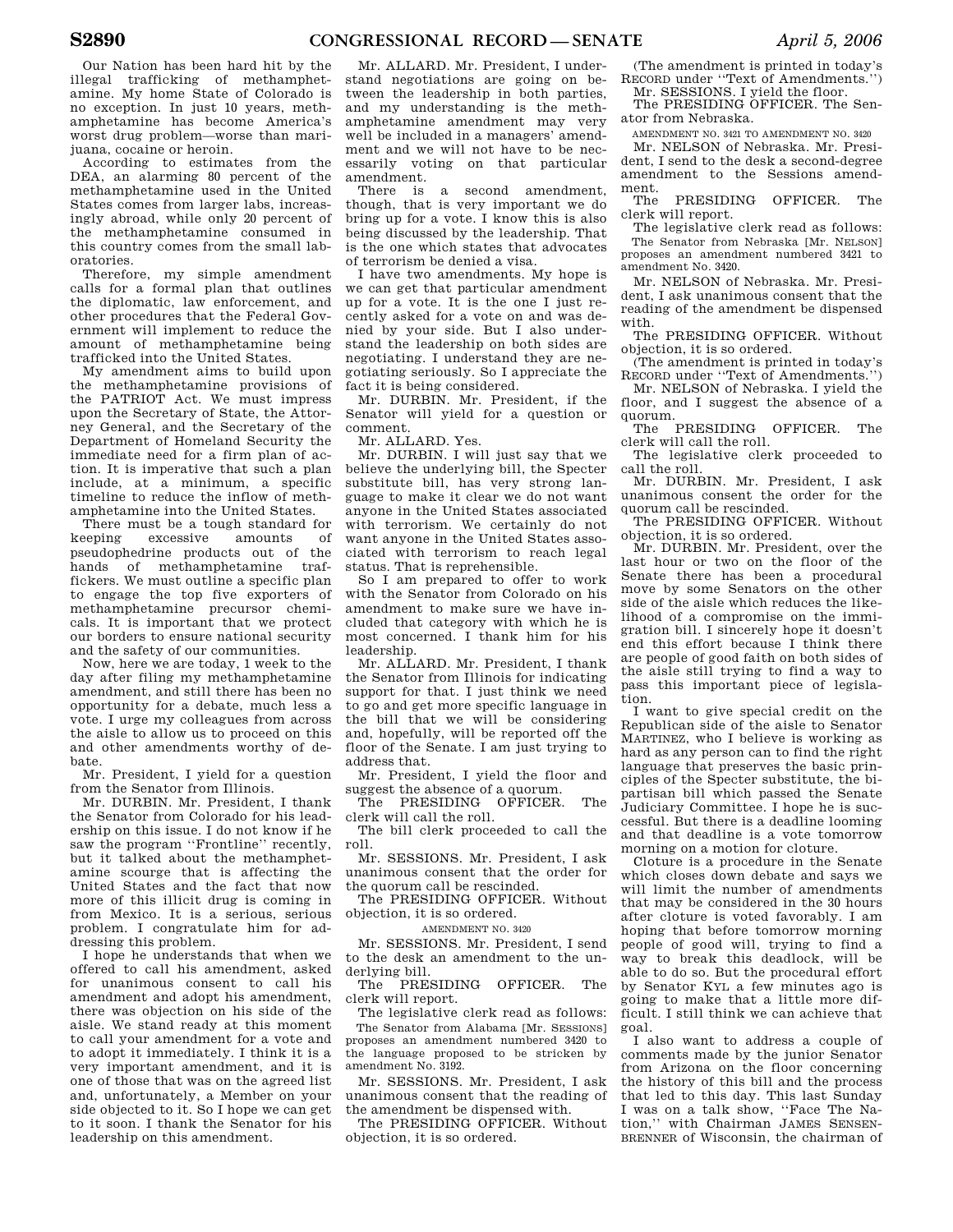Our Nation has been hard hit by the illegal trafficking of methamphetamine. My home State of Colorado is no exception. In just 10 years, methamphetamine has become America's worst drug problem—worse than marijuana, cocaine or heroin.

According to estimates from the DEA, an alarming 80 percent of the methamphetamine used in the United States comes from larger labs, increasingly abroad, while only 20 percent of the methamphetamine consumed in this country comes from the small laboratories.

Therefore, my simple amendment calls for a formal plan that outlines the diplomatic, law enforcement, and other procedures that the Federal Government will implement to reduce the amount of methamphetamine being trafficked into the United States.

My amendment aims to build upon the methamphetamine provisions of the PATRIOT Act. We must impress upon the Secretary of State, the Attorney General, and the Secretary of the Department of Homeland Security the immediate need for a firm plan of action. It is imperative that such a plan include, at a minimum, a specific timeline to reduce the inflow of methamphetamine into the United States.

There must be a tough standard for<br>ening excessive amounts of keeping excessive amounts pseudophedrine products out of the hands of methamphetamine traffickers. We must outline a specific plan to engage the top five exporters of methamphetamine precursor chemicals. It is important that we protect our borders to ensure national security and the safety of our communities.

Now, here we are today, 1 week to the day after filing my methamphetamine amendment, and still there has been no opportunity for a debate, much less a vote. I urge my colleagues from across the aisle to allow us to proceed on this and other amendments worthy of debate.

Mr. President, I yield for a question from the Senator from Illinois.

Mr. DURBIN. Mr. President, I thank the Senator from Colorado for his leadership on this issue. I do not know if he saw the program ''Frontline'' recently, but it talked about the methamphetamine scourge that is affecting the United States and the fact that now more of this illicit drug is coming in from Mexico. It is a serious, serious problem. I congratulate him for addressing this problem.

I hope he understands that when we offered to call his amendment, asked for unanimous consent to call his amendment and adopt his amendment, there was objection on his side of the aisle. We stand ready at this moment to call your amendment for a vote and to adopt it immediately. I think it is a very important amendment, and it is one of those that was on the agreed list and, unfortunately, a Member on your side objected to it. So I hope we can get to it soon. I thank the Senator for his leadership on this amendment.

Mr. ALLARD. Mr. President, I understand negotiations are going on between the leadership in both parties, and my understanding is the methamphetamine amendment may very well be included in a managers' amendment and we will not have to be necessarily voting on that particular amendment.

There is a second amendment. though, that is very important we do bring up for a vote. I know this is also being discussed by the leadership. That is the one which states that advocates of terrorism be denied a visa.

I have two amendments. My hope is we can get that particular amendment up for a vote. It is the one I just recently asked for a vote on and was denied by your side. But I also understand the leadership on both sides are negotiating. I understand they are negotiating seriously. So I appreciate the fact it is being considered.

Mr. DURBIN. Mr. President, if the Senator will yield for a question or comment.

Mr. ALLARD. Yes.

Mr. DURBIN. I will just say that we believe the underlying bill, the Specter substitute bill, has very strong language to make it clear we do not want anyone in the United States associated with terrorism. We certainly do not want anyone in the United States associated with terrorism to reach legal status. That is reprehensible.

So I am prepared to offer to work with the Senator from Colorado on his amendment to make sure we have included that category with which he is most concerned. I thank him for his leadership.

Mr. ALLARD. Mr. President, I thank the Senator from Illinois for indicating support for that. I just think we need to go and get more specific language in the bill that we will be considering and, hopefully, will be reported off the floor of the Senate. I am just trying to address that.

Mr. President, I yield the floor and suggest the absence of a quorum.

The PRESIDING OFFICER. The clerk will call the roll.

The bill clerk proceeded to call the roll.

Mr. SESSIONS. Mr. President, I ask unanimous consent that the order for the quorum call be rescinded.

The PRESIDING OFFICER. Without objection, it is so ordered.

AMENDMENT NO. 3420

Mr. SESSIONS. Mr. President, I send to the desk an amendment to the underlying bill.

The PRESIDING OFFICER. The clerk will report.

The legislative clerk read as follows: The Senator from Alabama [Mr. SESSIONS] proposes an amendment numbered 3420 to the language proposed to be stricken by amendment No. 3192.

Mr. SESSIONS. Mr. President, I ask unanimous consent that the reading of the amendment be dispensed with.

The PRESIDING OFFICER. Without objection, it is so ordered.

(The amendment is printed in today's RECORD under ''Text of Amendments.'') Mr. SESSIONS. I yield the floor.

The PRESIDING OFFICER. The Senator from Nebraska.

AMENDMENT NO. 3421 TO AMENDMENT NO. 3420

Mr. NELSON of Nebraska. Mr. President, I send to the desk a second-degree amendment to the Sessions amendment.

The PRESIDING OFFICER. The clerk will report.

The legislative clerk read as follows: The Senator from Nebraska [Mr. NELSON] proposes an amendment numbered 3421 to amendment No. 3420.

Mr. NELSON of Nebraska. Mr. President, I ask unanimous consent that the reading of the amendment be dispensed with.

The PRESIDING OFFICER. Without objection, it is so ordered.

(The amendment is printed in today's RECORD under "Text of Amendments."

Mr. NELSON of Nebraska. I yield the floor, and I suggest the absence of a quorum.

The PRESIDING OFFICER. The clerk will call the roll.

The legislative clerk proceeded to call the roll.

Mr. DURBIN. Mr. President, I ask unanimous consent the order for the quorum call be rescinded.

The PRESIDING OFFICER. Without objection, it is so ordered.

Mr. DURBIN. Mr. President, over the last hour or two on the floor of the Senate there has been a procedural move by some Senators on the other side of the aisle which reduces the likelihood of a compromise on the immigration bill. I sincerely hope it doesn't end this effort because I think there are people of good faith on both sides of the aisle still trying to find a way to pass this important piece of legislation.

I want to give special credit on the Republican side of the aisle to Senator MARTINEZ, who I believe is working as hard as any person can to find the right language that preserves the basic principles of the Specter substitute, the bipartisan bill which passed the Senate Judiciary Committee. I hope he is successful. But there is a deadline looming and that deadline is a vote tomorrow morning on a motion for cloture.

Cloture is a procedure in the Senate which closes down debate and says we will limit the number of amendments that may be considered in the 30 hours after cloture is voted favorably. I am hoping that before tomorrow morning people of good will, trying to find a way to break this deadlock, will be able to do so. But the procedural effort by Senator KYL a few minutes ago is going to make that a little more difficult. I still think we can achieve that goal.

I also want to address a couple of comments made by the junior Senator from Arizona on the floor concerning the history of this bill and the process that led to this day. This last Sunday I was on a talk show, ''Face The Nation,'' with Chairman JAMES SENSEN-BRENNER of Wisconsin, the chairman of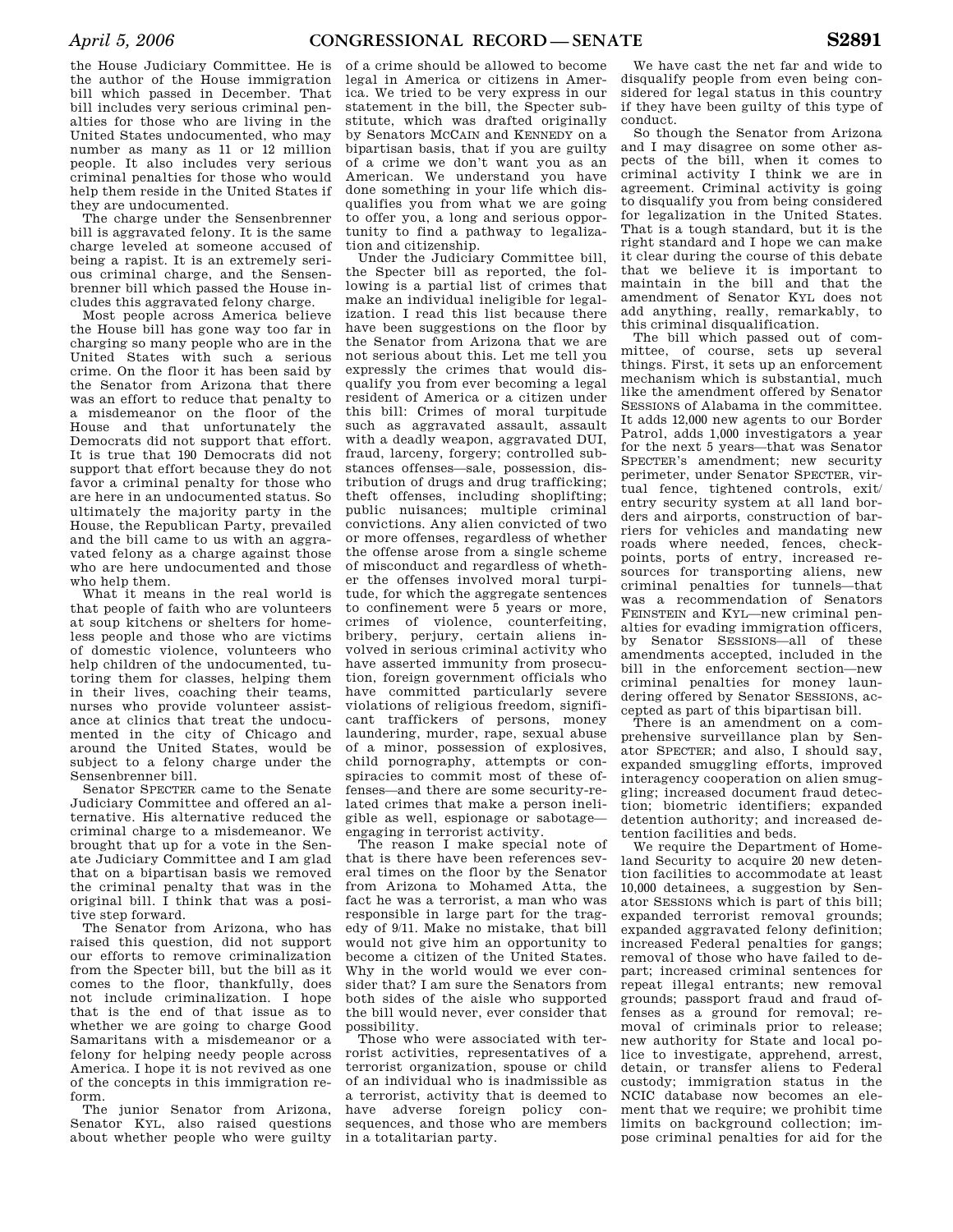the House Judiciary Committee. He is the author of the House immigration bill which passed in December. That bill includes very serious criminal penalties for those who are living in the United States undocumented, who may number as many as 11 or 12 million people. It also includes very serious criminal penalties for those who would help them reside in the United States if they are undocumented.

The charge under the Sensenbrenner bill is aggravated felony. It is the same charge leveled at someone accused of being a rapist. It is an extremely serious criminal charge, and the Sensenbrenner bill which passed the House includes this aggravated felony charge.

Most people across America believe the House bill has gone way too far in charging so many people who are in the United States with such a serious crime. On the floor it has been said by the Senator from Arizona that there was an effort to reduce that penalty to a misdemeanor on the floor of the House and that unfortunately the Democrats did not support that effort. It is true that 190 Democrats did not support that effort because they do not favor a criminal penalty for those who are here in an undocumented status. So ultimately the majority party in the House, the Republican Party, prevailed and the bill came to us with an aggravated felony as a charge against those who are here undocumented and those who help them.

What it means in the real world is that people of faith who are volunteers at soup kitchens or shelters for homeless people and those who are victims of domestic violence, volunteers who help children of the undocumented, tutoring them for classes, helping them in their lives, coaching their teams, nurses who provide volunteer assistance at clinics that treat the undocumented in the city of Chicago and around the United States, would be subject to a felony charge under the Sensenbrenner bill.

Senator SPECTER came to the Senate Judiciary Committee and offered an alternative. His alternative reduced the criminal charge to a misdemeanor. We brought that up for a vote in the Senate Judiciary Committee and I am glad that on a bipartisan basis we removed the criminal penalty that was in the original bill. I think that was a positive step forward.

The Senator from Arizona, who has raised this question, did not support our efforts to remove criminalization from the Specter bill, but the bill as it comes to the floor, thankfully, does not include criminalization. I hope that is the end of that issue as to whether we are going to charge Good Samaritans with a misdemeanor or a felony for helping needy people across America. I hope it is not revived as one of the concepts in this immigration reform.

The junior Senator from Arizona. Senator KYL, also raised questions about whether people who were guilty

of a crime should be allowed to become legal in America or citizens in America. We tried to be very express in our statement in the bill, the Specter substitute, which was drafted originally by Senators MCCAIN and KENNEDY on a bipartisan basis, that if you are guilty of a crime we don't want you as an American. We understand you have done something in your life which disqualifies you from what we are going to offer you, a long and serious opportunity to find a pathway to legalization and citizenship.

Under the Judiciary Committee bill, the Specter bill as reported, the following is a partial list of crimes that make an individual ineligible for legalization. I read this list because there have been suggestions on the floor by the Senator from Arizona that we are not serious about this. Let me tell you expressly the crimes that would disqualify you from ever becoming a legal resident of America or a citizen under this bill: Crimes of moral turpitude such as aggravated assault, assault with a deadly weapon, aggravated DUI, fraud, larceny, forgery; controlled substances offenses—sale, possession, distribution of drugs and drug trafficking; theft offenses, including shoplifting; public nuisances; multiple criminal convictions. Any alien convicted of two or more offenses, regardless of whether the offense arose from a single scheme of misconduct and regardless of whether the offenses involved moral turpitude, for which the aggregate sentences to confinement were 5 years or more, crimes of violence, counterfeiting, bribery, perjury, certain aliens involved in serious criminal activity who have asserted immunity from prosecution, foreign government officials who have committed particularly severe violations of religious freedom, significant traffickers of persons, money laundering, murder, rape, sexual abuse of a minor, possession of explosives, child pornography, attempts or conspiracies to commit most of these offenses—and there are some security-related crimes that make a person ineligible as well, espionage or sabotage engaging in terrorist activity.

The reason I make special note of that is there have been references several times on the floor by the Senator from Arizona to Mohamed Atta, the fact he was a terrorist, a man who was responsible in large part for the tragedy of 9/11. Make no mistake, that bill would not give him an opportunity to become a citizen of the United States. Why in the world would we ever consider that? I am sure the Senators from both sides of the aisle who supported the bill would never, ever consider that possibility.

Those who were associated with terrorist activities, representatives of a terrorist organization, spouse or child of an individual who is inadmissible as a terrorist, activity that is deemed to have adverse foreign policy consequences, and those who are members in a totalitarian party.

We have cast the net far and wide to disqualify people from even being considered for legal status in this country if they have been guilty of this type of conduct.

So though the Senator from Arizona and I may disagree on some other aspects of the bill, when it comes to criminal activity I think we are in agreement. Criminal activity is going to disqualify you from being considered for legalization in the United States. That is a tough standard, but it is the right standard and I hope we can make it clear during the course of this debate that we believe it is important to maintain in the bill and that the amendment of Senator KYL does not add anything, really, remarkably, to this criminal disqualification.

The bill which passed out of committee, of course, sets up several things. First, it sets up an enforcement mechanism which is substantial, much like the amendment offered by Senator SESSIONS of Alabama in the committee. It adds 12,000 new agents to our Border Patrol, adds 1,000 investigators a year for the next 5 years—that was Senator SPECTER's amendment; new security perimeter, under Senator SPECTER, virtual fence, tightened controls, exit/ entry security system at all land borders and airports, construction of barriers for vehicles and mandating new roads where needed, fences, checkpoints, ports of entry, increased resources for transporting aliens, new criminal penalties for tunnels—that was a recommendation of Senators FEINSTEIN and KYL—new criminal penalties for evading immigration officers, by Senator SESSIONS—all of these amendments accepted, included in the bill in the enforcement section—new criminal penalties for money laundering offered by Senator SESSIONS, accepted as part of this bipartisan bill.

There is an amendment on a comprehensive surveillance plan by Senator SPECTER; and also, I should say, expanded smuggling efforts, improved interagency cooperation on alien smuggling; increased document fraud detection; biometric identifiers; expanded detention authority; and increased detention facilities and beds.

We require the Department of Homeland Security to acquire 20 new detention facilities to accommodate at least 10,000 detainees, a suggestion by Senator SESSIONS which is part of this bill; expanded terrorist removal grounds; expanded aggravated felony definition; increased Federal penalties for gangs; removal of those who have failed to depart; increased criminal sentences for repeat illegal entrants; new removal grounds; passport fraud and fraud offenses as a ground for removal; removal of criminals prior to release; new authority for State and local police to investigate, apprehend, arrest, detain, or transfer aliens to Federal custody; immigration status in the NCIC database now becomes an element that we require; we prohibit time limits on background collection; impose criminal penalties for aid for the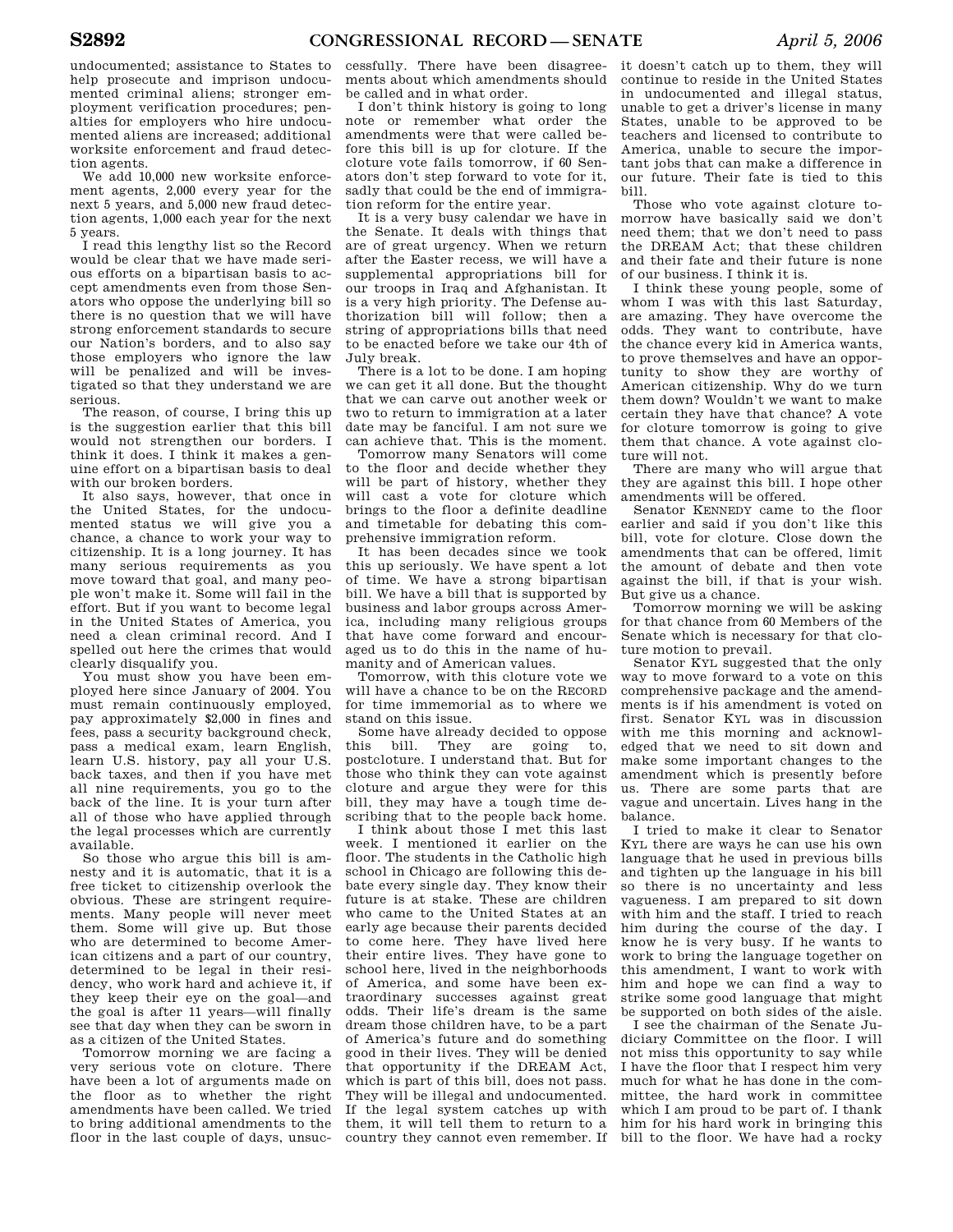undocumented; assistance to States to help prosecute and imprison undocumented criminal aliens; stronger employment verification procedures; penalties for employers who hire undocumented aliens are increased; additional worksite enforcement and fraud detection agents.

We add 10,000 new worksite enforcement agents, 2,000 every year for the next 5 years, and 5,000 new fraud detection agents, 1,000 each year for the next 5 years.

I read this lengthy list so the Record would be clear that we have made serious efforts on a bipartisan basis to accept amendments even from those Senators who oppose the underlying bill so there is no question that we will have strong enforcement standards to secure our Nation's borders, and to also say those employers who ignore the law will be penalized and will be investigated so that they understand we are serious.

The reason, of course, I bring this up is the suggestion earlier that this bill would not strengthen our borders. I think it does. I think it makes a genuine effort on a bipartisan basis to deal with our broken borders.

It also says, however, that once in the United States, for the undocumented status we will give you a chance, a chance to work your way to citizenship. It is a long journey. It has many serious requirements as you move toward that goal, and many people won't make it. Some will fail in the effort. But if you want to become legal in the United States of America, you need a clean criminal record. And I spelled out here the crimes that would clearly disqualify you.

You must show you have been employed here since January of 2004. You must remain continuously employed, pay approximately \$2,000 in fines and fees, pass a security background check, pass a medical exam, learn English, learn U.S. history, pay all your U.S. back taxes, and then if you have met all nine requirements, you go to the back of the line. It is your turn after all of those who have applied through the legal processes which are currently available.

So those who argue this bill is amnesty and it is automatic, that it is a free ticket to citizenship overlook the obvious. These are stringent requirements. Many people will never meet them. Some will give up. But those who are determined to become American citizens and a part of our country, determined to be legal in their residency, who work hard and achieve it, if they keep their eye on the goal—and the goal is after 11 years—will finally see that day when they can be sworn in as a citizen of the United States.

Tomorrow morning we are facing a very serious vote on cloture. There have been a lot of arguments made on the floor as to whether the right amendments have been called. We tried to bring additional amendments to the floor in the last couple of days, unsuc-

cessfully. There have been disagreements about which amendments should be called and in what order.

I don't think history is going to long note or remember what order the amendments were that were called before this bill is up for cloture. If the cloture vote fails tomorrow, if 60 Senators don't step forward to vote for it, sadly that could be the end of immigration reform for the entire year.

It is a very busy calendar we have in the Senate. It deals with things that are of great urgency. When we return after the Easter recess, we will have a supplemental appropriations bill for our troops in Iraq and Afghanistan. It is a very high priority. The Defense authorization bill will follow; then a string of appropriations bills that need to be enacted before we take our 4th of July break.

There is a lot to be done. I am hoping we can get it all done. But the thought that we can carve out another week or two to return to immigration at a later date may be fanciful. I am not sure we can achieve that. This is the moment.

Tomorrow many Senators will come to the floor and decide whether they will be part of history, whether they will cast a vote for cloture which brings to the floor a definite deadline and timetable for debating this comprehensive immigration reform.

It has been decades since we took this up seriously. We have spent a lot of time. We have a strong bipartisan bill. We have a bill that is supported by business and labor groups across America, including many religious groups that have come forward and encouraged us to do this in the name of humanity and of American values.

Tomorrow, with this cloture vote we will have a chance to be on the RECORD for time immemorial as to where we stand on this issue.

Some have already decided to oppose this bill. They are going to, postcloture. I understand that. But for those who think they can vote against cloture and argue they were for this bill, they may have a tough time describing that to the people back home.

I think about those I met this last week. I mentioned it earlier on the floor. The students in the Catholic high school in Chicago are following this debate every single day. They know their future is at stake. These are children who came to the United States at an early age because their parents decided to come here. They have lived here their entire lives. They have gone to school here, lived in the neighborhoods of America, and some have been extraordinary successes against great odds. Their life's dream is the same dream those children have, to be a part of America's future and do something good in their lives. They will be denied that opportunity if the DREAM Act, which is part of this bill, does not pass. They will be illegal and undocumented. If the legal system catches up with them, it will tell them to return to a

it doesn't catch up to them, they will continue to reside in the United States in undocumented and illegal status, unable to get a driver's license in many States, unable to be approved to be teachers and licensed to contribute to America, unable to secure the important jobs that can make a difference in our future. Their fate is tied to this bill.

Those who vote against cloture tomorrow have basically said we don't need them; that we don't need to pass the DREAM Act; that these children and their fate and their future is none of our business. I think it is.

I think these young people, some of whom I was with this last Saturday, are amazing. They have overcome the odds. They want to contribute, have the chance every kid in America wants, to prove themselves and have an opportunity to show they are worthy of American citizenship. Why do we turn them down? Wouldn't we want to make certain they have that chance? A vote for cloture tomorrow is going to give them that chance. A vote against cloture will not.

There are many who will argue that they are against this bill. I hope other amendments will be offered.

Senator KENNEDY came to the floor earlier and said if you don't like this bill, vote for cloture. Close down the amendments that can be offered, limit the amount of debate and then vote against the bill, if that is your wish. But give us a chance.

Tomorrow morning we will be asking for that chance from 60 Members of the Senate which is necessary for that cloture motion to prevail.

Senator KYL suggested that the only way to move forward to a vote on this comprehensive package and the amendments is if his amendment is voted on first. Senator KYL was in discussion with me this morning and acknowledged that we need to sit down and make some important changes to the amendment which is presently before us. There are some parts that are vague and uncertain. Lives hang in the balance.

I tried to make it clear to Senator KYL there are ways he can use his own language that he used in previous bills and tighten up the language in his bill so there is no uncertainty and less vagueness. I am prepared to sit down with him and the staff. I tried to reach him during the course of the day. I know he is very busy. If he wants to work to bring the language together on this amendment, I want to work with him and hope we can find a way to strike some good language that might be supported on both sides of the aisle.

country they cannot even remember. If bill to the floor. We have had a rocky I see the chairman of the Senate Judiciary Committee on the floor. I will not miss this opportunity to say while I have the floor that I respect him very much for what he has done in the committee, the hard work in committee which I am proud to be part of. I thank him for his hard work in bringing this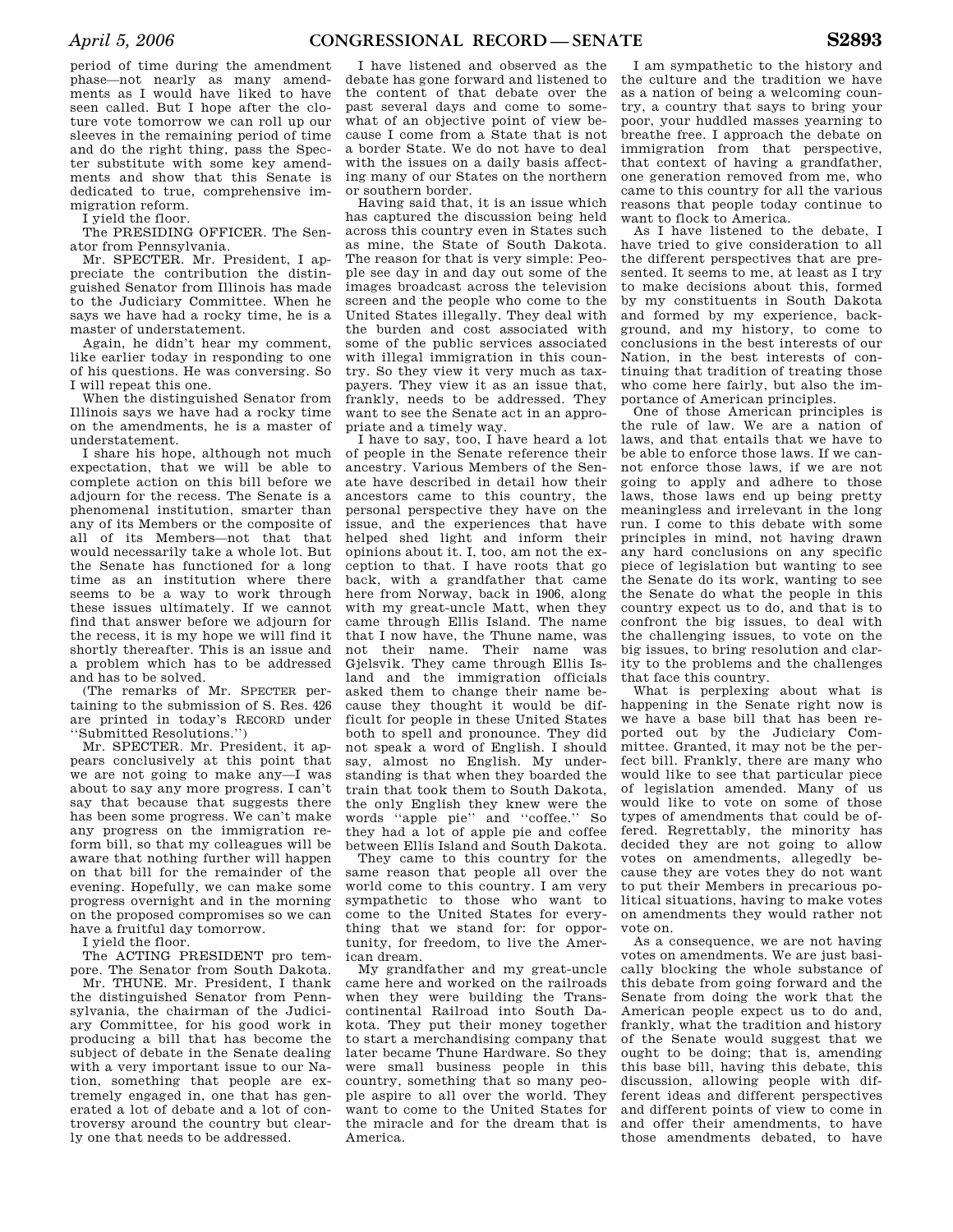period of time during the amendment phase—not nearly as many amendments as I would have liked to have seen called. But I hope after the cloture vote tomorrow we can roll up our sleeves in the remaining period of time and do the right thing, pass the Specter substitute with some key amendments and show that this Senate is dedicated to true, comprehensive immigration reform.

I yield the floor.

The PRESIDING OFFICER. The Senator from Pennsylvania.

Mr. SPECTER. Mr. President, I appreciate the contribution the distinguished Senator from Illinois has made to the Judiciary Committee. When he says we have had a rocky time, he is a master of understatement.

Again, he didn't hear my comment, like earlier today in responding to one of his questions. He was conversing. So I will repeat this one.

When the distinguished Senator from Illinois says we have had a rocky time on the amendments, he is a master of understatement.

I share his hope, although not much expectation, that we will be able to complete action on this bill before we adjourn for the recess. The Senate is a phenomenal institution, smarter than any of its Members or the composite of all of its Members—not that that would necessarily take a whole lot. But the Senate has functioned for a long time as an institution where there seems to be a way to work through these issues ultimately. If we cannot find that answer before we adjourn for the recess, it is my hope we will find it shortly thereafter. This is an issue and a problem which has to be addressed and has to be solved.

(The remarks of Mr. SPECTER pertaining to the submission of S. Res. 426 are printed in today's RECORD under ''Submitted Resolutions.'')

Mr. SPECTER. Mr. President, it appears conclusively at this point that we are not going to make any—I was about to say any more progress. I can't say that because that suggests there has been some progress. We can't make any progress on the immigration reform bill, so that my colleagues will be aware that nothing further will happen on that bill for the remainder of the evening. Hopefully, we can make some progress overnight and in the morning on the proposed compromises so we can have a fruitful day tomorrow.

I yield the floor.

The ACTING PRESIDENT pro tempore. The Senator from South Dakota.

Mr. THUNE. Mr. President, I thank the distinguished Senator from Pennsylvania, the chairman of the Judiciary Committee, for his good work in producing a bill that has become the subject of debate in the Senate dealing with a very important issue to our Nation, something that people are extremely engaged in, one that has generated a lot of debate and a lot of controversy around the country but clearly one that needs to be addressed.

I have listened and observed as the debate has gone forward and listened to the content of that debate over the past several days and come to somewhat of an objective point of view because I come from a State that is not a border State. We do not have to deal with the issues on a daily basis affecting many of our States on the northern or southern border.

Having said that, it is an issue which has captured the discussion being held across this country even in States such as mine, the State of South Dakota. The reason for that is very simple: People see day in and day out some of the images broadcast across the television screen and the people who come to the United States illegally. They deal with the burden and cost associated with some of the public services associated with illegal immigration in this country. So they view it very much as taxpayers. They view it as an issue that, frankly, needs to be addressed. They want to see the Senate act in an appropriate and a timely way.

I have to say, too, I have heard a lot of people in the Senate reference their ancestry. Various Members of the Senate have described in detail how their ancestors came to this country, the personal perspective they have on the issue, and the experiences that have helped shed light and inform their opinions about it. I, too, am not the exception to that. I have roots that go back, with a grandfather that came here from Norway, back in 1906, along with my great-uncle Matt, when they came through Ellis Island. The name that I now have, the Thune name, was not their name. Their name was Gjelsvik. They came through Ellis Island and the immigration officials asked them to change their name because they thought it would be difficult for people in these United States both to spell and pronounce. They did not speak a word of English. I should say, almost no English. My understanding is that when they boarded the train that took them to South Dakota, the only English they knew were the words ''apple pie'' and ''coffee.'' So they had a lot of apple pie and coffee between Ellis Island and South Dakota.

They came to this country for the same reason that people all over the world come to this country. I am very sympathetic to those who want to come to the United States for everything that we stand for: for opportunity, for freedom, to live the American dream.

My grandfather and my great-uncle came here and worked on the railroads when they were building the Transcontinental Railroad into South Dakota. They put their money together to start a merchandising company that later became Thune Hardware. So they were small business people in this country, something that so many people aspire to all over the world. They want to come to the United States for the miracle and for the dream that is America.

I am sympathetic to the history and the culture and the tradition we have as a nation of being a welcoming country, a country that says to bring your poor, your huddled masses yearning to breathe free. I approach the debate on immigration from that perspective, that context of having a grandfather, one generation removed from me, who came to this country for all the various reasons that people today continue to want to flock to America.

As I have listened to the debate, I have tried to give consideration to all the different perspectives that are presented. It seems to me, at least as I try to make decisions about this, formed by my constituents in South Dakota and formed by my experience, background, and my history, to come to conclusions in the best interests of our Nation, in the best interests of continuing that tradition of treating those who come here fairly, but also the importance of American principles.

One of those American principles is the rule of law. We are a nation of laws, and that entails that we have to be able to enforce those laws. If we cannot enforce those laws, if we are not going to apply and adhere to those laws, those laws end up being pretty meaningless and irrelevant in the long run. I come to this debate with some principles in mind, not having drawn any hard conclusions on any specific piece of legislation but wanting to see the Senate do its work, wanting to see the Senate do what the people in this country expect us to do, and that is to confront the big issues, to deal with the challenging issues, to vote on the big issues, to bring resolution and clarity to the problems and the challenges that face this country.

What is perplexing about what is happening in the Senate right now is we have a base bill that has been reported out by the Judiciary Committee. Granted, it may not be the perfect bill. Frankly, there are many who would like to see that particular piece of legislation amended. Many of us would like to vote on some of those types of amendments that could be offered. Regrettably, the minority has decided they are not going to allow votes on amendments, allegedly because they are votes they do not want to put their Members in precarious political situations, having to make votes on amendments they would rather not vote on.

As a consequence, we are not having votes on amendments. We are just basically blocking the whole substance of this debate from going forward and the Senate from doing the work that the American people expect us to do and, frankly, what the tradition and history of the Senate would suggest that we ought to be doing; that is, amending this base bill, having this debate, this discussion, allowing people with different ideas and different perspectives and different points of view to come in and offer their amendments, to have those amendments debated, to have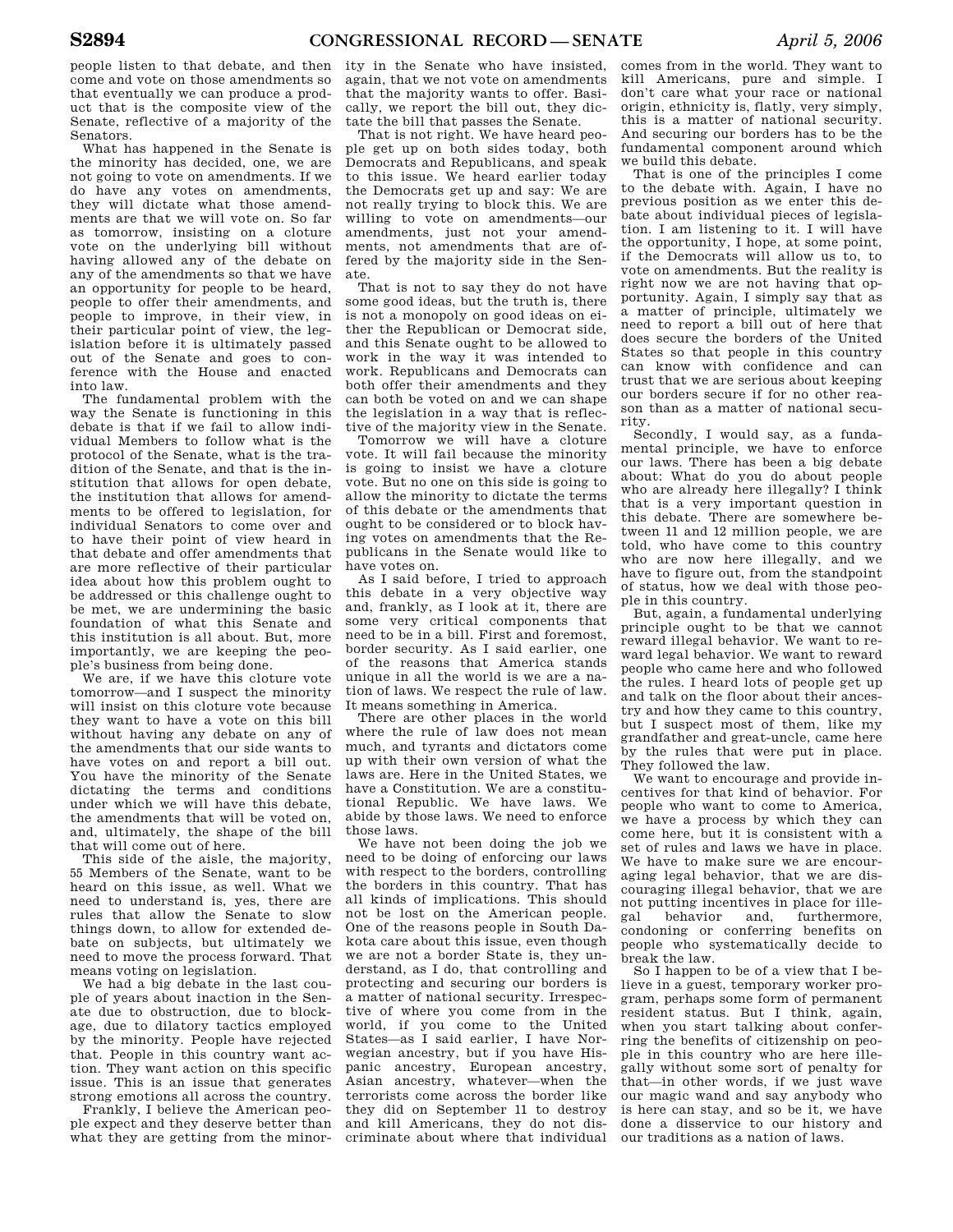people listen to that debate, and then come and vote on those amendments so that eventually we can produce a product that is the composite view of the Senate, reflective of a majority of the Senators.

What has happened in the Senate is the minority has decided, one, we are not going to vote on amendments. If we do have any votes on amendments, they will dictate what those amendments are that we will vote on. So far as tomorrow, insisting on a cloture vote on the underlying bill without having allowed any of the debate on any of the amendments so that we have an opportunity for people to be heard, people to offer their amendments, and people to improve, in their view, in their particular point of view, the legislation before it is ultimately passed out of the Senate and goes to conference with the House and enacted into law.

The fundamental problem with the way the Senate is functioning in this debate is that if we fail to allow individual Members to follow what is the protocol of the Senate, what is the tradition of the Senate, and that is the institution that allows for open debate, the institution that allows for amendments to be offered to legislation, for individual Senators to come over and to have their point of view heard in that debate and offer amendments that are more reflective of their particular idea about how this problem ought to be addressed or this challenge ought to be met, we are undermining the basic foundation of what this Senate and this institution is all about. But, more importantly, we are keeping the people's business from being done.

We are, if we have this cloture vote tomorrow—and I suspect the minority will insist on this cloture vote because they want to have a vote on this bill without having any debate on any of the amendments that our side wants to have votes on and report a bill out. You have the minority of the Senate dictating the terms and conditions under which we will have this debate, the amendments that will be voted on, and, ultimately, the shape of the bill that will come out of here.

This side of the aisle, the majority, 55 Members of the Senate, want to be heard on this issue, as well. What we need to understand is, yes, there are rules that allow the Senate to slow things down, to allow for extended debate on subjects, but ultimately we need to move the process forward. That means voting on legislation.

We had a big debate in the last couple of years about inaction in the Senate due to obstruction, due to blockage, due to dilatory tactics employed by the minority. People have rejected that. People in this country want action. They want action on this specific issue. This is an issue that generates strong emotions all across the country.

Frankly, I believe the American people expect and they deserve better than what they are getting from the minority in the Senate who have insisted, again, that we not vote on amendments that the majority wants to offer. Basically, we report the bill out, they dictate the bill that passes the Senate.

That is not right. We have heard people get up on both sides today, both Democrats and Republicans, and speak to this issue. We heard earlier today the Democrats get up and say: We are not really trying to block this. We are willing to vote on amendments—our amendments, just not your amendments, not amendments that are offered by the majority side in the Senate.

That is not to say they do not have some good ideas, but the truth is, there is not a monopoly on good ideas on either the Republican or Democrat side, and this Senate ought to be allowed to work in the way it was intended to work. Republicans and Democrats can both offer their amendments and they can both be voted on and we can shape the legislation in a way that is reflective of the majority view in the Senate.

Tomorrow we will have a cloture vote. It will fail because the minority is going to insist we have a cloture vote. But no one on this side is going to allow the minority to dictate the terms of this debate or the amendments that ought to be considered or to block having votes on amendments that the Republicans in the Senate would like to have votes on.

As I said before, I tried to approach this debate in a very objective way and, frankly, as I look at it, there are some very critical components that need to be in a bill. First and foremost, border security. As I said earlier, one of the reasons that America stands unique in all the world is we are a nation of laws. We respect the rule of law. It means something in America.

There are other places in the world where the rule of law does not mean much, and tyrants and dictators come up with their own version of what the laws are. Here in the United States, we have a Constitution. We are a constitutional Republic. We have laws. We abide by those laws. We need to enforce those laws.

We have not been doing the job we need to be doing of enforcing our laws with respect to the borders, controlling the borders in this country. That has all kinds of implications. This should not be lost on the American people. One of the reasons people in South Dakota care about this issue, even though we are not a border State is, they understand, as I do, that controlling and protecting and securing our borders is a matter of national security. Irrespective of where you come from in the world, if you come to the United States—as I said earlier, I have Norwegian ancestry, but if you have Hispanic ancestry, European ancestry, Asian ancestry, whatever—when the terrorists come across the border like they did on September 11 to destroy and kill Americans, they do not discriminate about where that individual

comes from in the world. They want to kill Americans, pure and simple. I don't care what your race or national origin, ethnicity is, flatly, very simply, this is a matter of national security. And securing our borders has to be the fundamental component around which we build this debate.

That is one of the principles I come to the debate with. Again, I have no previous position as we enter this debate about individual pieces of legislation. I am listening to it. I will have the opportunity, I hope, at some point, if the Democrats will allow us to, to vote on amendments. But the reality is right now we are not having that opportunity. Again, I simply say that as a matter of principle, ultimately we need to report a bill out of here that does secure the borders of the United States so that people in this country can know with confidence and can trust that we are serious about keeping our borders secure if for no other reason than as a matter of national security.

Secondly, I would say, as a fundamental principle, we have to enforce our laws. There has been a big debate about: What do you do about people who are already here illegally? I think that is a very important question in this debate. There are somewhere between 11 and 12 million people, we are told, who have come to this country who are now here illegally, and we have to figure out, from the standpoint of status, how we deal with those people in this country.

But, again, a fundamental underlying principle ought to be that we cannot reward illegal behavior. We want to reward legal behavior. We want to reward people who came here and who followed the rules. I heard lots of people get up and talk on the floor about their ancestry and how they came to this country, but I suspect most of them, like my grandfather and great-uncle, came here by the rules that were put in place. They followed the law.

We want to encourage and provide incentives for that kind of behavior. For people who want to come to America, we have a process by which they can come here, but it is consistent with a set of rules and laws we have in place. We have to make sure we are encouraging legal behavior, that we are discouraging illegal behavior, that we are not putting incentives in place for illegal behavior and, furthermore, condoning or conferring benefits on people who systematically decide to break the law.

So I happen to be of a view that I believe in a guest, temporary worker program, perhaps some form of permanent resident status. But I think, again, when you start talking about conferring the benefits of citizenship on people in this country who are here illegally without some sort of penalty for that—in other words, if we just wave our magic wand and say anybody who is here can stay, and so be it, we have done a disservice to our history and our traditions as a nation of laws.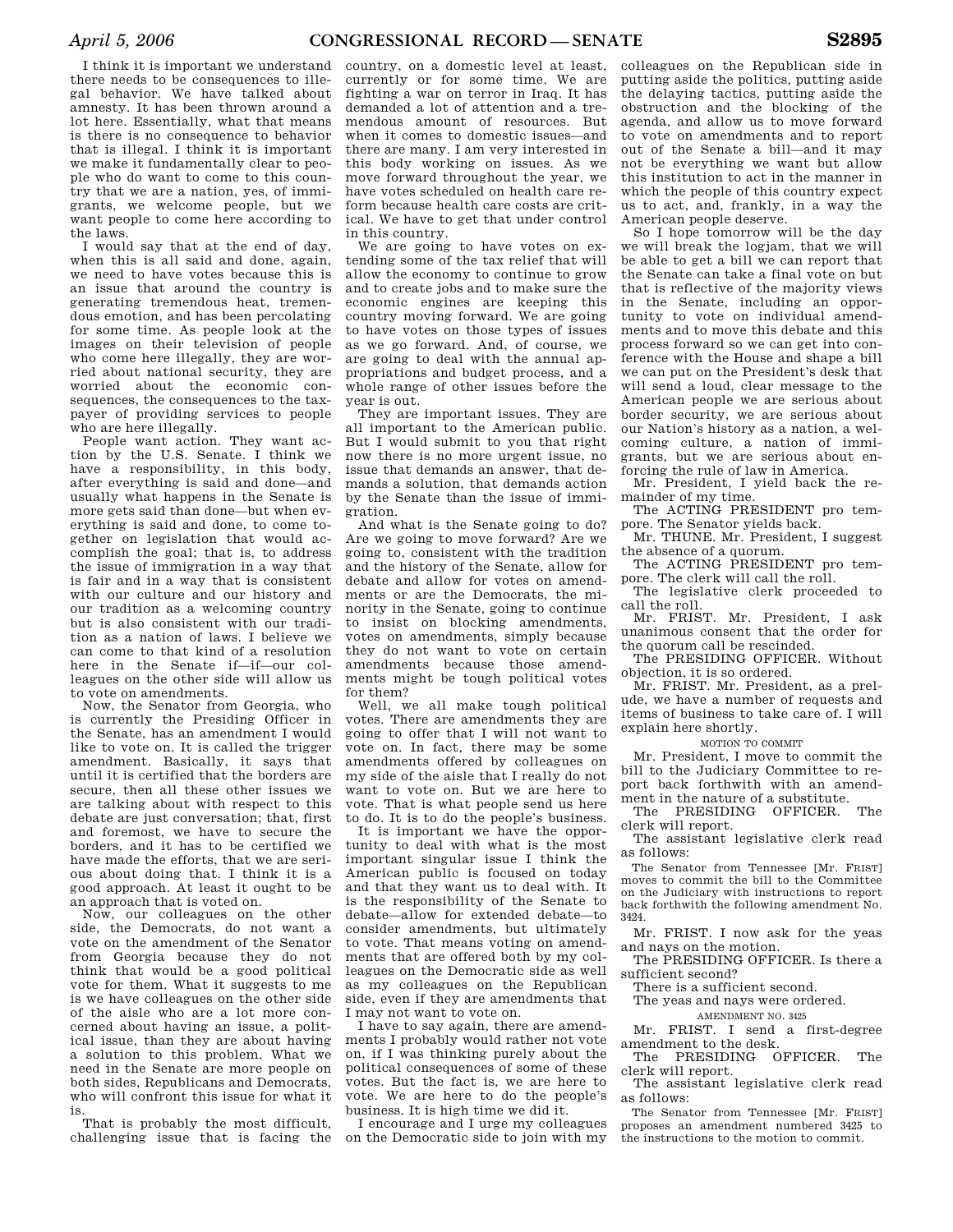I think it is important we understand there needs to be consequences to illegal behavior. We have talked about amnesty. It has been thrown around a lot here. Essentially, what that means is there is no consequence to behavior that is illegal. I think it is important we make it fundamentally clear to people who do want to come to this country that we are a nation, yes, of immigrants, we welcome people, but we want people to come here according to the laws.

I would say that at the end of day, when this is all said and done, again, we need to have votes because this is an issue that around the country is generating tremendous heat, tremendous emotion, and has been percolating for some time. As people look at the images on their television of people who come here illegally, they are worried about national security, they are worried about the economic consequences, the consequences to the taxpayer of providing services to people who are here illegally.

People want action. They want action by the U.S. Senate. I think we have a responsibility, in this body, after everything is said and done—and usually what happens in the Senate is more gets said than done—but when everything is said and done, to come together on legislation that would accomplish the goal; that is, to address the issue of immigration in a way that is fair and in a way that is consistent with our culture and our history and our tradition as a welcoming country but is also consistent with our tradition as a nation of laws. I believe we can come to that kind of a resolution here in the Senate if—if—our colleagues on the other side will allow us to vote on amendments.

Now, the Senator from Georgia, who is currently the Presiding Officer in the Senate, has an amendment I would like to vote on. It is called the trigger amendment. Basically, it says that until it is certified that the borders are secure, then all these other issues we are talking about with respect to this debate are just conversation; that, first and foremost, we have to secure the borders, and it has to be certified we have made the efforts, that we are serious about doing that. I think it is a good approach. At least it ought to be an approach that is voted on.

Now, our colleagues on the other side, the Democrats, do not want a vote on the amendment of the Senator from Georgia because they do not think that would be a good political vote for them. What it suggests to me is we have colleagues on the other side of the aisle who are a lot more concerned about having an issue, a political issue, than they are about having a solution to this problem. What we need in the Senate are more people on both sides, Republicans and Democrats, who will confront this issue for what it is.

That is probably the most difficult, challenging issue that is facing the

country, on a domestic level at least, currently or for some time. We are fighting a war on terror in Iraq. It has demanded a lot of attention and a tremendous amount of resources. But when it comes to domestic issues—and there are many. I am very interested in this body working on issues. As we move forward throughout the year, we have votes scheduled on health care reform because health care costs are critical. We have to get that under control in this country.

We are going to have votes on extending some of the tax relief that will allow the economy to continue to grow and to create jobs and to make sure the economic engines are keeping this country moving forward. We are going to have votes on those types of issues as we go forward. And, of course, we are going to deal with the annual appropriations and budget process, and a whole range of other issues before the year is out.

They are important issues. They are all important to the American public. But I would submit to you that right now there is no more urgent issue, no issue that demands an answer, that demands a solution, that demands action by the Senate than the issue of immigration.

And what is the Senate going to do? Are we going to move forward? Are we going to, consistent with the tradition and the history of the Senate, allow for debate and allow for votes on amendments or are the Democrats, the minority in the Senate, going to continue to insist on blocking amendments, votes on amendments, simply because they do not want to vote on certain amendments because those amendments might be tough political votes for them?

Well, we all make tough political votes. There are amendments they are going to offer that I will not want to vote on. In fact, there may be some amendments offered by colleagues on my side of the aisle that I really do not want to vote on. But we are here to vote. That is what people send us here to do. It is to do the people's business.

It is important we have the opportunity to deal with what is the most important singular issue I think the American public is focused on today and that they want us to deal with. It is the responsibility of the Senate to debate—allow for extended debate—to consider amendments, but ultimately to vote. That means voting on amendments that are offered both by my colleagues on the Democratic side as well as my colleagues on the Republican side, even if they are amendments that I may not want to vote on.

I have to say again, there are amendments I probably would rather not vote on, if I was thinking purely about the political consequences of some of these votes. But the fact is, we are here to vote. We are here to do the people's business. It is high time we did it.

I encourage and I urge my colleagues on the Democratic side to join with my colleagues on the Republican side in putting aside the politics, putting aside the delaying tactics, putting aside the obstruction and the blocking of the agenda, and allow us to move forward to vote on amendments and to report out of the Senate a bill—and it may not be everything we want but allow this institution to act in the manner in which the people of this country expect us to act, and, frankly, in a way the American people deserve.

So I hope tomorrow will be the day we will break the logjam, that we will be able to get a bill we can report that the Senate can take a final vote on but that is reflective of the majority views in the Senate, including an opportunity to vote on individual amendments and to move this debate and this process forward so we can get into conference with the House and shape a bill we can put on the President's desk that will send a loud, clear message to the American people we are serious about border security, we are serious about our Nation's history as a nation, a welcoming culture, a nation of immigrants, but we are serious about enforcing the rule of law in America.

Mr. President, I yield back the remainder of my time.

The ACTING PRESIDENT pro tempore. The Senator yields back.

Mr. THUNE. Mr. President, I suggest the absence of a quorum.

The ACTING PRESIDENT pro tempore. The clerk will call the roll.

The legislative clerk proceeded to call the roll.

Mr. FRIST. Mr. President, I ask unanimous consent that the order for the quorum call be rescinded.

The PRESIDING OFFICER. Without objection, it is so ordered.

Mr. FRIST. Mr. President, as a prelude, we have a number of requests and items of business to take care of. I will explain here shortly.

MOTION TO COMMIT

Mr. President, I move to commit the bill to the Judiciary Committee to report back forthwith with an amendment in the nature of a substitute.<br>The PRESIDING OFFICER The

The PRESIDING OFFICER. clerk will report.

The assistant legislative clerk read as follows:

The Senator from Tennessee [Mr. FRIST] moves to commit the bill to the Committee on the Judiciary with instructions to report back forthwith the following amendment No. 3424.

Mr. FRIST. I now ask for the yeas and nays on the motion.

The PRESIDING OFFICER. Is there a sufficient second?

There is a sufficient second.

The yeas and nays were ordered.

AMENDMENT NO. 3425

Mr. FRIST. I send a first-degree amendment to the desk.

The PRESIDING OFFICER. The clerk will report.

The assistant legislative clerk read as follows:

The Senator from Tennessee [Mr. FRIST] proposes an amendment numbered 3425 to the instructions to the motion to commit.